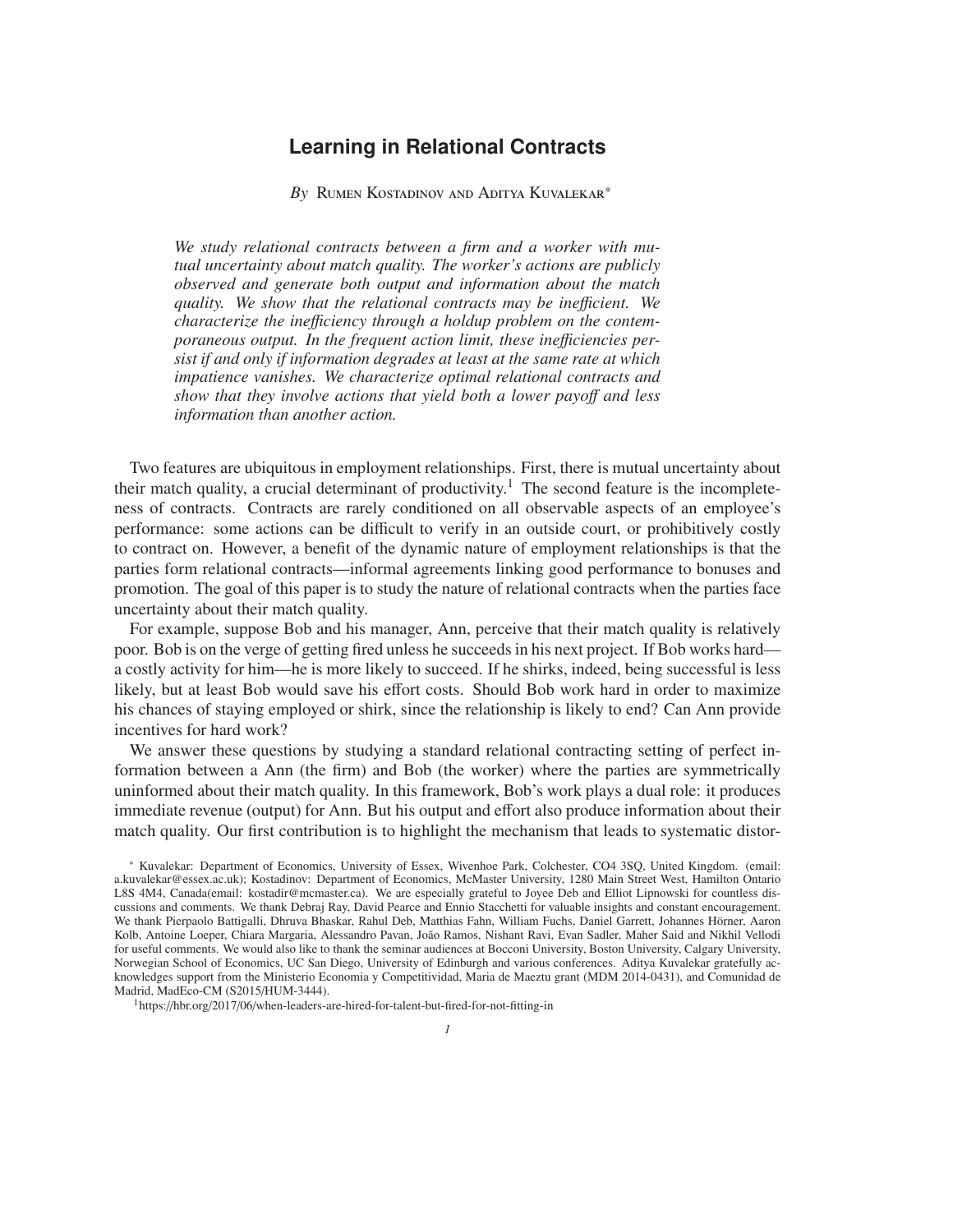# **Learning in Relational Contracts**

*By* Rumen Kostadinov and Aditya Kuvalekar\*

*We study relational contracts between a firm and a worker with mutual uncertainty about match quality. The worker's actions are publicly observed and generate both output and information about the match quality. We show that the relational contracts may be ine*ffi*cient. We characterize the ine*ffi*ciency through a holdup problem on the contemporaneous output. In the frequent action limit, these ine*ffi*ciencies persist if and only if information degrades at least at the same rate at which impatience vanishes. We characterize optimal relational contracts and show that they involve actions that yield both a lower payo*ff *and less information than another action.*

Two features are ubiquitous in employment relationships. First, there is mutual uncertainty about their match quality, a crucial determinant of productivity.<sup>1</sup> The second feature is the incompleteness of contracts. Contracts are rarely conditioned on all observable aspects of an employee's performance: some actions can be difficult to verify in an outside court, or prohibitively costly to contract on. However, a benefit of the dynamic nature of employment relationships is that the parties form relational contracts—informal agreements linking good performance to bonuses and promotion. The goal of this paper is to study the nature of relational contracts when the parties face uncertainty about their match quality.

For example, suppose Bob and his manager, Ann, perceive that their match quality is relatively poor. Bob is on the verge of getting fired unless he succeeds in his next project. If Bob works hard a costly activity for him—he is more likely to succeed. If he shirks, indeed, being successful is less likely, but at least Bob would save his effort costs. Should Bob work hard in order to maximize his chances of staying employed or shirk, since the relationship is likely to end? Can Ann provide incentives for hard work?

We answer these questions by studying a standard relational contracting setting of perfect information between a Ann (the firm) and Bob (the worker) where the parties are symmetrically uninformed about their match quality. In this framework, Bob's work plays a dual role: it produces immediate revenue (output) for Ann. But his output and effort also produce information about their match quality. Our first contribution is to highlight the mechanism that leads to systematic distor-

<sup>\*</sup> Kuvalekar: Department of Economics, University of Essex, Wivenhoe Park, Colchester, CO4 3SQ, United Kingdom. (email: a.kuvalekar@essex.ac.uk); Kostadinov: Department of Economics, McMaster University, 1280 Main Street West, Hamilton Ontario L8S 4M4, Canada(email: kostadir@mcmaster.ca). We are especially grateful to Joyee Deb and Elliot Lipnowski for countless discussions and comments. We thank Debraj Ray, David Pearce and Ennio Stacchetti for valuable insights and constant encouragement. We thank Pierpaolo Battigalli, Dhruva Bhaskar, Rahul Deb, Matthias Fahn, William Fuchs, Daniel Garrett, Johannes Horner, Aaron ¨ Kolb, Antoine Loeper, Chiara Margaria, Alessandro Pavan, João Ramos, Nishant Ravi, Evan Sadler, Maher Said and Nikhil Vellodi for useful comments. We would also like to thank the seminar audiences at Bocconi University, Boston University, Calgary University, Norwegian School of Economics, UC San Diego, University of Edinburgh and various conferences. Aditya Kuvalekar gratefully acknowledges support from the Ministerio Economia y Competitividad, Maria de Maeztu grant (MDM 2014-0431), and Comunidad de Madrid, MadEco-CM (S2015/HUM-3444).

<sup>1</sup>https://hbr.org/2017/06/when-leaders-are-hired-for-talent-but-fired-for-not-fitting-in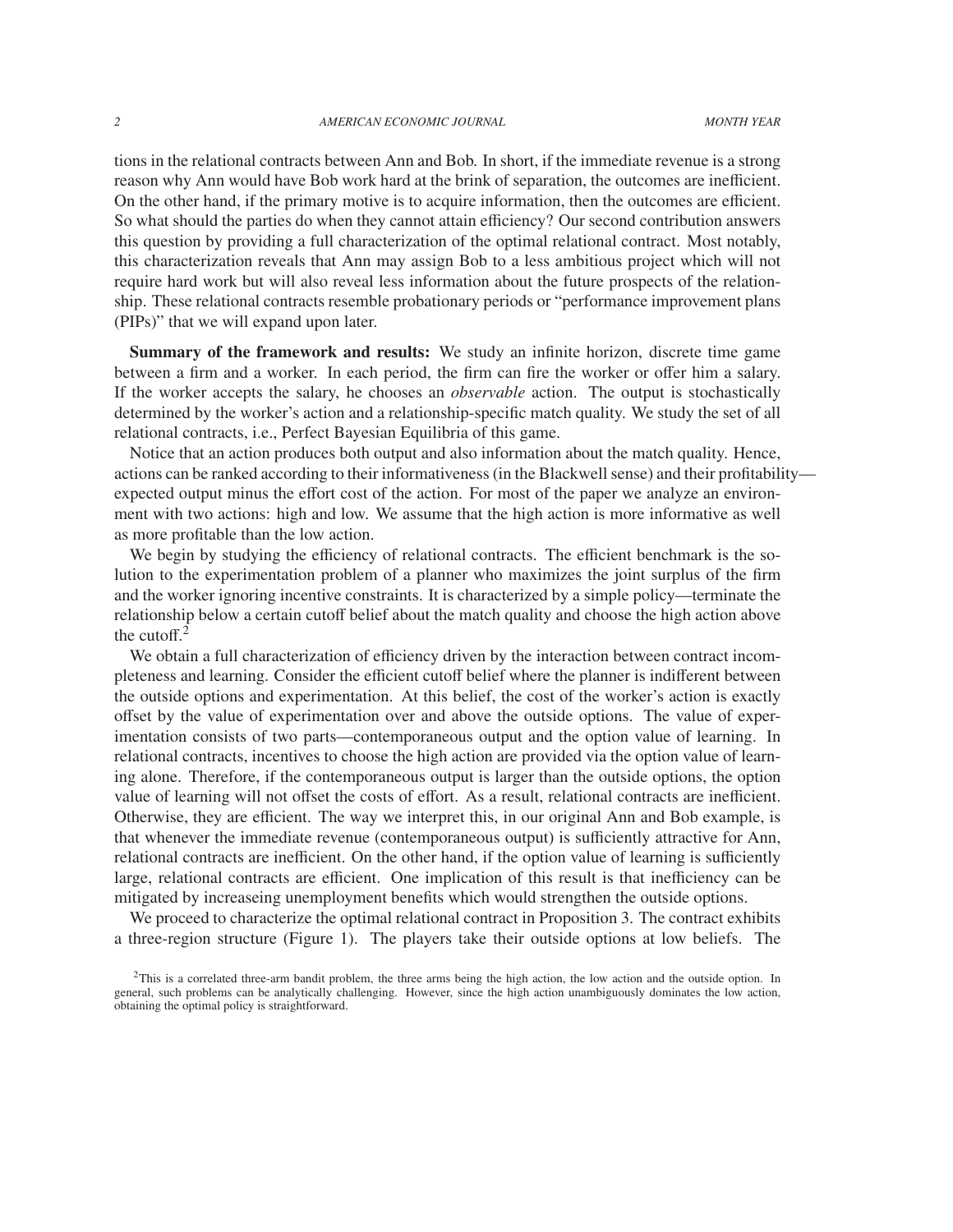tions in the relational contracts between Ann and Bob. In short, if the immediate revenue is a strong reason why Ann would have Bob work hard at the brink of separation, the outcomes are inefficient. On the other hand, if the primary motive is to acquire information, then the outcomes are efficient. So what should the parties do when they cannot attain efficiency? Our second contribution answers this question by providing a full characterization of the optimal relational contract. Most notably, this characterization reveals that Ann may assign Bob to a less ambitious project which will not require hard work but will also reveal less information about the future prospects of the relationship. These relational contracts resemble probationary periods or "performance improvement plans (PIPs)" that we will expand upon later.

Summary of the framework and results: We study an infinite horizon, discrete time game between a firm and a worker. In each period, the firm can fire the worker or offer him a salary. If the worker accepts the salary, he chooses an *observable* action. The output is stochastically determined by the worker's action and a relationship-specific match quality. We study the set of all relational contracts, i.e., Perfect Bayesian Equilibria of this game.

Notice that an action produces both output and also information about the match quality. Hence, actions can be ranked according to their informativeness (in the Blackwell sense) and their profitability expected output minus the effort cost of the action. For most of the paper we analyze an environment with two actions: high and low. We assume that the high action is more informative as well as more profitable than the low action.

We begin by studying the efficiency of relational contracts. The efficient benchmark is the solution to the experimentation problem of a planner who maximizes the joint surplus of the firm and the worker ignoring incentive constraints. It is characterized by a simple policy—terminate the relationship below a certain cutoff belief about the match quality and choose the high action above the cutoff. $2$ 

We obtain a full characterization of efficiency driven by the interaction between contract incompleteness and learning. Consider the efficient cutoff belief where the planner is indifferent between the outside options and experimentation. At this belief, the cost of the worker's action is exactly offset by the value of experimentation over and above the outside options. The value of experimentation consists of two parts—contemporaneous output and the option value of learning. In relational contracts, incentives to choose the high action are provided via the option value of learning alone. Therefore, if the contemporaneous output is larger than the outside options, the option value of learning will not offset the costs of effort. As a result, relational contracts are inefficient. Otherwise, they are efficient. The way we interpret this, in our original Ann and Bob example, is that whenever the immediate revenue (contemporaneous output) is sufficiently attractive for Ann, relational contracts are inefficient. On the other hand, if the option value of learning is sufficiently large, relational contracts are efficient. One implication of this result is that inefficiency can be mitigated by increaseing unemployment benefits which would strengthen the outside options.

We proceed to characterize the optimal relational contract in Proposition 3. The contract exhibits a three-region structure (Figure 1). The players take their outside options at low beliefs. The

 ${}^{2}$ This is a correlated three-arm bandit problem, the three arms being the high action, the low action and the outside option. In general, such problems can be analytically challenging. However, since the high action unambiguously dominates the low action, obtaining the optimal policy is straightforward.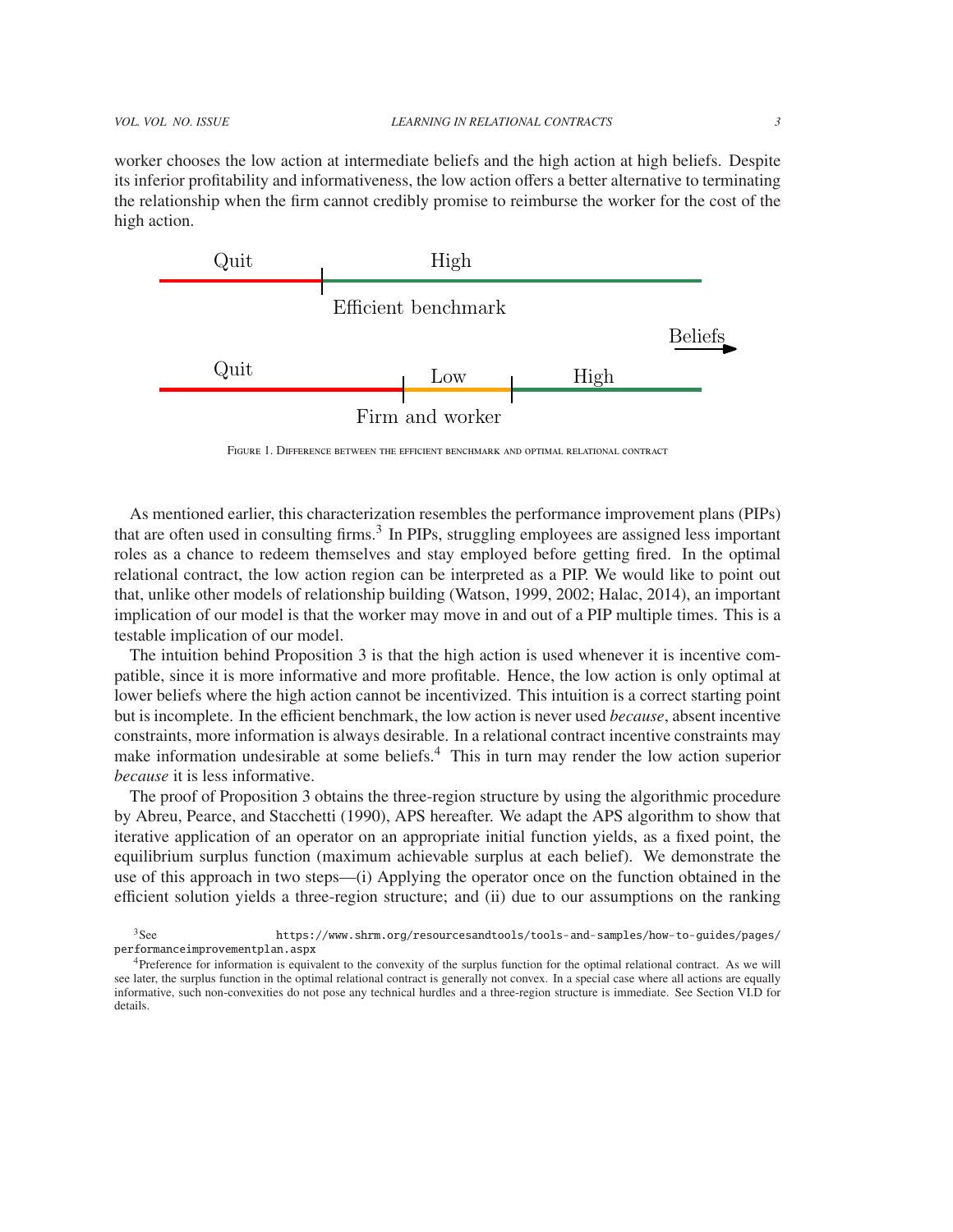worker chooses the low action at intermediate beliefs and the high action at high beliefs. Despite

its inferior profitability and informativeness, the low action offers a better alternative to terminating the relationship when the firm cannot credibly promise to reimburse the worker for the cost of the high action.



Figure 1. Difference between the efficient benchmark and optimal relational contract

As mentioned earlier, this characterization resembles the performance improvement plans (PIPs) that are often used in consulting firms.<sup>3</sup> In PIPs, struggling employees are assigned less important roles as a chance to redeem themselves and stay employed before getting fired. In the optimal relational contract, the low action region can be interpreted as a PIP. We would like to point out that, unlike other models of relationship building (Watson, 1999, 2002; Halac, 2014), an important implication of our model is that the worker may move in and out of a PIP multiple times. This is a testable implication of our model.

The intuition behind Proposition 3 is that the high action is used whenever it is incentive compatible, since it is more informative and more profitable. Hence, the low action is only optimal at lower beliefs where the high action cannot be incentivized. This intuition is a correct starting point but is incomplete. In the efficient benchmark, the low action is never used *because*, absent incentive constraints, more information is always desirable. In a relational contract incentive constraints may make information undesirable at some beliefs.<sup>4</sup> This in turn may render the low action superior *because* it is less informative.

The proof of Proposition 3 obtains the three-region structure by using the algorithmic procedure by Abreu, Pearce, and Stacchetti (1990), APS hereafter. We adapt the APS algorithm to show that iterative application of an operator on an appropriate initial function yields, as a fixed point, the equilibrium surplus function (maximum achievable surplus at each belief). We demonstrate the use of this approach in two steps—(i) Applying the operator once on the function obtained in the efficient solution yields a three-region structure; and (ii) due to our assumptions on the ranking

<sup>3</sup>See https://www.shrm.org/resourcesandtools/tools-and-samples/how-to-guides/pages/ performanceimprovementplan.aspx

<sup>4</sup>Preference for information is equivalent to the convexity of the surplus function for the optimal relational contract. As we will see later, the surplus function in the optimal relational contract is generally not convex. In a special case where all actions are equally informative, such non-convexities do not pose any technical hurdles and a three-region structure is immediate. See Section VI.D for details.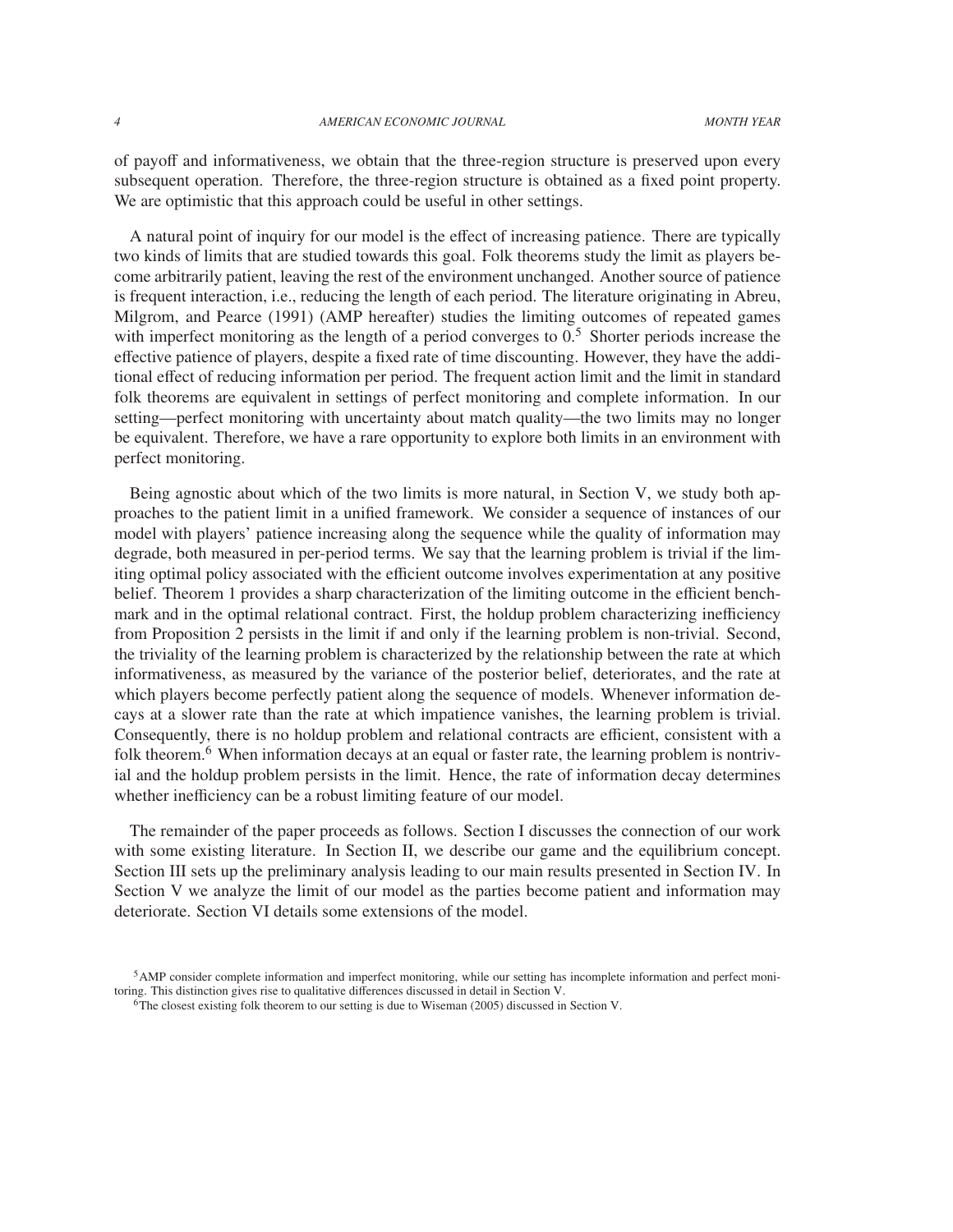of payoff and informativeness, we obtain that the three-region structure is preserved upon every subsequent operation. Therefore, the three-region structure is obtained as a fixed point property. We are optimistic that this approach could be useful in other settings.

A natural point of inquiry for our model is the effect of increasing patience. There are typically two kinds of limits that are studied towards this goal. Folk theorems study the limit as players become arbitrarily patient, leaving the rest of the environment unchanged. Another source of patience is frequent interaction, i.e., reducing the length of each period. The literature originating in Abreu, Milgrom, and Pearce (1991) (AMP hereafter) studies the limiting outcomes of repeated games with imperfect monitoring as the length of a period converges to  $0<sup>5</sup>$ . Shorter periods increase the effective patience of players, despite a fixed rate of time discounting. However, they have the additional effect of reducing information per period. The frequent action limit and the limit in standard folk theorems are equivalent in settings of perfect monitoring and complete information. In our setting—perfect monitoring with uncertainty about match quality—the two limits may no longer be equivalent. Therefore, we have a rare opportunity to explore both limits in an environment with perfect monitoring.

Being agnostic about which of the two limits is more natural, in Section V, we study both approaches to the patient limit in a unified framework. We consider a sequence of instances of our model with players' patience increasing along the sequence while the quality of information may degrade, both measured in per-period terms. We say that the learning problem is trivial if the limiting optimal policy associated with the efficient outcome involves experimentation at any positive belief. Theorem 1 provides a sharp characterization of the limiting outcome in the efficient benchmark and in the optimal relational contract. First, the holdup problem characterizing inefficiency from Proposition 2 persists in the limit if and only if the learning problem is non-trivial. Second, the triviality of the learning problem is characterized by the relationship between the rate at which informativeness, as measured by the variance of the posterior belief, deteriorates, and the rate at which players become perfectly patient along the sequence of models. Whenever information decays at a slower rate than the rate at which impatience vanishes, the learning problem is trivial. Consequently, there is no holdup problem and relational contracts are efficient, consistent with a folk theorem.<sup>6</sup> When information decays at an equal or faster rate, the learning problem is nontrivial and the holdup problem persists in the limit. Hence, the rate of information decay determines whether inefficiency can be a robust limiting feature of our model.

The remainder of the paper proceeds as follows. Section I discusses the connection of our work with some existing literature. In Section II, we describe our game and the equilibrium concept. Section III sets up the preliminary analysis leading to our main results presented in Section IV. In Section V we analyze the limit of our model as the parties become patient and information may deteriorate. Section VI details some extensions of the model.

<sup>5</sup>AMP consider complete information and imperfect monitoring, while our setting has incomplete information and perfect monitoring. This distinction gives rise to qualitative differences discussed in detail in Section V.

<sup>6</sup>The closest existing folk theorem to our setting is due to Wiseman (2005) discussed in Section V.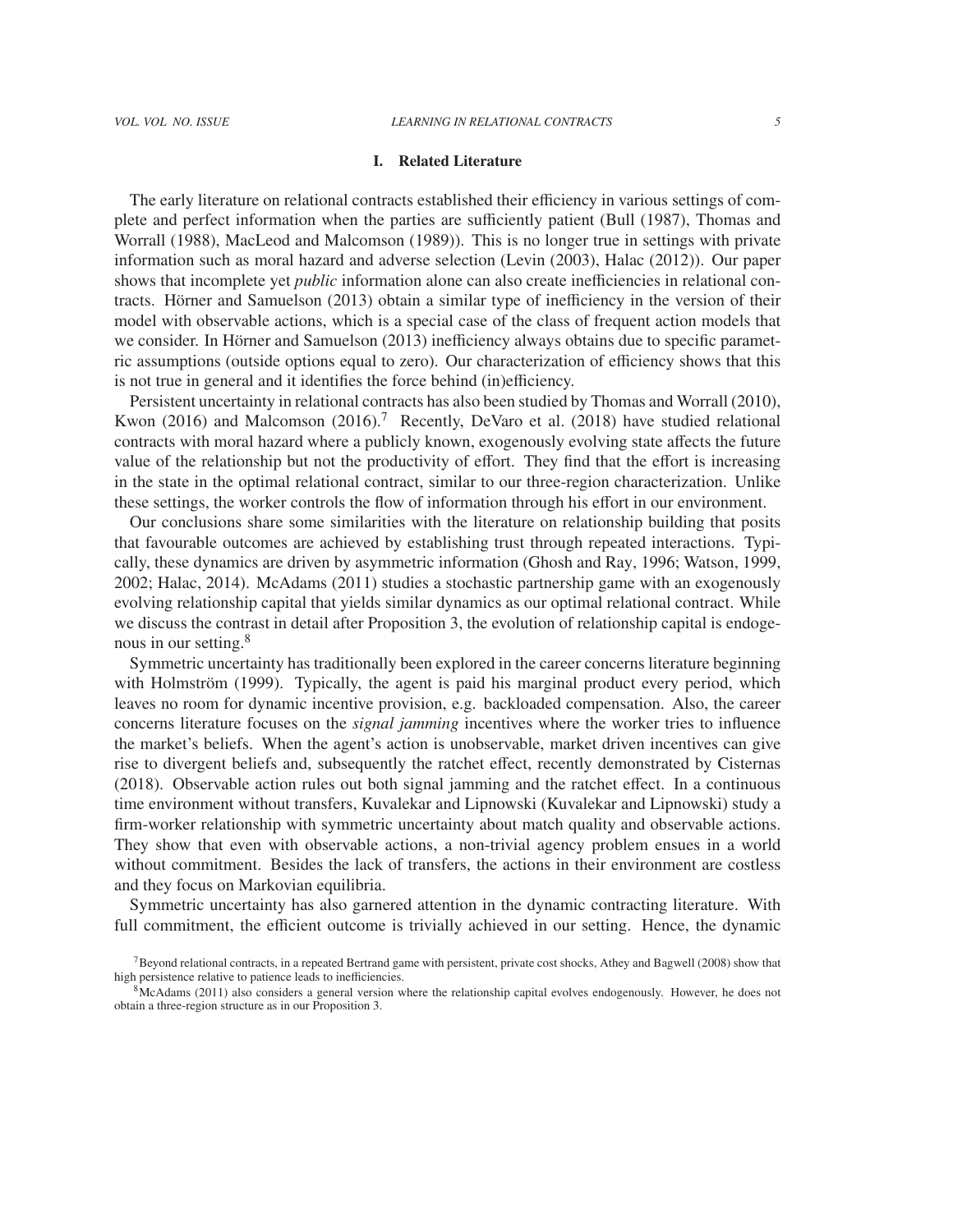# I. Related Literature

The early literature on relational contracts established their efficiency in various settings of complete and perfect information when the parties are sufficiently patient (Bull (1987), Thomas and Worrall (1988), MacLeod and Malcomson (1989)). This is no longer true in settings with private information such as moral hazard and adverse selection (Levin (2003), Halac (2012)). Our paper shows that incomplete yet *public* information alone can also create inefficiencies in relational contracts. Hörner and Samuelson (2013) obtain a similar type of inefficiency in the version of their model with observable actions, which is a special case of the class of frequent action models that we consider. In Hörner and Samuelson (2013) inefficiency always obtains due to specific parametric assumptions (outside options equal to zero). Our characterization of efficiency shows that this is not true in general and it identifies the force behind (in)efficiency.

Persistent uncertainty in relational contracts has also been studied by Thomas and Worrall (2010), Kwon (2016) and Malcomson (2016).<sup>7</sup> Recently, DeVaro et al. (2018) have studied relational contracts with moral hazard where a publicly known, exogenously evolving state affects the future value of the relationship but not the productivity of effort. They find that the effort is increasing in the state in the optimal relational contract, similar to our three-region characterization. Unlike these settings, the worker controls the flow of information through his effort in our environment.

Our conclusions share some similarities with the literature on relationship building that posits that favourable outcomes are achieved by establishing trust through repeated interactions. Typically, these dynamics are driven by asymmetric information (Ghosh and Ray, 1996; Watson, 1999, 2002; Halac, 2014). McAdams (2011) studies a stochastic partnership game with an exogenously evolving relationship capital that yields similar dynamics as our optimal relational contract. While we discuss the contrast in detail after Proposition 3, the evolution of relationship capital is endogenous in our setting.<sup>8</sup>

Symmetric uncertainty has traditionally been explored in the career concerns literature beginning with Holmström (1999). Typically, the agent is paid his marginal product every period, which leaves no room for dynamic incentive provision, e.g. backloaded compensation. Also, the career concerns literature focuses on the *signal jamming* incentives where the worker tries to influence the market's beliefs. When the agent's action is unobservable, market driven incentives can give rise to divergent beliefs and, subsequently the ratchet effect, recently demonstrated by Cisternas (2018). Observable action rules out both signal jamming and the ratchet effect. In a continuous time environment without transfers, Kuvalekar and Lipnowski (Kuvalekar and Lipnowski) study a firm-worker relationship with symmetric uncertainty about match quality and observable actions. They show that even with observable actions, a non-trivial agency problem ensues in a world without commitment. Besides the lack of transfers, the actions in their environment are costless and they focus on Markovian equilibria.

Symmetric uncertainty has also garnered attention in the dynamic contracting literature. With full commitment, the efficient outcome is trivially achieved in our setting. Hence, the dynamic

<sup>7</sup>Beyond relational contracts, in a repeated Bertrand game with persistent, private cost shocks, Athey and Bagwell (2008) show that high persistence relative to patience leads to inefficiencies.

<sup>&</sup>lt;sup>8</sup>McAdams (2011) also considers a general version where the relationship capital evolves endogenously. However, he does not obtain a three-region structure as in our Proposition 3.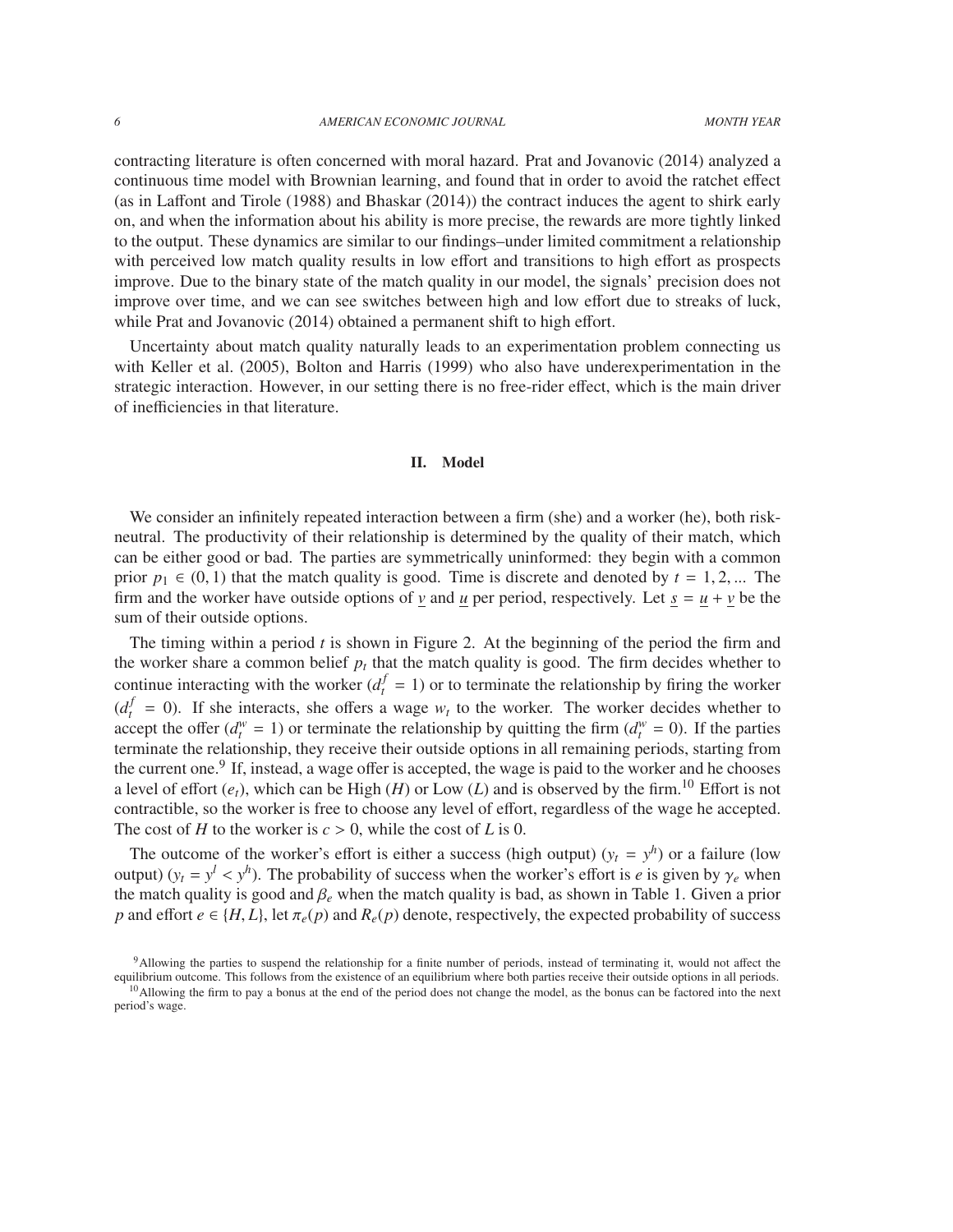contracting literature is often concerned with moral hazard. Prat and Jovanovic (2014) analyzed a continuous time model with Brownian learning, and found that in order to avoid the ratchet effect (as in Laffont and Tirole (1988) and Bhaskar (2014)) the contract induces the agent to shirk early on, and when the information about his ability is more precise, the rewards are more tightly linked to the output. These dynamics are similar to our findings–under limited commitment a relationship with perceived low match quality results in low effort and transitions to high effort as prospects improve. Due to the binary state of the match quality in our model, the signals' precision does not improve over time, and we can see switches between high and low effort due to streaks of luck, while Prat and Jovanovic (2014) obtained a permanent shift to high effort.

Uncertainty about match quality naturally leads to an experimentation problem connecting us with Keller et al. (2005), Bolton and Harris (1999) who also have underexperimentation in the strategic interaction. However, in our setting there is no free-rider effect, which is the main driver of inefficiencies in that literature.

# II. Model

We consider an infinitely repeated interaction between a firm (she) and a worker (he), both riskneutral. The productivity of their relationship is determined by the quality of their match, which can be either good or bad. The parties are symmetrically uninformed: they begin with a common prior  $p_1 \in (0, 1)$  that the match quality is good. Time is discrete and denoted by  $t = 1, 2, ...$  The firm and the worker have outside options of  $\nu$  and  $\mu$  per period, respectively. Let  $\delta = \mu + \nu$  be the sum of their outside options.

The timing within a period *t* is shown in Figure 2. At the beginning of the period the firm and the worker share a common belief  $p_t$  that the match quality is good. The firm decides whether to continue interacting with the worker  $(d_t^f = 1)$  or to terminate the relationship by firing the worker  $(d_t^f = 0)$ . If she interacts, she offers a wage  $w_t$  to the worker. The worker decides whether to accept the offer  $(d_t^w = 1)$  or terminate the relationship by quitting the firm  $(d_t^w = 0)$ . If the parties terminate the relationship, they receive their outside options in all remaining periods, starting from the current one.<sup>9</sup> If, instead, a wage offer is accepted, the wage is paid to the worker and he chooses a level of effort  $(e_t)$ , which can be High  $(H)$  or Low  $(L)$  and is observed by the firm.<sup>10</sup> Effort is not contractible, so the worker is free to choose any level of effort, regardless of the wage he accepted. The cost of *H* to the worker is  $c > 0$ , while the cost of *L* is 0.

The outcome of the worker's effort is either a success (high output)  $(y_t = y^h)$  or a failure (low output)  $(y_t = y^l < y^h)$ . The probability of success when the worker's effort is *e* is given by  $\gamma_e$  when the match quality is good and *8*, when the match quality is had as shown in Table 1. Given a prior the match quality is good and <sup>β</sup>*<sup>e</sup>* when the match quality is bad, as shown in Table 1. Given a prior *p* and effort  $e \in \{H, L\}$ , let  $\pi_e(p)$  and  $R_e(p)$  denote, respectively, the expected probability of success

<sup>9</sup>Allowing the parties to suspend the relationship for a finite number of periods, instead of terminating it, would not affect the equilibrium outcome. This follows from the existence of an equilibrium where both parties receive their outside options in all periods.

<sup>&</sup>lt;sup>10</sup>Allowing the firm to pay a bonus at the end of the period does not change the model, as the bonus can be factored into the next period's wage.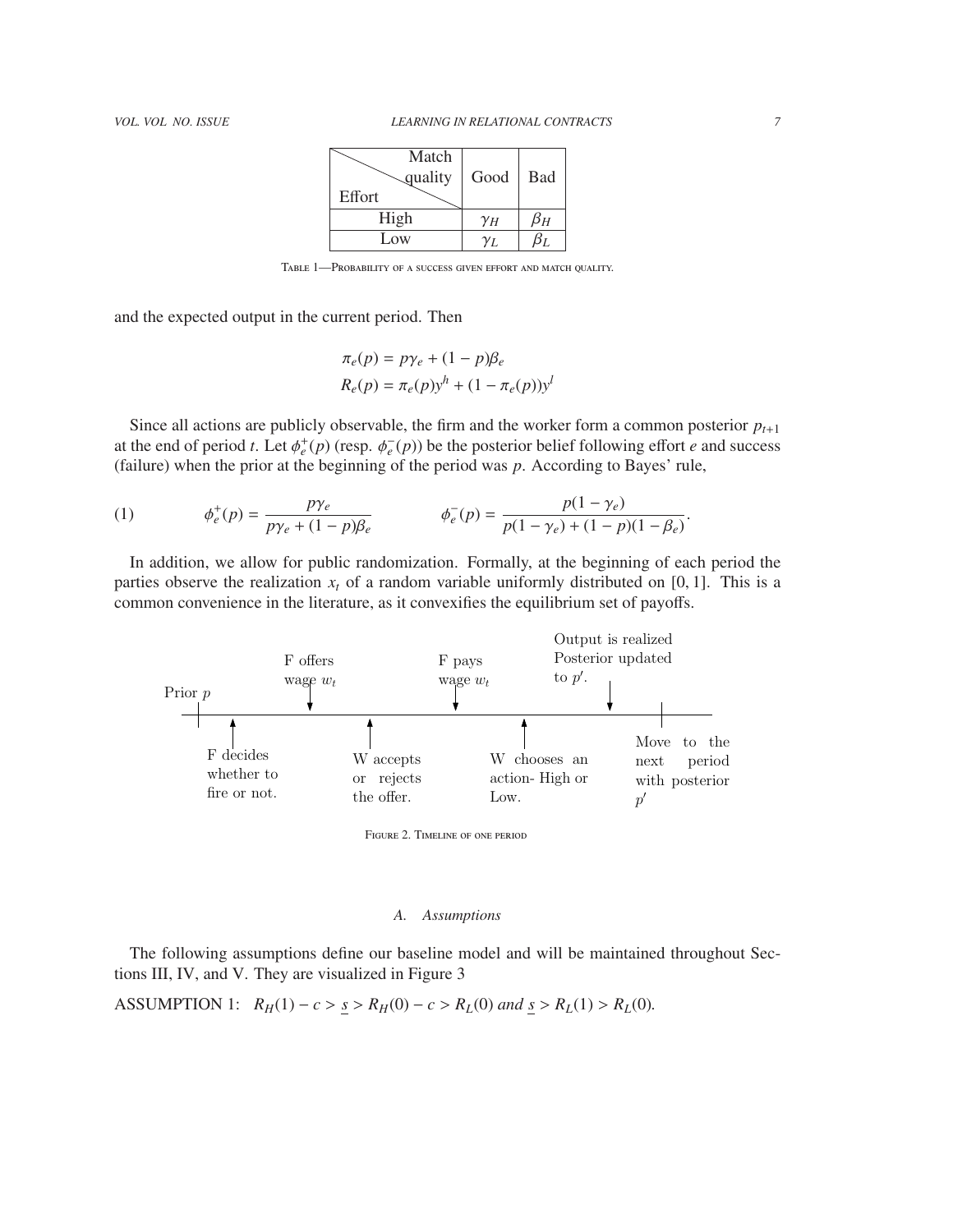| Match<br>guality<br>Effort | Good       | <b>Bad</b> |
|----------------------------|------------|------------|
| High                       | $\gamma_H$ | bн         |
| Low                        | YΙ.        |            |

TABLE 1—PROBABILITY OF A SUCCESS GIVEN EFFORT AND MATCH OUALITY.

and the expected output in the current period. Then

$$
\pi_e(p) = p\gamma_e + (1 - p)\beta_e
$$
  

$$
R_e(p) = \pi_e(p)y^h + (1 - \pi_e(p))y^l
$$

Since all actions are publicly observable, the firm and the worker form a common posterior  $p_{t+1}$ at the end of period *t*. Let  $\phi_e^+(p)$  (resp.  $\phi_e^-(p)$ ) be the posterior belief following effort *e* and success (failure) when the prior at the beginning of the period was *p*. According to Bayes' rule (failure) when the prior at the beginning of the period was *p*. According to Bayes' rule,

(1) 
$$
\phi_e^+(p) = \frac{p\gamma_e}{p\gamma_e + (1-p)\beta_e} \qquad \phi_e^-(p) = \frac{p(1-\gamma_e)}{p(1-\gamma_e) + (1-p)(1-\beta_e)}.
$$

In addition, we allow for public randomization. Formally, at the beginning of each period the parties observe the realization  $x_t$  of a random variable uniformly distributed on [0, 1]. This is a common convenience in the literature, as it convexifies the equilibrium set of payoffs.



Figure 2. Timeline of one period

#### *A. Assumptions*

The following assumptions define our baseline model and will be maintained throughout Sections III, IV, and V. They are visualized in Figure 3

ASSUMPTION 1: 
$$
R_H(1) - c > \underline{s} > R_H(0) - c > R_L(0)
$$
 and  $\underline{s} > R_L(1) > R_L(0)$ .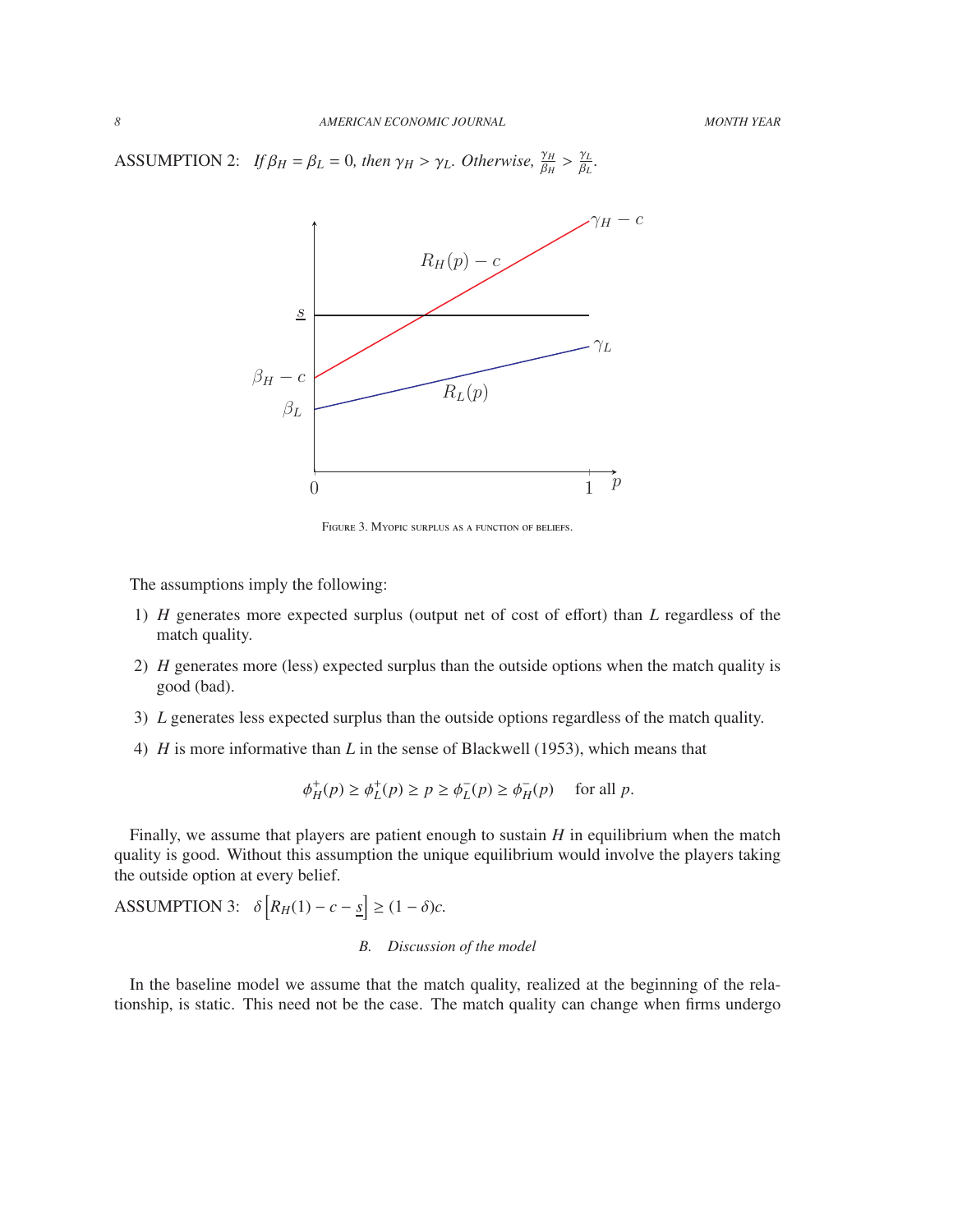ASSUMPTION 2: *If*  $\beta_H = \beta_L = 0$ *, then*  $\gamma_H > \gamma_L$ *. Otherwise*,  $\frac{\gamma_H}{\beta_H} >$ γ*L* β*L .*



FIGURE 3. MYOPIC SURPLUS AS A FUNCTION OF BELIEFS.

The assumptions imply the following:

- 1) *H* generates more expected surplus (output net of cost of effort) than *L* regardless of the match quality.
- 2) *H* generates more (less) expected surplus than the outside options when the match quality is good (bad).
- 3) *L* generates less expected surplus than the outside options regardless of the match quality.
- 4) *H* is more informative than *L* in the sense of Blackwell (1953), which means that

φ  $_{H}^{+}(p) \geq \phi_{L}^{+}(p) \geq p \geq \phi_{L}^{-}$  $L^-(p) \ge \phi_H^ \bar{H}(p)$  for all *p*.

Finally, we assume that players are patient enough to sustain *H* in equilibrium when the match quality is good. Without this assumption the unique equilibrium would involve the players taking the outside option at every belief.

ASSUMPTION 3:  $\delta \left[ R_H(1) - c - \underline{s} \right] \ge (1 - \delta)c$ .

# *B. Discussion of the model*

In the baseline model we assume that the match quality, realized at the beginning of the relationship, is static. This need not be the case. The match quality can change when firms undergo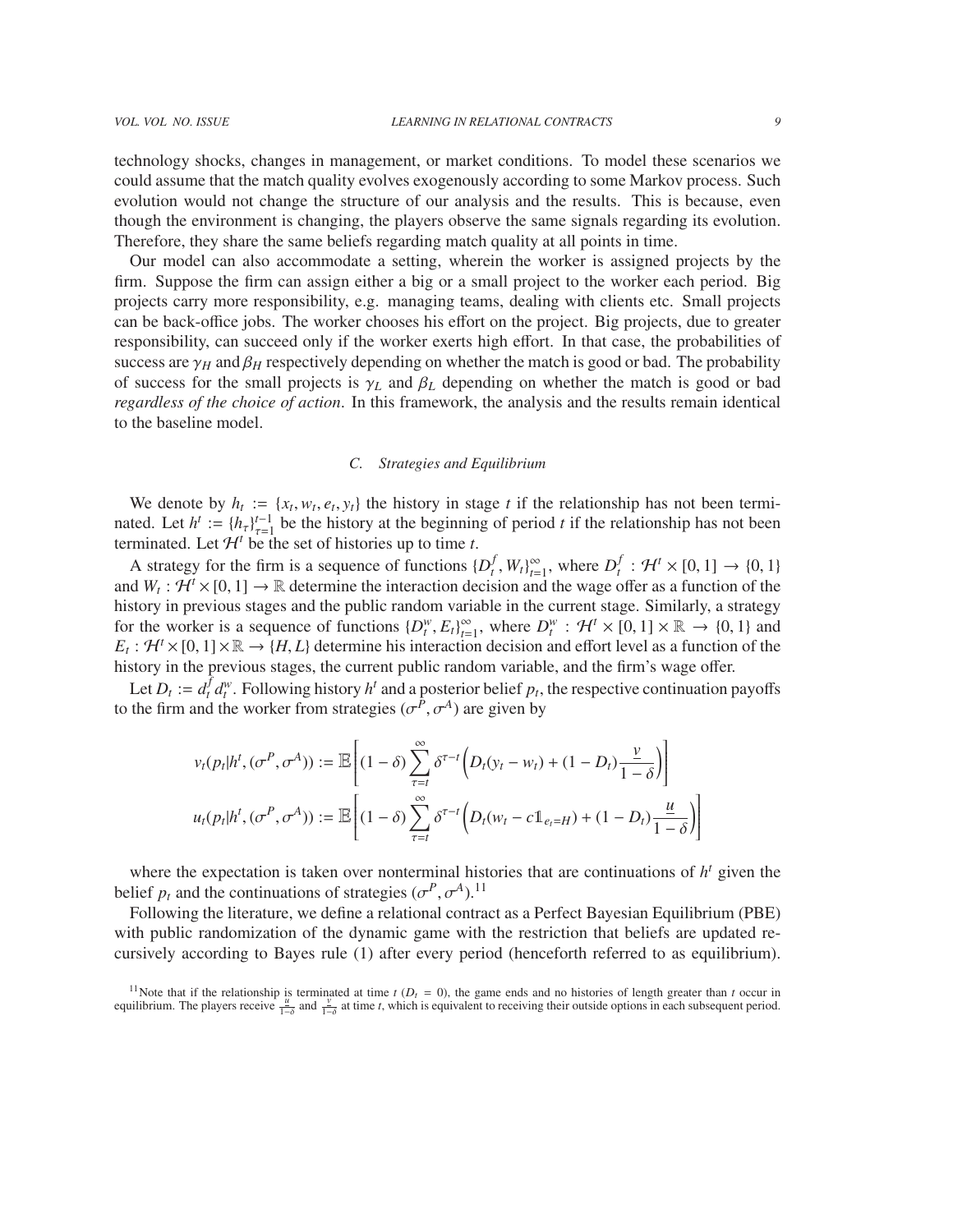technology shocks, changes in management, or market conditions. To model these scenarios we could assume that the match quality evolves exogenously according to some Markov process. Such evolution would not change the structure of our analysis and the results. This is because, even though the environment is changing, the players observe the same signals regarding its evolution. Therefore, they share the same beliefs regarding match quality at all points in time.

Our model can also accommodate a setting, wherein the worker is assigned projects by the firm. Suppose the firm can assign either a big or a small project to the worker each period. Big projects carry more responsibility, e.g. managing teams, dealing with clients etc. Small projects can be back-office jobs. The worker chooses his effort on the project. Big projects, due to greater responsibility, can succeed only if the worker exerts high effort. In that case, the probabilities of success are  $\gamma_H$  and  $\beta_H$  respectively depending on whether the match is good or bad. The probability of success for the small projects is  $\gamma_L$  and  $\beta_L$  depending on whether the match is good or bad *regardless of the choice of action*. In this framework, the analysis and the results remain identical to the baseline model.

#### *C. Strategies and Equilibrium*

We denote by  $h_t := \{x_t, w_t, e_t, y_t\}$  the history in stage *t* if the relationship has not been termi-<br>ted. Let  $h^t := \{h\}^{t-1}$  be the history at the beginning of period *t* if the relationship has not been nated. Let  $h^t := \{h_\tau\}_{\tau=1}^{t-1}$  be the history at the beginning of period *t* if the relationship has not been<br>terminated. Let  $\mathcal{H}^t$  be the set of histories up to time t terminated. Let  $H^t = \{h_t^r\}_{\tau=1}^T$  be the instort at the beginning determinated. Let  $H^t$  be the set of histories up to time *t*.

A strategy for the firm is a sequence of functions  $\{D_t^f\}$  $\int_t^f$ ,  $W_t\}_{t=0}^\infty$  $\sum_{t=1}^{\infty}$ , where  $D_t^f$  $t_t^f : \mathcal{H}^t \times [0,1] \to \{0,1\}$ <br>
offer as a function of the and  $W_t: H^t \times [0, 1] \to \mathbb{R}$  determine the interaction decision and the wage offer as a function of the history in previous stages and the public random variable in the current stage. Similarly, a strategy history in previous stages and the public random variable in the current stage. Similarly, a strategy for the worker is a sequence of functions  ${D_t^w, E_t}_{t=0}^{\infty}$ <br> $F_t: H^t \times [0, 1] \times \mathbb{R} \to H^t$  b determine his interactions  $\sum_{t=1}^{\infty}$ , where  $D_t^w$ :  $\mathcal{H}^t \times [0, 1] \times \mathbb{R} \to \{0, 1\}$  and ion decision and effort level as a function of the  $E_t$ :  $\mathcal{H}^t \times [0,1] \times \mathbb{R} \to \{H, L\}$  determine his interaction decision and effort level as a function of the history in the previous stages, the current public random variable, and the firm's wage offer history in the previous stages, the current public random variable, and the firm's wage offer.

Let  $D_t := d_t^f$  ${}^{t}$  *d*<sup>*w*</sup>. Following history *h*<sup>*t*</sup> and a posterior belief *p<sub>t</sub>*, the respective continuation payoffs to the firm and the worker from strategies  $(\sigma^P, \sigma^A)$  are given by

$$
v_t(p_t|h^t, (\sigma^P, \sigma^A)) := \mathbb{E}\left[ (1-\delta) \sum_{\tau=t}^{\infty} \delta^{\tau-t} \left( D_t(y_t - w_t) + (1 - D_t) \frac{\nu}{1-\delta} \right) \right]
$$
  

$$
u_t(p_t|h^t, (\sigma^P, \sigma^A)) := \mathbb{E}\left[ (1-\delta) \sum_{\tau=t}^{\infty} \delta^{\tau-t} \left( D_t(w_t - c \mathbb{1}_{e_t = H}) + (1 - D_t) \frac{\mu}{1-\delta} \right) \right]
$$

where the expectation is taken over nonterminal histories that are continuations of  $h<sup>t</sup>$  given the belief  $p_t$  and the continuations of strategies  $(\sigma^P, \sigma^A)$ .<sup>11</sup><br>Following the literature, we define a relational contra

Following the literature, we define a relational contract as a Perfect Bayesian Equilibrium (PBE) with public randomization of the dynamic game with the restriction that beliefs are updated recursively according to Bayes rule (1) after every period (henceforth referred to as equilibrium).

<sup>11</sup>Note that if the relationship is terminated at time  $t$  ( $D_t = 0$ ), the game ends and no histories of length greater than  $t$  occur in equilibrium. The players receive  $\frac{u}{1-\delta}$  and  $\frac{v}{1-\delta}$  at time *t*, which is equivalent to receiving their outside options in each subsequent period.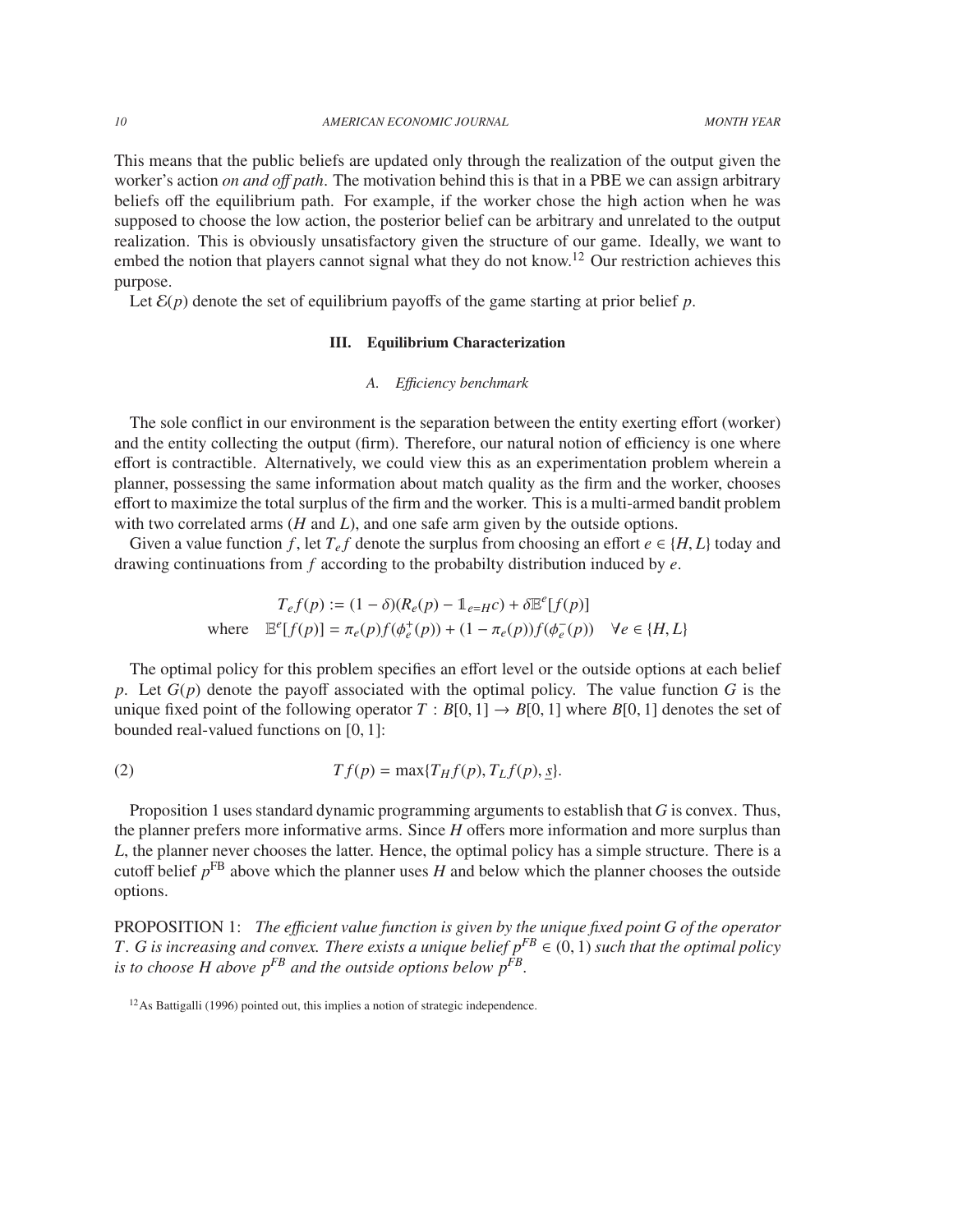*10 AMERICAN ECONOMIC JOURNAL MONTH YEAR*

This means that the public beliefs are updated only through the realization of the output given the worker's action *on and o*ff *path*. The motivation behind this is that in a PBE we can assign arbitrary beliefs off the equilibrium path. For example, if the worker chose the high action when he was supposed to choose the low action, the posterior belief can be arbitrary and unrelated to the output realization. This is obviously unsatisfactory given the structure of our game. Ideally, we want to embed the notion that players cannot signal what they do not know.<sup>12</sup> Our restriction achieves this purpose.

Let  $\mathcal{E}(p)$  denote the set of equilibrium payoffs of the game starting at prior belief p.

# III. Equilibrium Characterization

# *A. E*ffi*ciency benchmark*

The sole conflict in our environment is the separation between the entity exerting effort (worker) and the entity collecting the output (firm). Therefore, our natural notion of efficiency is one where effort is contractible. Alternatively, we could view this as an experimentation problem wherein a planner, possessing the same information about match quality as the firm and the worker, chooses effort to maximize the total surplus of the firm and the worker. This is a multi-armed bandit problem with two correlated arms (*H* and *L*), and one safe arm given by the outside options.

Given a value function *f*, let  $T_e f$  denote the surplus from choosing an effort  $e \in \{H, L\}$  today and drawing continuations from *f* according to the probabilty distribution induced by *e*.

$$
T_e f(p) := (1 - \delta)(R_e(p) - 1_{e=H}c) + \delta \mathbb{E}^e[f(p)]
$$
  
where 
$$
\mathbb{E}^e[f(p)] = \pi_e(p)f(\phi_e^+(p)) + (1 - \pi_e(p))f(\phi_e^-(p)) \quad \forall e \in \{H, L\}
$$

The optimal policy for this problem specifies an effort level or the outside options at each belief *p*. Let *G*(*p*) denote the payoff associated with the optimal policy. The value function *G* is the unique fixed point of the following operator  $T : B[0, 1] \rightarrow B[0, 1]$  where  $B[0, 1]$  denotes the set of bounded real-valued functions on [0, 1]:

(2) 
$$
Tf(p) = \max\{T_Hf(p), T_Lf(p), \underline{s}\}.
$$

Proposition 1 uses standard dynamic programming arguments to establish that *G* is convex. Thus, the planner prefers more informative arms. Since *H* offers more information and more surplus than *L*, the planner never chooses the latter. Hence, the optimal policy has a simple structure. There is a cutoff belief  $p<sup>FB</sup>$  above which the planner uses *H* and below which the planner chooses the outside options.

PROPOSITION 1: *The e*ffi*cient value function is given by the unique fixed point G of the operator T. G is increasing and convex. There exists a unique belief*  $p^{FB} \in (0, 1)$  *such that the optimal policy is to choose H above pFB and the outside options below pFB .*

<sup>&</sup>lt;sup>12</sup>As Battigalli (1996) pointed out, this implies a notion of strategic independence.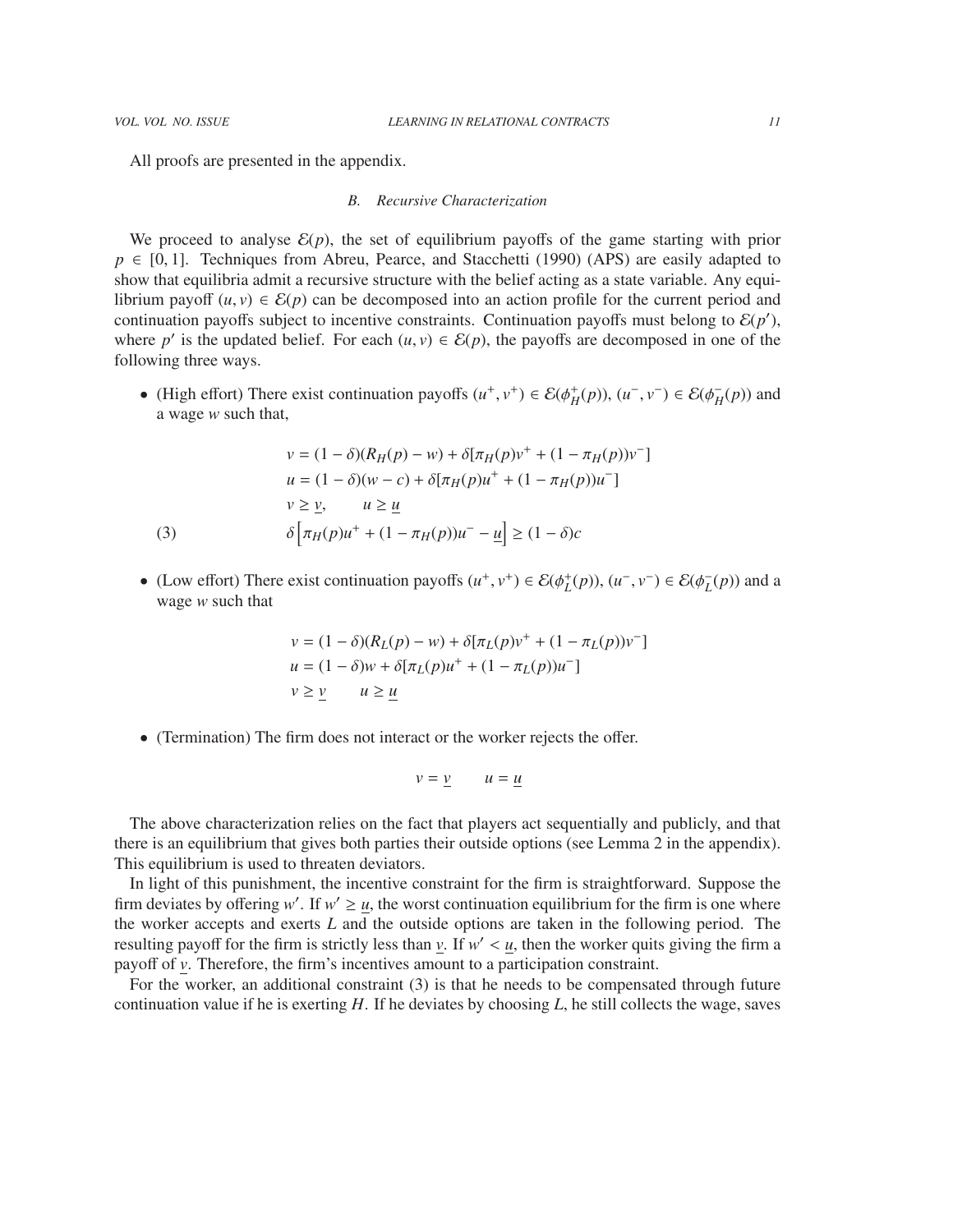All proofs are presented in the appendix.

#### *B. Recursive Characterization*

We proceed to analyse  $\mathcal{E}(p)$ , the set of equilibrium payoffs of the game starting with prior  $p \in [0, 1]$ . Techniques from Abreu, Pearce, and Stacchetti (1990) (APS) are easily adapted to show that equilibria admit a recursive structure with the belief acting as a state variable. Any equilibrium payoff  $(u, v) \in \mathcal{E}(p)$  can be decomposed into an action profile for the current period and continuation payoffs subject to incentive constraints. Continuation payoffs must belong to  $\mathcal{E}(p')$ , where *p*' is the updated belief. For each  $(u, v) \in \mathcal{E}(p)$ , the payoffs are decomposed in one of the following three ways following three ways.

• (High effort) There exist continuation payoffs  $(u^+, v^+) \in \mathcal{E}(\phi_H^+(p))$ ,  $(u^-, v^-) \in \mathcal{E}(\phi_H^-(p))$  $\bar{H}(p)$  and a wage *w* such that,

(3)  
\n
$$
v = (1 - \delta)(R_H(p) - w) + \delta[\pi_H(p)v^+ + (1 - \pi_H(p))v^-]
$$
\n
$$
u = (1 - \delta)(w - c) + \delta[\pi_H(p)u^+ + (1 - \pi_H(p))u^-]
$$
\n
$$
v \ge \underline{v}, \qquad u \ge \underline{u}
$$
\n
$$
\delta[\pi_H(p)u^+ + (1 - \pi_H(p))u^- - \underline{u}] \ge (1 - \delta)c
$$

• (Low effort) There exist continuation payoffs  $(u^+, v^+) \in \mathcal{E}(\phi_L^+(p))$ ,  $(u^-, v^-) \in \mathcal{E}(\phi_L^-)$  $L^2(p)$  and a wage *w* such that

$$
v = (1 - \delta)(R_L(p) - w) + \delta[\pi_L(p)v^+ + (1 - \pi_L(p))v^-]
$$
  
 
$$
u = (1 - \delta)w + \delta[\pi_L(p)u^+ + (1 - \pi_L(p))u^-]
$$
  
 
$$
v \ge \underline{v} \qquad u \ge \underline{u}
$$

• (Termination) The firm does not interact or the worker rejects the offer.

$$
v = \underline{v} \qquad u = \underline{u}
$$

The above characterization relies on the fact that players act sequentially and publicly, and that there is an equilibrium that gives both parties their outside options (see Lemma 2 in the appendix). This equilibrium is used to threaten deviators.

In light of this punishment, the incentive constraint for the firm is straightforward. Suppose the firm deviates by offering *w'*. If  $w' \ge u$ , the worst continuation equilibrium for the firm is one where the worker accepts and exerts *L* and the outside options are taken in the following period. The resulting payoff for the firm is strictly less than  $\nu$ . If  $w' < u$ , then the worker quits giving the firm a payoff of  $\nu$ . Therefore, the firm's incentives amount to a participation constraint payoff of *v*. Therefore, the firm's incentives amount to a participation constraint.

For the worker, an additional constraint (3) is that he needs to be compensated through future continuation value if he is exerting *H*. If he deviates by choosing *L*, he still collects the wage, saves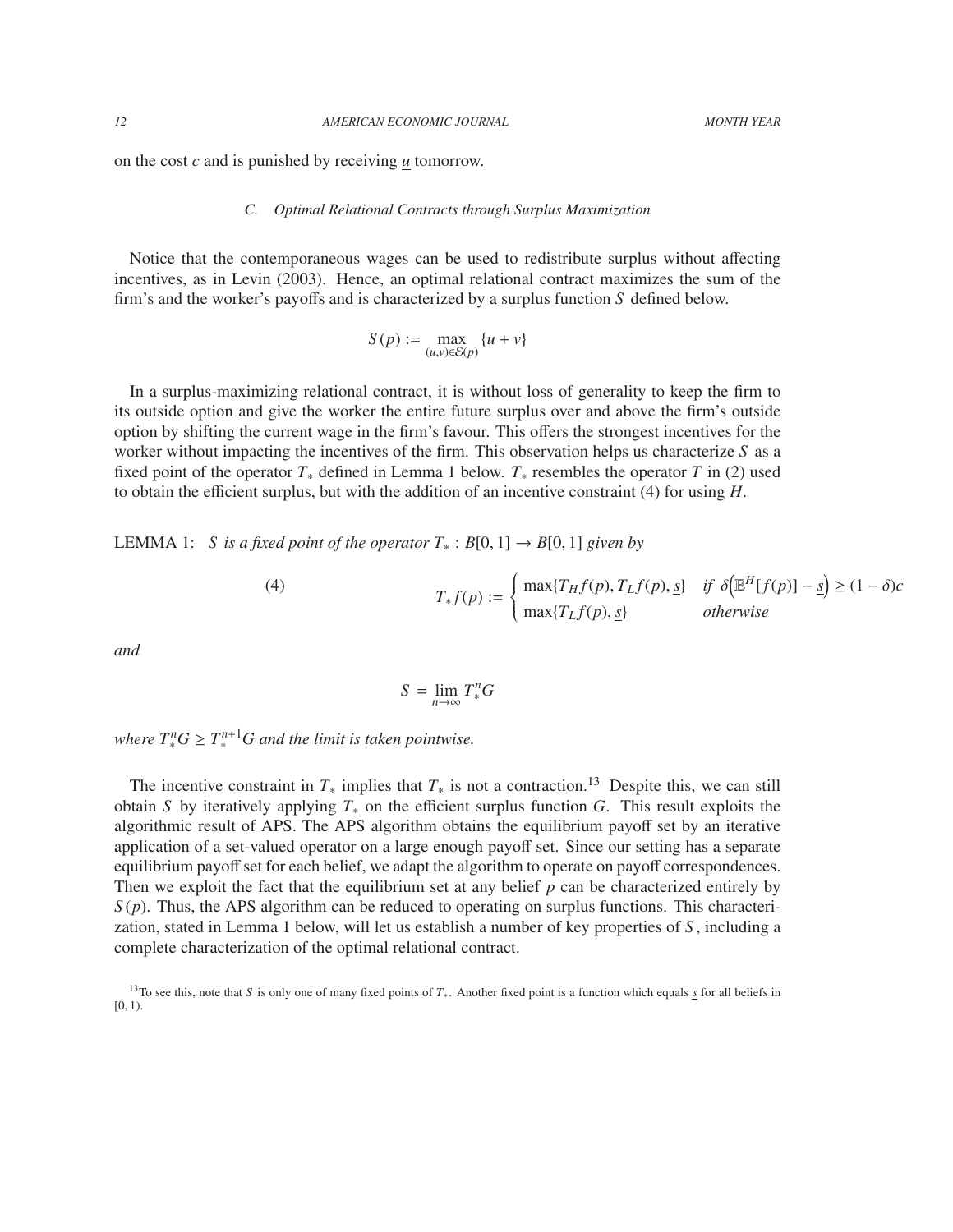on the cost *c* and is punished by receiving *u* tomorrow.

#### *C. Optimal Relational Contracts through Surplus Maximization*

Notice that the contemporaneous wages can be used to redistribute surplus without affecting incentives, as in Levin (2003). Hence, an optimal relational contract maximizes the sum of the firm's and the worker's payoffs and is characterized by a surplus function *S* defined below.

$$
S(p) := \max_{(u,v)\in\mathcal{E}(p)} \{u+v\}
$$

In a surplus-maximizing relational contract, it is without loss of generality to keep the firm to its outside option and give the worker the entire future surplus over and above the firm's outside option by shifting the current wage in the firm's favour. This offers the strongest incentives for the worker without impacting the incentives of the firm. This observation helps us characterize *S* as a fixed point of the operator *T*<sup>∗</sup> defined in Lemma 1 below. *T*<sup>∗</sup> resembles the operator *T* in (2) used to obtain the efficient surplus, but with the addition of an incentive constraint (4) for using *H*.

LEMMA 1: *S* is a fixed point of the operator  $T_*$  :  $B[0, 1]$  →  $B[0, 1]$  given by

(4) 
$$
T_*f(p) := \begin{cases} \max\{T_Hf(p), T_Lf(p), \underline{s}\} & \text{if } \delta\big(\mathbb{E}^H[f(p)] - \underline{s}\big) \ge (1 - \delta)c \\ \max\{T_Lf(p), \underline{s}\} & \text{otherwise} \end{cases}
$$

*and*

$$
S = \lim_{n \to \infty} T_*^n G
$$

*where*  $T_*^n G \geq T_*^{n+1} G$  and the limit is taken pointwise.

The incentive constraint in  $T_*$  implies that  $T_*$  is not a contraction.<sup>13</sup> Despite this, we can still obtain *S* by iteratively applying *T*<sup>∗</sup> on the efficient surplus function *G*. This result exploits the algorithmic result of APS. The APS algorithm obtains the equilibrium payoff set by an iterative application of a set-valued operator on a large enough payoff set. Since our setting has a separate equilibrium payoff set for each belief, we adapt the algorithm to operate on payoff correspondences. Then we exploit the fact that the equilibrium set at any belief *p* can be characterized entirely by  $S(p)$ . Thus, the APS algorithm can be reduced to operating on surplus functions. This characterization, stated in Lemma 1 below, will let us establish a number of key properties of *S* , including a complete characterization of the optimal relational contract.

<sup>13</sup>To see this, note that *S* is only one of many fixed points of *T*∗. Another fixed point is a function which equals *s* for all beliefs in  $[0, 1)$ .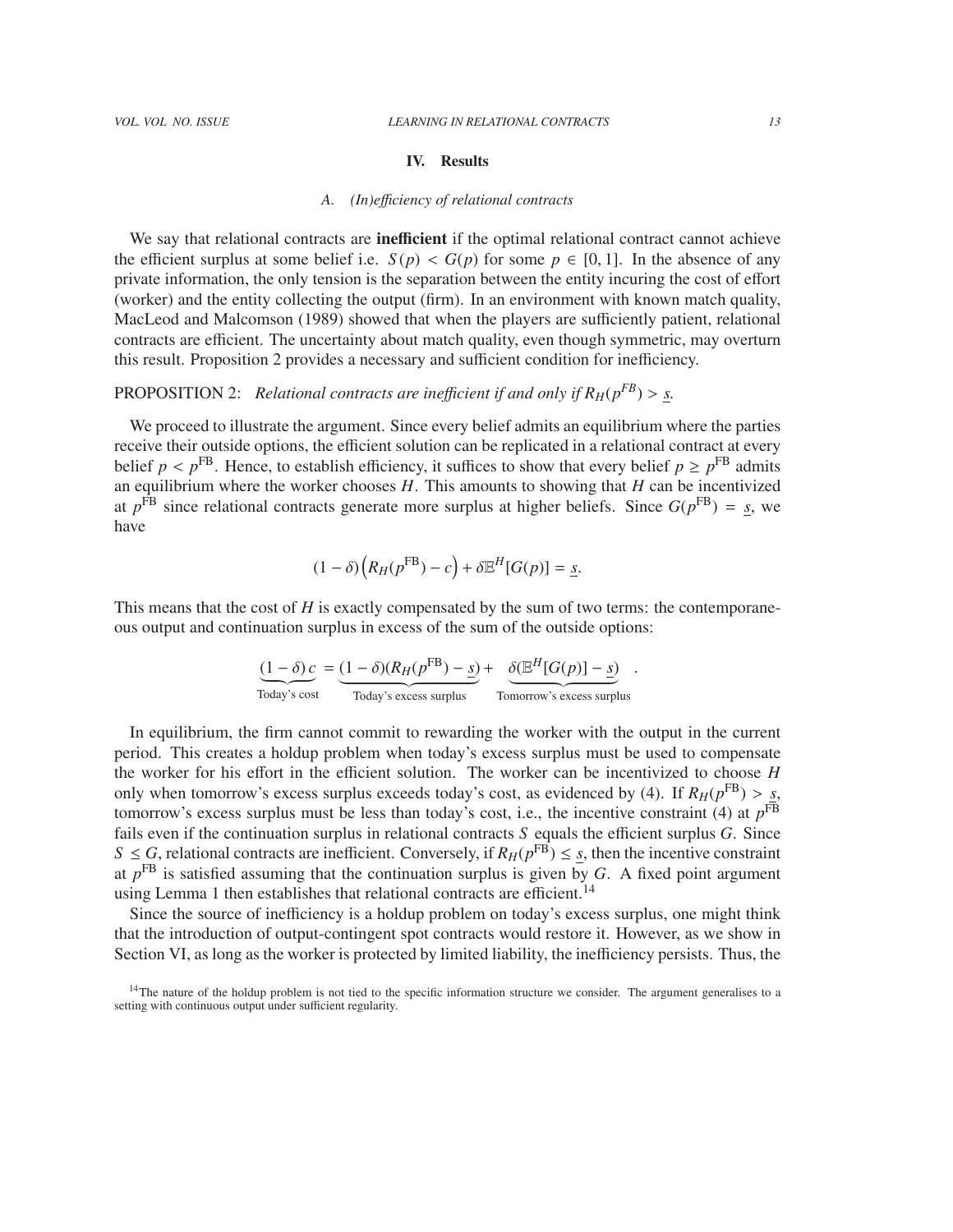#### IV. Results

#### *A. (In)e*ffi*ciency of relational contracts*

We say that relational contracts are inefficient if the optimal relational contract cannot achieve the efficient surplus at some belief i.e.  $S(p) < G(p)$  for some  $p \in [0,1]$ . In the absence of any private information, the only tension is the separation between the entity incuring the cost of effort (worker) and the entity collecting the output (firm). In an environment with known match quality, MacLeod and Malcomson (1989) showed that when the players are sufficiently patient, relational contracts are efficient. The uncertainty about match quality, even though symmetric, may overturn this result. Proposition 2 provides a necessary and sufficient condition for inefficiency.

# PROPOSITION 2: *Relational contracts are inefficient if and only if*  $R_H(p^{FB}) > S$ .

We proceed to illustrate the argument. Since every belief admits an equilibrium where the parties receive their outside options, the efficient solution can be replicated in a relational contract at every belief  $p < p<sup>FB</sup>$ . Hence, to establish efficiency, it suffices to show that every belief  $p \ge p<sup>FB</sup>$  admits an equilibrium where the worker chooses *H*. This amounts to showing that *H* can be incentivized <sup>FB</sup>. Hence, to establish efficiency, it suffices to show that every belief  $p \ge p^{\text{FB}}$  admits at  $p^{\text{FB}}$  since relational contracts generate more surplus at higher beliefs. Since  $G(p^{\text{FB}}) = s$ , we have

$$
(1 - \delta) (R_H(p^{\text{FB}}) - c) + \delta \mathbb{E}^H[G(p)] = \underline{s}.
$$

This means that the cost of *H* is exactly compensated by the sum of two terms: the contemporaneous output and continuation surplus in excess of the sum of the outside options:

$$
\underbrace{(1-\delta) c}_{\text{Today's cost}} = \underbrace{(1-\delta)(R_H(p^{\text{FB}}) - \underline{s})}_{\text{Today's excess surplus}} + \underbrace{\delta(\mathbb{E}^H[G(p)] - \underline{s})}_{\text{Tomorrow's excess surplus}}
$$

In equilibrium, the firm cannot commit to rewarding the worker with the output in the current period. This creates a holdup problem when today's excess surplus must be used to compensate the worker for his effort in the efficient solution. The worker can be incentivized to choose *H* only when tomorrow's excess surplus exceeds today's cost, as evidenced by (4). If  $R_H(p^{\text{FB}}) > s$ , tomorrow's excess surplus must be less than today's cost, i.e., the incentive constraint (4) at  $n^{\text{FB}}$ tomorrow's excess surplus must be less than today's cost, i.e., the incentive constraint (4) at *p* FB fails even if the continuation surplus in relational contracts *S* equals the efficient surplus *G*. Since *S*  $\le$  *G*, relational contracts are inefficient. Conversely, if  $R_H(p^{FB}) \leq s$ , then the incentive constraint at *p* FB is satisfied assuming that the continuation surplus is given by *G*. A fixed point argument using Lemma 1 then establishes that relational contracts are efficient.<sup>14</sup>

Since the source of inefficiency is a holdup problem on today's excess surplus, one might think that the introduction of output-contingent spot contracts would restore it. However, as we show in Section VI, as long as the worker is protected by limited liability, the inefficiency persists. Thus, the

<sup>&</sup>lt;sup>14</sup>The nature of the holdup problem is not tied to the specific information structure we consider. The argument generalises to a setting with continuous output under sufficient regularity.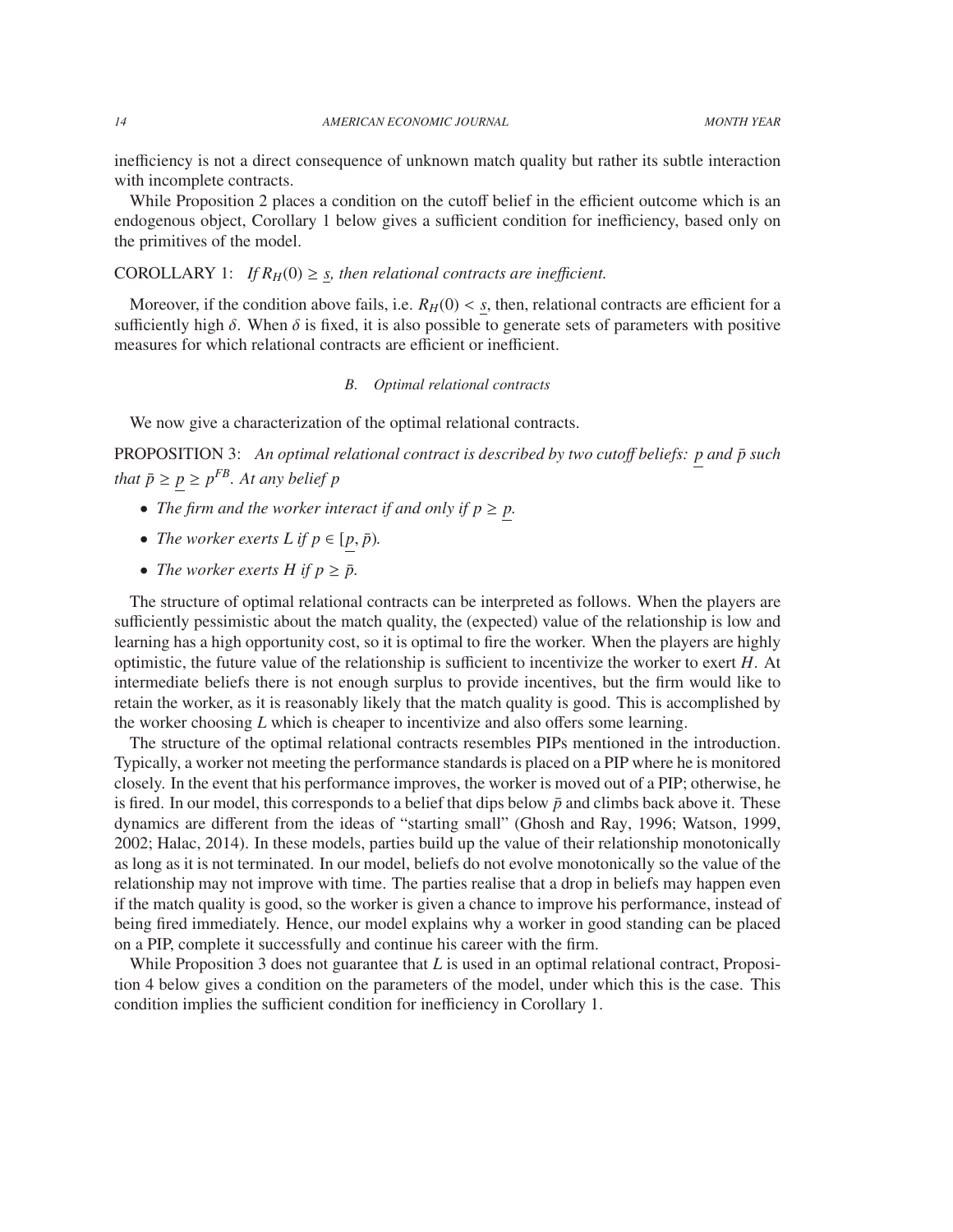inefficiency is not a direct consequence of unknown match quality but rather its subtle interaction with incomplete contracts.

While Proposition 2 places a condition on the cutoff belief in the efficient outcome which is an endogenous object, Corollary 1 below gives a sufficient condition for inefficiency, based only on the primitives of the model.

# COROLLARY 1: *If*  $R_H(0) \geq s$ , then relational contracts are inefficient.

Moreover, if the condition above fails, i.e.  $R_H(0) < s$ , then, relational contracts are efficient for a sufficiently high  $\delta$ . When  $\delta$  is fixed, it is also possible to generate sets of parameters with positive measures for which relational contracts are efficient or inefficient.

# *B. Optimal relational contracts*

We now give a characterization of the optimal relational contracts.

PROPOSITION 3: An optimal relational contract is described by two cutoff beliefs: p and  $\bar{p}$  such *that*  $\bar{p} \ge p \ge p^{FB}$ *. At any belief*  $p$ 

- *The firm and the worker interact if and only if*  $p \geq p$ *.*
- *The worker exerts L if*  $p \in [p, \bar{p})$ *.*
- *The worker exerts H if*  $p \geq \bar{p}$ .

The structure of optimal relational contracts can be interpreted as follows. When the players are sufficiently pessimistic about the match quality, the (expected) value of the relationship is low and learning has a high opportunity cost, so it is optimal to fire the worker. When the players are highly optimistic, the future value of the relationship is sufficient to incentivize the worker to exert *H*. At intermediate beliefs there is not enough surplus to provide incentives, but the firm would like to retain the worker, as it is reasonably likely that the match quality is good. This is accomplished by the worker choosing *L* which is cheaper to incentivize and also offers some learning.

The structure of the optimal relational contracts resembles PIPs mentioned in the introduction. Typically, a worker not meeting the performance standards is placed on a PIP where he is monitored closely. In the event that his performance improves, the worker is moved out of a PIP; otherwise, he is fired. In our model, this corresponds to a belief that dips below  $\bar{p}$  and climbs back above it. These dynamics are different from the ideas of "starting small" (Ghosh and Ray, 1996; Watson, 1999, 2002; Halac, 2014). In these models, parties build up the value of their relationship monotonically as long as it is not terminated. In our model, beliefs do not evolve monotonically so the value of the relationship may not improve with time. The parties realise that a drop in beliefs may happen even if the match quality is good, so the worker is given a chance to improve his performance, instead of being fired immediately. Hence, our model explains why a worker in good standing can be placed on a PIP, complete it successfully and continue his career with the firm.

While Proposition 3 does not guarantee that *L* is used in an optimal relational contract, Proposition 4 below gives a condition on the parameters of the model, under which this is the case. This condition implies the sufficient condition for inefficiency in Corollary 1.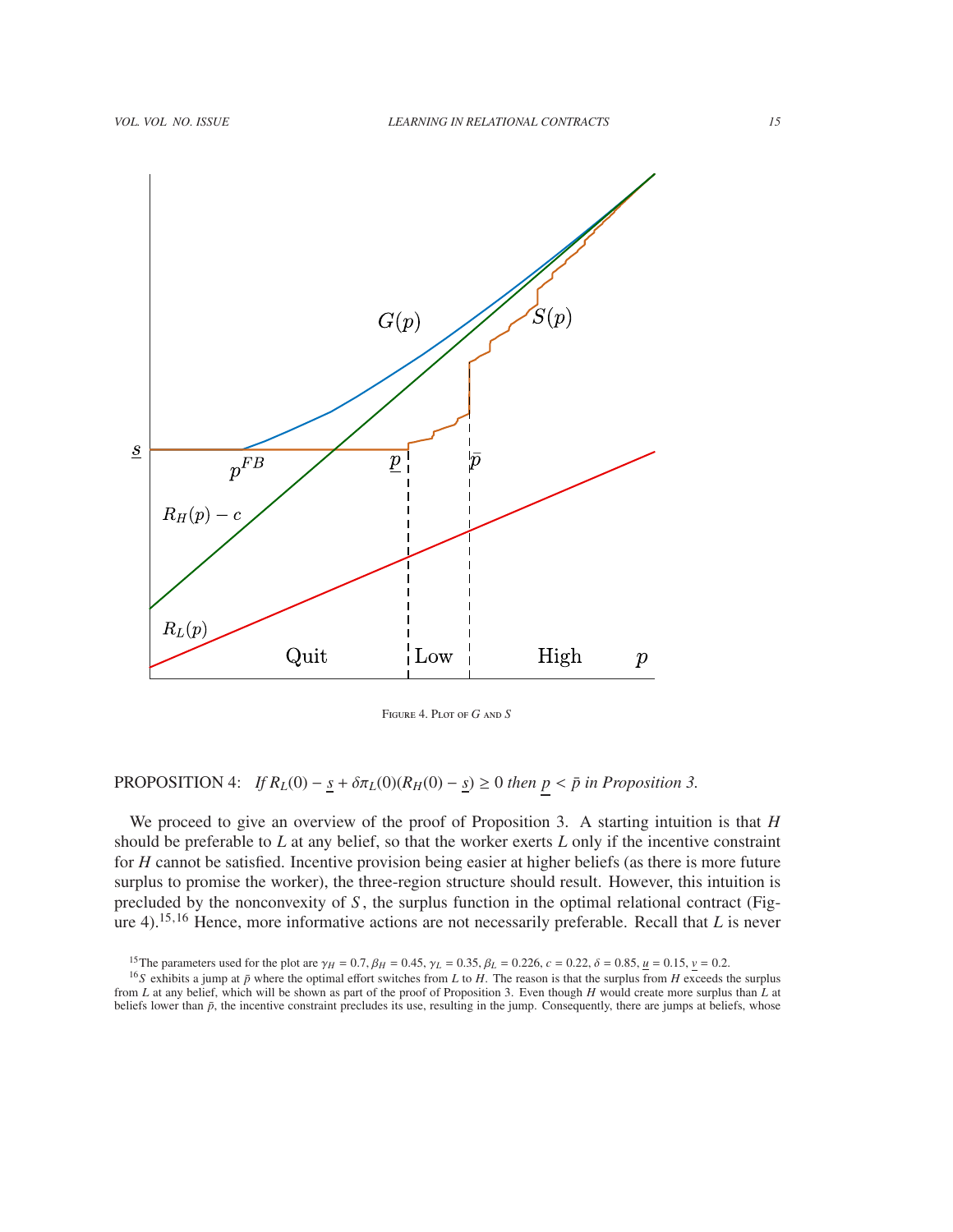

Figure 4. Plot of *G* and *S*

# PROPOSITION 4: *If*  $R_L(0) - \underline{s} + \delta \pi_L(0)(R_H(0) - \underline{s}) \ge 0$  *then*  $p < \bar{p}$  *in Proposition 3.*

We proceed to give an overview of the proof of Proposition 3. A starting intuition is that *H* should be preferable to *L* at any belief, so that the worker exerts *L* only if the incentive constraint for *H* cannot be satisfied. Incentive provision being easier at higher beliefs (as there is more future surplus to promise the worker), the three-region structure should result. However, this intuition is precluded by the nonconvexity of *S* , the surplus function in the optimal relational contract (Figure 4).<sup>15,16</sup> Hence, more informative actions are not necessarily preferable. Recall that *L* is never

<sup>&</sup>lt;sup>15</sup>The parameters used for the plot are  $\gamma_H = 0.7$ ,  $\beta_H = 0.45$ ,  $\gamma_L = 0.35$ ,  $\beta_L = 0.226$ ,  $c = 0.22$ ,  $\delta = 0.85$ ,  $\mu = 0.15$ ,  $\nu = 0.2$ .

<sup>&</sup>lt;sup>16</sup>S exhibits a jump at  $\bar{p}$  where the optimal effort switches from *L* to *H*. The reason is that the surplus from *H* exceeds the surplus from *L* at any belief, which will be shown as part of the proof of Proposition 3. Even though *H* would create more surplus than *L* at beliefs lower than  $\bar{p}$ , the incentive constraint precludes its use, resulting in the jump. Consequently, there are jumps at beliefs, whose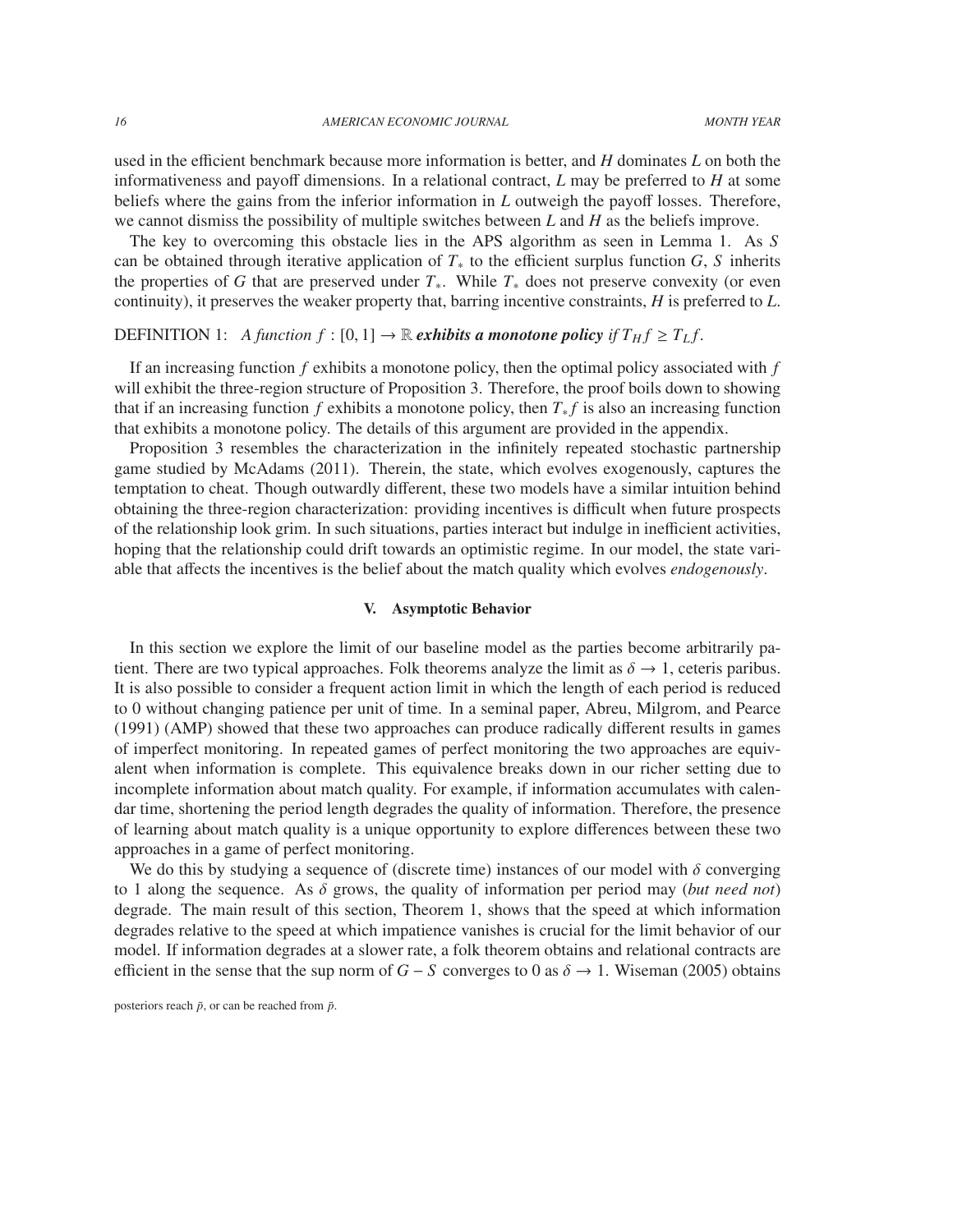used in the efficient benchmark because more information is better, and *H* dominates *L* on both the informativeness and payoff dimensions. In a relational contract, *L* may be preferred to *H* at some beliefs where the gains from the inferior information in *L* outweigh the payoff losses. Therefore, we cannot dismiss the possibility of multiple switches between *L* and *H* as the beliefs improve.

The key to overcoming this obstacle lies in the APS algorithm as seen in Lemma 1. As *S* can be obtained through iterative application of  $T_*$  to the efficient surplus function  $G, S$  inherits the properties of *G* that are preserved under  $T_*$ . While  $T_*$  does not preserve convexity (or even continuity), it preserves the weaker property that, barring incentive constraints, *H* is preferred to *L*.

# DEFINITION 1: *A function*  $f : [0, 1] \rightarrow \mathbb{R}$  *exhibits a monotone policy if*  $T_H f \geq T_L f$ .

If an increasing function *f* exhibits a monotone policy, then the optimal policy associated with *f* will exhibit the three-region structure of Proposition 3. Therefore, the proof boils down to showing that if an increasing function *f* exhibits a monotone policy, then  $T_* f$  is also an increasing function that exhibits a monotone policy. The details of this argument are provided in the appendix.

Proposition 3 resembles the characterization in the infinitely repeated stochastic partnership game studied by McAdams (2011). Therein, the state, which evolves exogenously, captures the temptation to cheat. Though outwardly different, these two models have a similar intuition behind obtaining the three-region characterization: providing incentives is difficult when future prospects of the relationship look grim. In such situations, parties interact but indulge in inefficient activities, hoping that the relationship could drift towards an optimistic regime. In our model, the state variable that affects the incentives is the belief about the match quality which evolves *endogenously*.

# V. Asymptotic Behavior

In this section we explore the limit of our baseline model as the parties become arbitrarily patient. There are two typical approaches. Folk theorems analyze the limit as  $\delta \rightarrow 1$ , ceteris paribus. It is also possible to consider a frequent action limit in which the length of each period is reduced to 0 without changing patience per unit of time. In a seminal paper, Abreu, Milgrom, and Pearce (1991) (AMP) showed that these two approaches can produce radically different results in games of imperfect monitoring. In repeated games of perfect monitoring the two approaches are equivalent when information is complete. This equivalence breaks down in our richer setting due to incomplete information about match quality. For example, if information accumulates with calendar time, shortening the period length degrades the quality of information. Therefore, the presence of learning about match quality is a unique opportunity to explore differences between these two approaches in a game of perfect monitoring.

We do this by studying a sequence of (discrete time) instances of our model with  $\delta$  converging to 1 along the sequence. As  $\delta$  grows, the quality of information per period may (*but need not*) degrade. The main result of this section, Theorem 1, shows that the speed at which information degrades relative to the speed at which impatience vanishes is crucial for the limit behavior of our model. If information degrades at a slower rate, a folk theorem obtains and relational contracts are efficient in the sense that the sup norm of  $G - S$  converges to 0 as  $\delta \rightarrow 1$ . Wiseman (2005) obtains

posteriors reach  $\bar{p}$ , or can be reached from  $\bar{p}$ .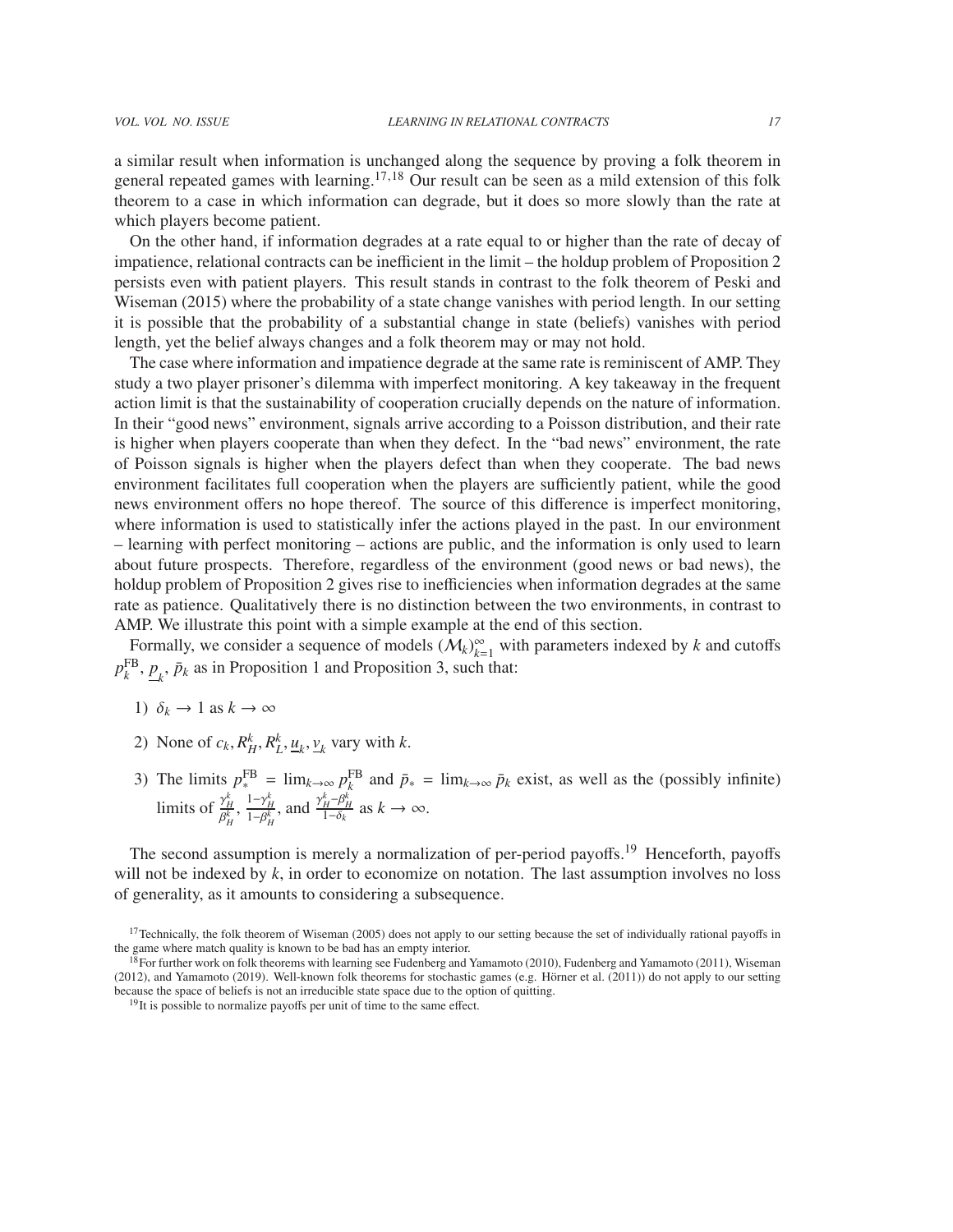a similar result when information is unchanged along the sequence by proving a folk theorem in general repeated games with learning.<sup>17,18</sup> Our result can be seen as a mild extension of this folk theorem to a case in which information can degrade, but it does so more slowly than the rate at which players become patient.

On the other hand, if information degrades at a rate equal to or higher than the rate of decay of impatience, relational contracts can be inefficient in the limit – the holdup problem of Proposition 2 persists even with patient players. This result stands in contrast to the folk theorem of Peski and Wiseman (2015) where the probability of a state change vanishes with period length. In our setting it is possible that the probability of a substantial change in state (beliefs) vanishes with period length, yet the belief always changes and a folk theorem may or may not hold.

The case where information and impatience degrade at the same rate is reminiscent of AMP. They study a two player prisoner's dilemma with imperfect monitoring. A key takeaway in the frequent action limit is that the sustainability of cooperation crucially depends on the nature of information. In their "good news" environment, signals arrive according to a Poisson distribution, and their rate is higher when players cooperate than when they defect. In the "bad news" environment, the rate of Poisson signals is higher when the players defect than when they cooperate. The bad news environment facilitates full cooperation when the players are sufficiently patient, while the good news environment offers no hope thereof. The source of this difference is imperfect monitoring, where information is used to statistically infer the actions played in the past. In our environment – learning with perfect monitoring – actions are public, and the information is only used to learn about future prospects. Therefore, regardless of the environment (good news or bad news), the holdup problem of Proposition 2 gives rise to inefficiencies when information degrades at the same rate as patience. Qualitatively there is no distinction between the two environments, in contrast to AMP. We illustrate this point with a simple example at the end of this section.

Formally, we consider a sequence of models  $(M_k)_{k=1}^{\infty}$  with parameters indexed by *k* and cutoffs  $p_k^{\text{FB}}$ ,  $\underline{p}_k$ ,  $\bar{p}_k$  as in Proposition 1 and Proposition 3, such that:

- 1)  $\delta_k \to 1$  as  $k \to \infty$
- 2) None of  $c_k$ ,  $R_H^k$ ,  $R_L^k$ ,  $\underline{u}_k$ ,  $\underline{v}_k$  vary with *k*.
- 3) The limits  $p_*^{\text{FB}} = \lim_{k \to \infty} p_k^{\text{FB}}$  and  $\bar{p}_* = \lim_{k \to \infty} \bar{p}_k$  exist, as well as the (possibly infinite) limits of  $\frac{\gamma_H^k}{\rho k}$  $\frac{\gamma_H^k}{\beta_H^k}$ ,  $\frac{1-\gamma_H^k}{1-\beta_H^k}$ , and  $\frac{\gamma_H^k-\beta_H^k}{1-\delta_k}$  as  $k \to \infty$ .

The second assumption is merely a normalization of per-period payoffs.<sup>19</sup> Henceforth, payoffs will not be indexed by *k*, in order to economize on notation. The last assumption involves no loss of generality, as it amounts to considering a subsequence.

 $17$ Technically, the folk theorem of Wiseman (2005) does not apply to our setting because the set of individually rational payoffs in the game where match quality is known to be bad has an empty interior.

<sup>18</sup>For further work on folk theorems with learning see Fudenberg and Yamamoto (2010), Fudenberg and Yamamoto (2011), Wiseman (2012), and Yamamoto (2019). Well-known folk theorems for stochastic games (e.g. Hörner et al. (2011)) do not apply to our setting because the space of beliefs is not an irreducible state space due to the option of quitting.

<sup>&</sup>lt;sup>19</sup>It is possible to normalize payoffs per unit of time to the same effect.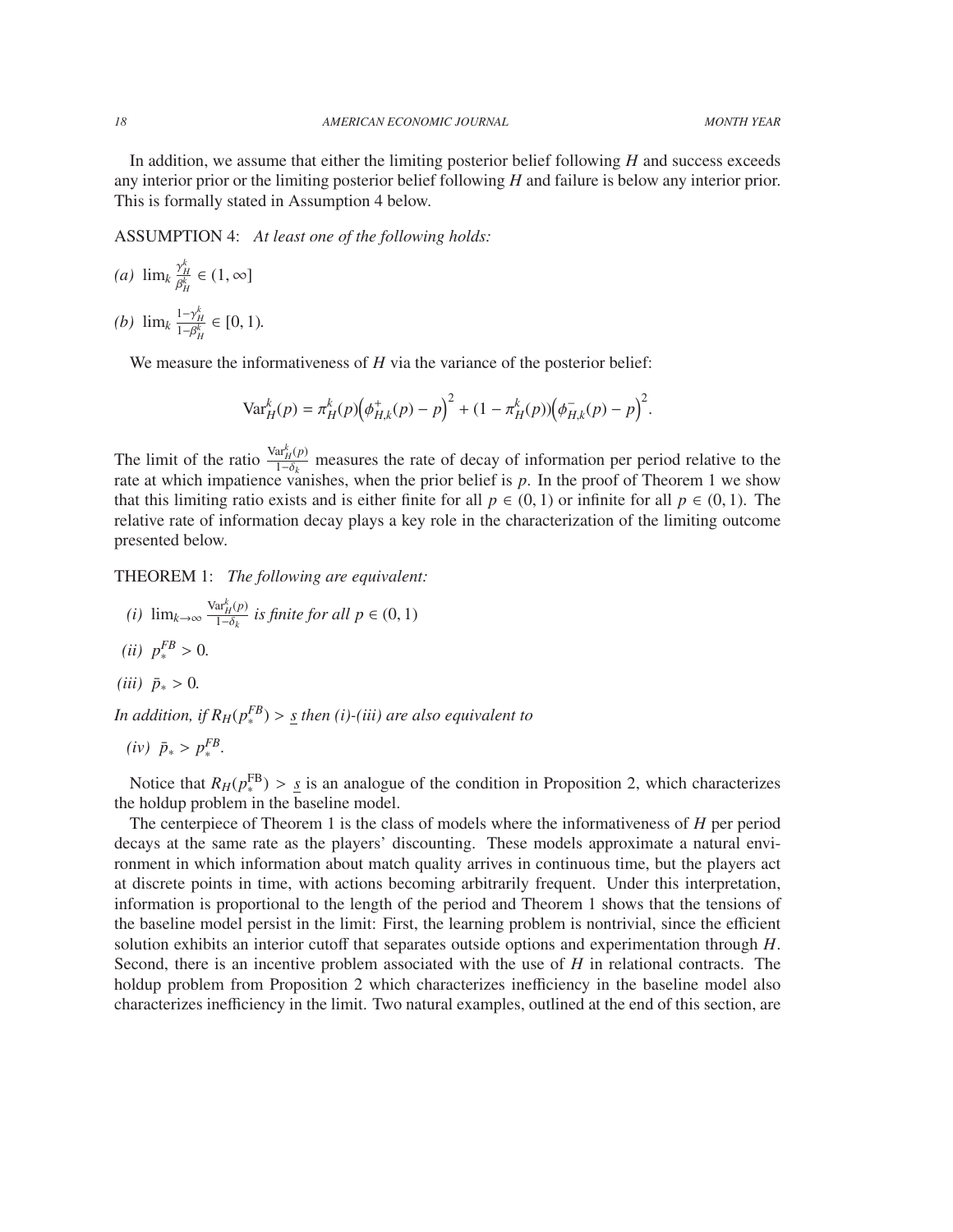In addition, we assume that either the limiting posterior belief following *H* and success exceeds any interior prior or the limiting posterior belief following *H* and failure is below any interior prior. This is formally stated in Assumption 4 below.

ASSUMPTION 4: *At least one of the following holds:*

*(a)*  $\lim_{k} \frac{\gamma_H^k}{\beta^k}$  $\frac{\gamma_H}{\beta_H^k} \in (1, \infty]$ *(b)*  $\lim_{k} \frac{1-\gamma_H^k}{1-\beta_H^k} \in [0, 1)$ *.* 

We measure the informativeness of *H* via the variance of the posterior belief:

$$
\text{Var}_{H}^{k}(p) = \pi_{H}^{k}(p) \Big(\phi_{H,k}^{+}(p) - p\Big)^{2} + (1 - \pi_{H}^{k}(p)) \Big(\phi_{H,k}^{-}(p) - p\Big)^{2}
$$

The limit of the ratio  $\frac{\text{Var}_{H}^{k}(p)}{1-\delta}$  $\frac{1-\delta_k}{1-\delta_k}$  measures the rate of decay of information per period relative to the examishes when the prior belief is *n*. In the proof of Theorem 1 we show rate at which impatience vanishes, when the prior belief is *p*. In the proof of Theorem 1 we show that this limiting ratio exists and is either finite for all  $p \in (0, 1)$  or infinite for all  $p \in (0, 1)$ . The relative rate of information decay plays a key role in the characterization of the limiting outcome presented below.

THEOREM 1: *The following are equivalent:*

- *(i)* lim<sub>*k*→∞</sub>  $\frac{\text{Var}_{H}^{k}(p)}{1-\delta_{k}}$  $\frac{a_{H}(p)}{1-\delta_{k}}$  *is finite for all*  $p \in (0,1)$
- $(iii)$   $p_*^{FB} > 0.$
- $(iii)$   $\bar{p}_* > 0$ .

*In addition, if*  $R_H(p_*^{FB}) > S$  *then (i)-(iii) are also equivalent to* 

$$
(iv) \ \ \bar{p}_* > p_*^{FB}.
$$

Notice that  $R_H(p_F^{\text{FB}}) > \frac{s}{s}$  is an analogue of the condition in Proposition 2, which characterizes the holdup problem in the baseline model.

The centerpiece of Theorem 1 is the class of models where the informativeness of *H* per period decays at the same rate as the players' discounting. These models approximate a natural environment in which information about match quality arrives in continuous time, but the players act at discrete points in time, with actions becoming arbitrarily frequent. Under this interpretation, information is proportional to the length of the period and Theorem 1 shows that the tensions of the baseline model persist in the limit: First, the learning problem is nontrivial, since the efficient solution exhibits an interior cutoff that separates outside options and experimentation through *H*. Second, there is an incentive problem associated with the use of *H* in relational contracts. The holdup problem from Proposition 2 which characterizes inefficiency in the baseline model also characterizes inefficiency in the limit. Two natural examples, outlined at the end of this section, are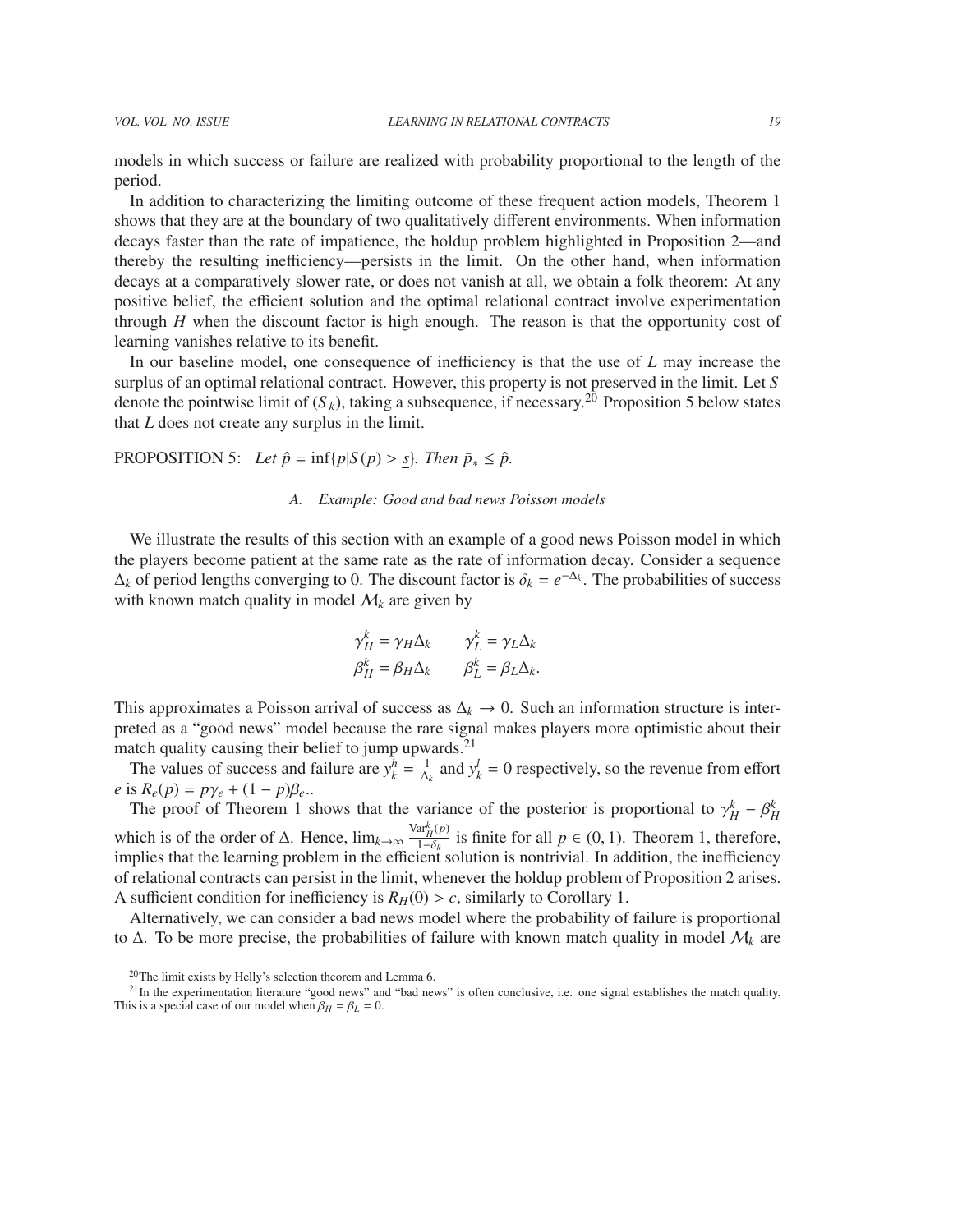models in which success or failure are realized with probability proportional to the length of the period.

In addition to characterizing the limiting outcome of these frequent action models, Theorem 1 shows that they are at the boundary of two qualitatively different environments. When information decays faster than the rate of impatience, the holdup problem highlighted in Proposition 2—and thereby the resulting inefficiency—persists in the limit. On the other hand, when information decays at a comparatively slower rate, or does not vanish at all, we obtain a folk theorem: At any positive belief, the efficient solution and the optimal relational contract involve experimentation through *H* when the discount factor is high enough. The reason is that the opportunity cost of learning vanishes relative to its benefit.

In our baseline model, one consequence of inefficiency is that the use of *L* may increase the surplus of an optimal relational contract. However, this property is not preserved in the limit. Let *S* denote the pointwise limit of  $(S_k)$ , taking a subsequence, if necessary.<sup>20</sup> Proposition 5 below states that *L* does not create any surplus in the limit.

**PROPOSITION** 5: *Let*  $\hat{p} = \inf\{p|S(p) > s\}$ *. Then*  $\bar{p}_* \leq \hat{p}$ *.* 

#### *A. Example: Good and bad news Poisson models*

We illustrate the results of this section with an example of a good news Poisson model in which the players become patient at the same rate as the rate of information decay. Consider a sequence  $\Delta_k$  of period lengths converging to 0. The discount factor is  $\delta_k = e^{-\Delta_k}$ . The probabilities of success with known match quality in model  $M_k$  are given by with known match quality in model  $M_k$  are given by

$$
\gamma_H^k = \gamma_H \Delta_k \qquad \gamma_L^k = \gamma_L \Delta_k \n\beta_H^k = \beta_H \Delta_k \qquad \beta_L^k = \beta_L \Delta_k.
$$

This approximates a Poisson arrival of success as  $\Delta_k \to 0$ . Such an information structure is interpreted as a "good news" model because the rare signal makes players more optimistic about their match quality causing their belief to jump upwards.<sup>21</sup>

The values of success and failure are  $y_k^h = \frac{1}{\Delta_k}$  $\frac{1}{\Delta_k}$  and  $y_k^l = 0$  respectively, so the revenue from effort  $e$  is  $R_e(p) = p\gamma_e + (1-p)\beta_e$ ...

The proof of Theorem 1 shows that the variance of the posterior is proportional to  $\gamma_H^k - \beta_H^k$  $k \atop H} - \beta_R^k$ which is of the order of  $\Delta$ . Hence,  $\lim_{k\to\infty} \frac{\text{Var}_H^k(p)}{1-\delta_k}$  $\frac{\partial u_H(p)}{\partial \phi}$  is finite for all  $p \in (0, 1)$ . Theorem 1, therefore, i.ent solution is nontrivial. In addition the inefficiency implies that the learning problem in the efficient solution is nontrivial. In addition, the inefficiency of relational contracts can persist in the limit, whenever the holdup problem of Proposition 2 arises. A sufficient condition for inefficiency is  $R_H(0) > c$ , similarly to Corollary 1.

Alternatively, we can consider a bad news model where the probability of failure is proportional to ∆. To be more precise, the probabilities of failure with known match quality in model M*<sup>k</sup>* are

<sup>20</sup>The limit exists by Helly's selection theorem and Lemma 6.

 $21$ In the experimentation literature "good news" and "bad news" is often conclusive, i.e. one signal establishes the match quality. This is a special case of our model when  $\beta_H = \beta_L = 0$ .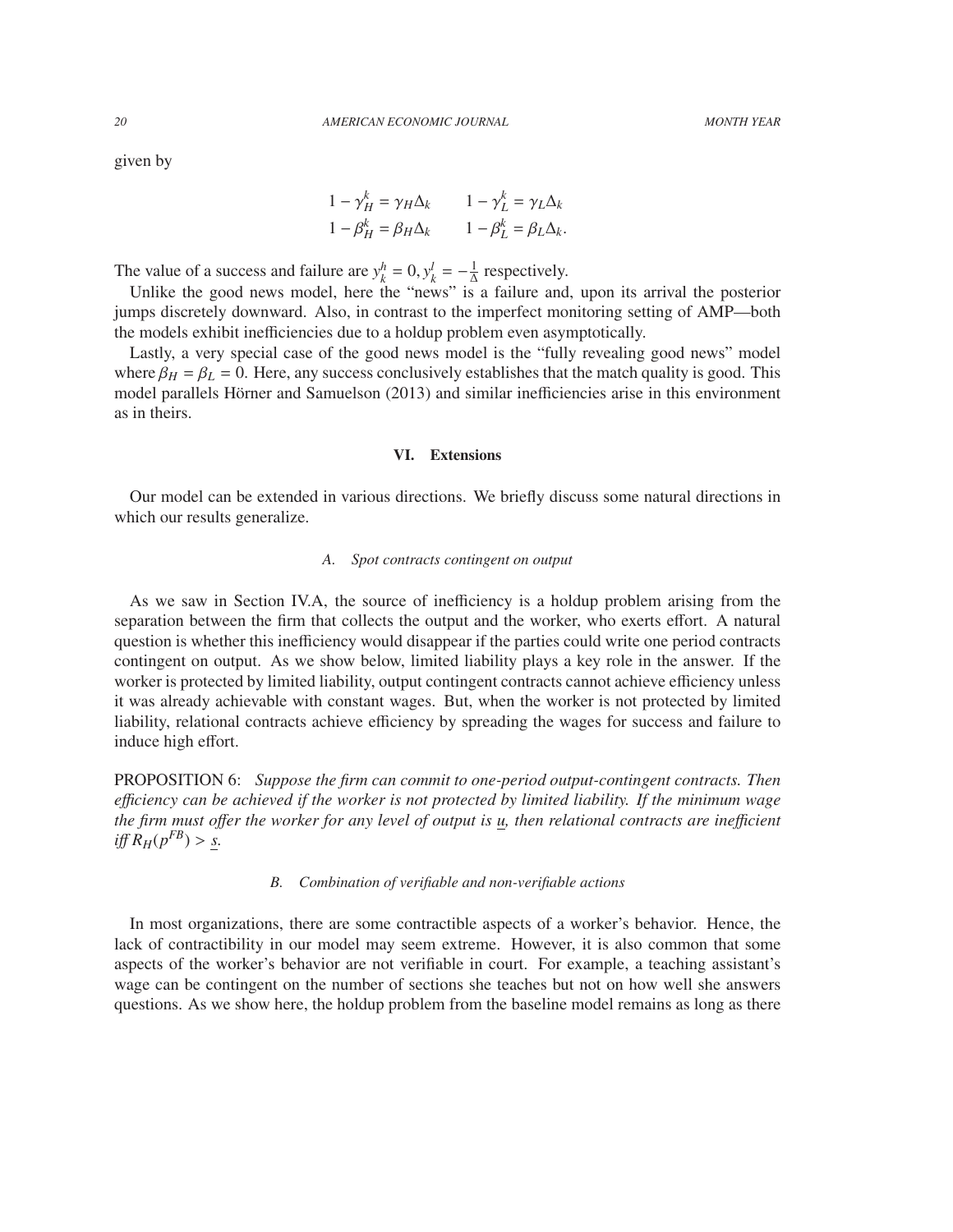given by

$$
1 - \gamma_H^k = \gamma_H \Delta_k \qquad 1 - \gamma_L^k = \gamma_L \Delta_k
$$
  

$$
1 - \beta_H^k = \beta_H \Delta_k \qquad 1 - \beta_L^k = \beta_L \Delta_k.
$$

The value of a success and failure are  $y_k^h = 0$ ,  $y_k^l = -\frac{1}{\Delta}$ <br>
In like the good news model, here the "news" is  $\frac{1}{\Delta}$  respectively.

Unlike the good news model, here the "news" is a failure and, upon its arrival the posterior jumps discretely downward. Also, in contrast to the imperfect monitoring setting of AMP—both the models exhibit inefficiencies due to a holdup problem even asymptotically.

Lastly, a very special case of the good news model is the "fully revealing good news" model where  $\beta_H = \beta_L = 0$ . Here, any success conclusively establishes that the match quality is good. This model parallels Hörner and Samuelson (2013) and similar inefficiencies arise in this environment as in theirs.

#### VI. Extensions

Our model can be extended in various directions. We briefly discuss some natural directions in which our results generalize.

#### *A. Spot contracts contingent on output*

As we saw in Section IV.A, the source of inefficiency is a holdup problem arising from the separation between the firm that collects the output and the worker, who exerts effort. A natural question is whether this inefficiency would disappear if the parties could write one period contracts contingent on output. As we show below, limited liability plays a key role in the answer. If the worker is protected by limited liability, output contingent contracts cannot achieve efficiency unless it was already achievable with constant wages. But, when the worker is not protected by limited liability, relational contracts achieve efficiency by spreading the wages for success and failure to induce high effort.

PROPOSITION 6: *Suppose the firm can commit to one-period output-contingent contracts. Then e*ffi*ciency can be achieved if the worker is not protected by limited liability. If the minimum wage the firm must o*ff*er the worker for any level of output is u, then relational contracts are ine*ffi*cient*  $\inf R_H(p^{FB}) > S.$ 

#### *B. Combination of verifiable and non-verifiable actions*

In most organizations, there are some contractible aspects of a worker's behavior. Hence, the lack of contractibility in our model may seem extreme. However, it is also common that some aspects of the worker's behavior are not verifiable in court. For example, a teaching assistant's wage can be contingent on the number of sections she teaches but not on how well she answers questions. As we show here, the holdup problem from the baseline model remains as long as there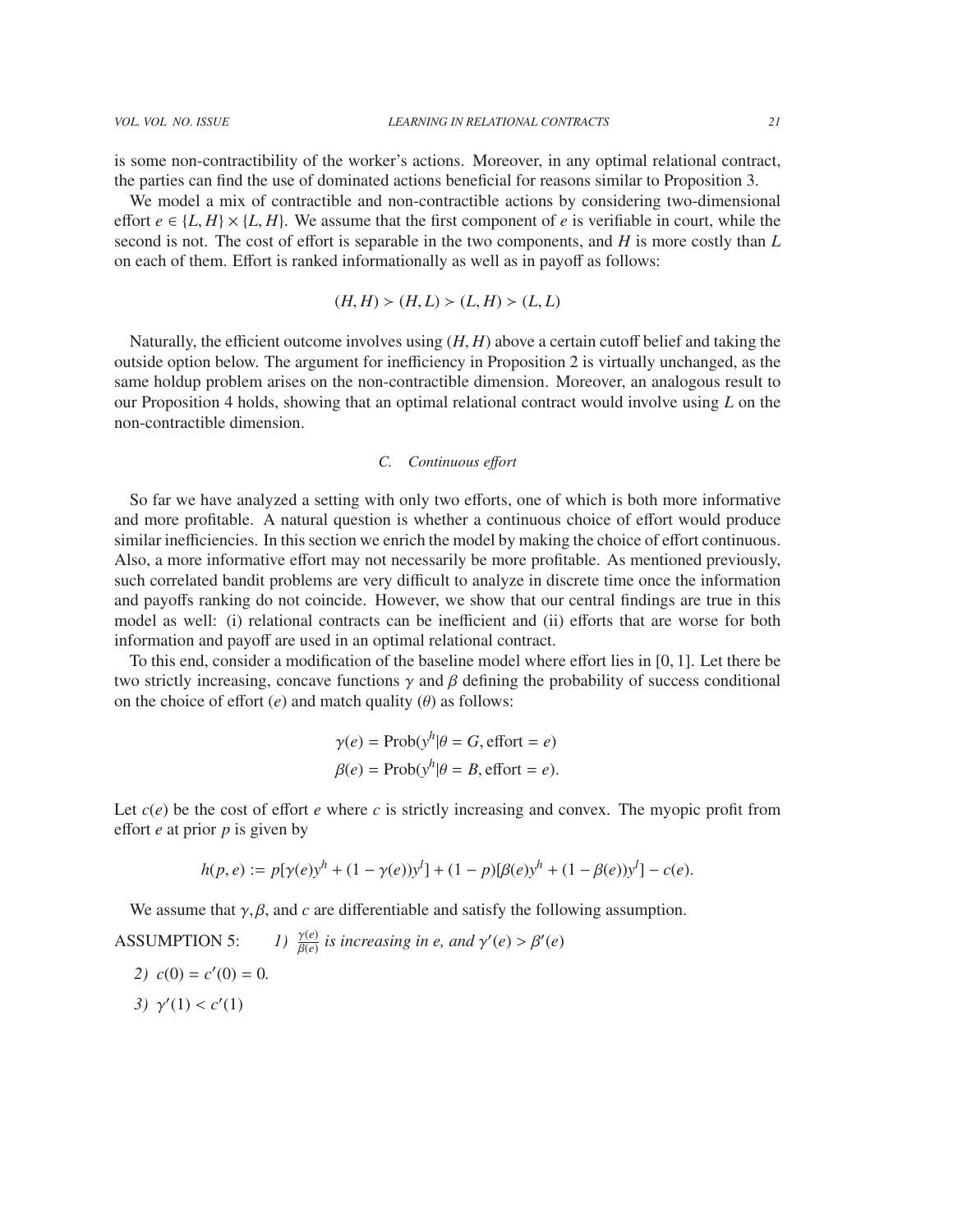is some non-contractibility of the worker's actions. Moreover, in any optimal relational contract, the parties can find the use of dominated actions beneficial for reasons similar to Proposition 3.

We model a mix of contractible and non-contractible actions by considering two-dimensional effort  $e \in \{L, H\} \times \{L, H\}$ . We assume that the first component of *e* is verifiable in court, while the second is not. The cost of effort is separable in the two components, and *H* is more costly than *L* on each of them. Effort is ranked informationally as well as in payoff as follows:

$$
(H, H) \succ (H, L) \succ (L, H) \succ (L, L)
$$

Naturally, the efficient outcome involves using (*H*, *<sup>H</sup>*) above a certain cutoff belief and taking the outside option below. The argument for inefficiency in Proposition 2 is virtually unchanged, as the same holdup problem arises on the non-contractible dimension. Moreover, an analogous result to our Proposition 4 holds, showing that an optimal relational contract would involve using *L* on the non-contractible dimension.

# *C. Continuous e*ff*ort*

So far we have analyzed a setting with only two efforts, one of which is both more informative and more profitable. A natural question is whether a continuous choice of effort would produce similar inefficiencies. In this section we enrich the model by making the choice of effort continuous. Also, a more informative effort may not necessarily be more profitable. As mentioned previously, such correlated bandit problems are very difficult to analyze in discrete time once the information and payoffs ranking do not coincide. However, we show that our central findings are true in this model as well: (i) relational contracts can be inefficient and (ii) efforts that are worse for both information and payoff are used in an optimal relational contract.

To this end, consider a modification of the baseline model where effort lies in [0, 1]. Let there be two strictly increasing, concave functions  $\gamma$  and  $\beta$  defining the probability of success conditional on the choice of effort  $(e)$  and match quality  $(\theta)$  as follows:

$$
\gamma(e) = \text{Prob}(y^h | \theta = G, \text{effort} = e)
$$
  
 $\beta(e) = \text{Prob}(y^h | \theta = B, \text{effort} = e).$ 

Let  $c(e)$  be the cost of effort *e* where *c* is strictly increasing and convex. The myopic profit from effort *e* at prior *p* is given by

$$
h(p,e) := p[\gamma(e)y^{h} + (1 - \gamma(e))y^{l}] + (1 - p)[\beta(e)y^{h} + (1 - \beta(e))y^{l}] - c(e).
$$

We assume that  $\gamma$ ,  $\beta$ , and  $c$  are differentiable and satisfy the following assumption.

**ASSUMPTION 5:**  $\frac{\gamma(e)}{\beta(e)}$  is increasing in e, and  $\gamma'(e) > \beta'(e)$ 

2)  $c(0) = c'(0) = 0$ . 3)  $\gamma'(1) < c'(1)$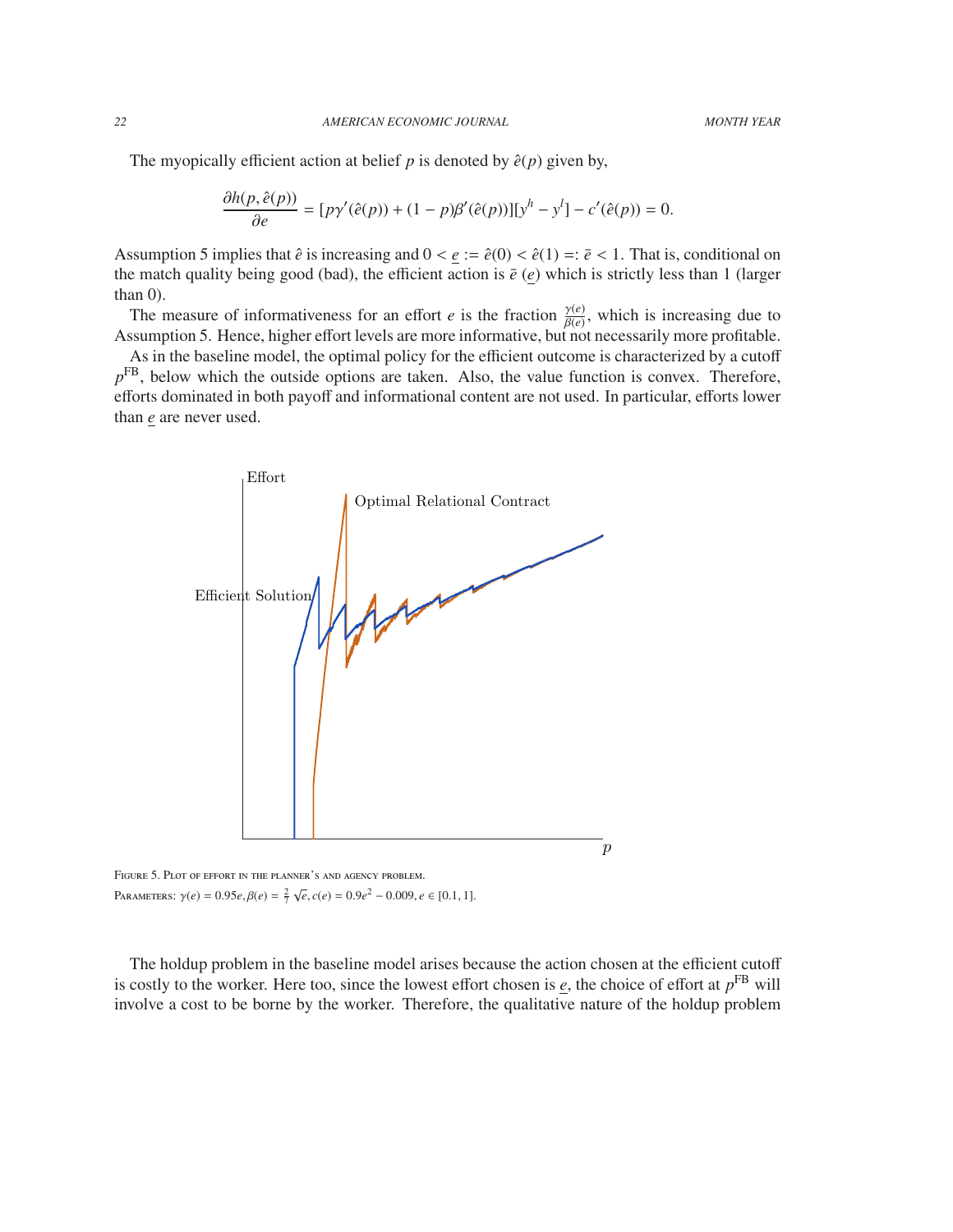The myopically efficient action at belief  $p$  is denoted by  $\hat{e}(p)$  given by,

$$
\frac{\partial h(p, \hat{e}(p))}{\partial e} = [p\gamma'(\hat{e}(p)) + (1-p)\beta'(\hat{e}(p))] [y^h - y^l] - c'(\hat{e}(p)) = 0.
$$

Assumption 5 implies that  $\hat{e}$  is increasing and  $0 < \underline{e} := \hat{e}(0) < \hat{e}(1) =: \overline{e} < 1$ . That is, conditional on the match quality being good (bad), the efficient action is  $\bar{e}$  (*e*) which is strictly less than 1 (larger than  $0$ ).

The measure of informativeness for an effort *e* is the fraction  $\frac{\gamma(e)}{\beta(e)}$  $\frac{\gamma(e)}{\beta(e)}$ , which is increasing due to the necessarily more profitable. Assumption 5. Hence, higher effort levels are more informative, but not necessarily more profitable.

As in the baseline model, the optimal policy for the efficient outcome is characterized by a cutoff  $p<sup>FB</sup>$ , below which the outside options are taken. Also, the value function is convex. Therefore, efforts dominated in both payoff and informational content are not used. In particular, efforts lower than *e* are never used.



Parameters:  $\gamma(e) = 0.95e, \beta(e) = \frac{2}{7}$  $√e$ , *c*(*e*) = 0.9*e*<sup>2</sup> − 0.009, *e* ∈ [0.1, 1].

The holdup problem in the baseline model arises because the action chosen at the efficient cutoff is costly to the worker. Here too, since the lowest effort chosen is  $\epsilon$ , the choice of effort at  $p^{FB}$  will involve a cost to be borne by the worker. Therefore, the qualitative nature of the holdup problem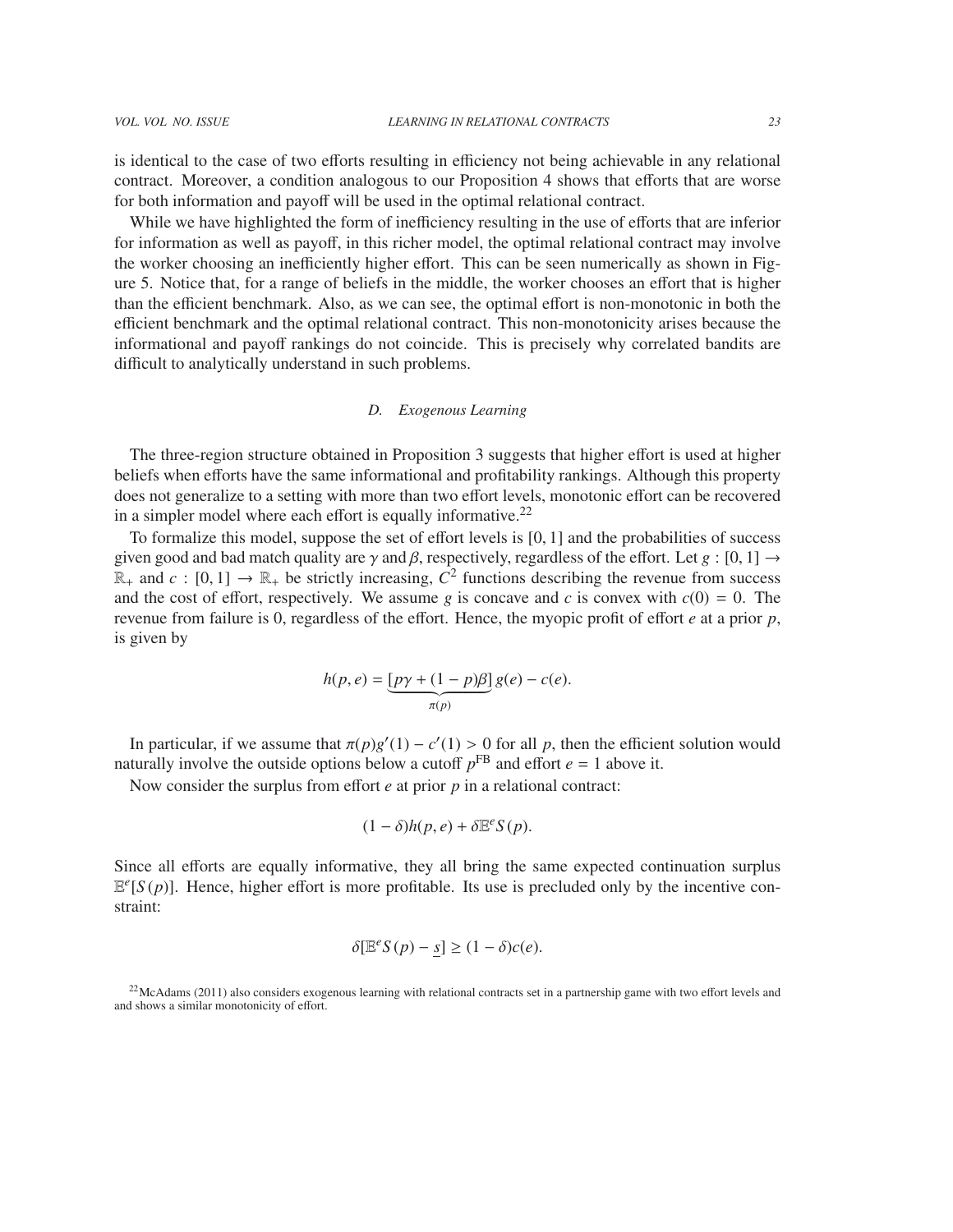is identical to the case of two efforts resulting in efficiency not being achievable in any relational contract. Moreover, a condition analogous to our Proposition 4 shows that efforts that are worse for both information and payoff will be used in the optimal relational contract.

While we have highlighted the form of inefficiency resulting in the use of efforts that are inferior for information as well as payoff, in this richer model, the optimal relational contract may involve the worker choosing an inefficiently higher effort. This can be seen numerically as shown in Figure 5. Notice that, for a range of beliefs in the middle, the worker chooses an effort that is higher than the efficient benchmark. Also, as we can see, the optimal effort is non-monotonic in both the efficient benchmark and the optimal relational contract. This non-monotonicity arises because the informational and payoff rankings do not coincide. This is precisely why correlated bandits are difficult to analytically understand in such problems.

#### *D. Exogenous Learning*

The three-region structure obtained in Proposition 3 suggests that higher effort is used at higher beliefs when efforts have the same informational and profitability rankings. Although this property does not generalize to a setting with more than two effort levels, monotonic effort can be recovered in a simpler model where each effort is equally informative. $22$ 

To formalize this model, suppose the set of effort levels is [0, 1] and the probabilities of success given good and bad match quality are  $\gamma$  and  $\beta$ , respectively, regardless of the effort. Let  $g : [0, 1] \rightarrow$  $\mathbb{R}_+$  and  $c : [0, 1] \to \mathbb{R}_+$  be strictly increasing,  $\overline{C}^2$  functions describing the revenue from success and the cost of effort respectively. We assume a is concave and c is convex with  $c(0) = 0$ . The and the cost of effort, respectively. We assume *g* is concave and *c* is convex with  $c(0) = 0$ . The revenue from failure is 0, regardless of the effort. Hence, the myopic profit of effort *e* at a prior *p*, is given by

$$
h(p,e) = \underbrace{[p\gamma + (1-p)\beta]}_{\pi(p)} g(e) - c(e).
$$

In particular, if we assume that  $\pi(p)g'(1) - c'(1) > 0$  for all *p*, then the efficies naturally involve the outside options below a cutoff  $p^{FB}$  and effort  $e = 1$  above it.  $\alpha'(1) - c'(1) > 0$  for all *p*, then the efficient solution would<br>ow a cutoff *n*<sup>FB</sup> and effort *e* = 1 above it

Now consider the surplus from effort *e* at prior *p* in a relational contract:

$$
(1 - \delta)h(p, e) + \delta \mathbb{E}^e S(p).
$$

Since all efforts are equally informative, they all bring the same expected continuation surplus  $E^e[S(p)]$ . Hence, higher effort is more profitable. Its use is precluded only by the incentive constraint:

$$
\delta[\mathbb{E}^e S(p) - \underline{s}] \ge (1 - \delta)c(e).
$$

<sup>22</sup>McAdams (2011) also considers exogenous learning with relational contracts set in a partnership game with two effort levels and and shows a similar monotonicity of effort.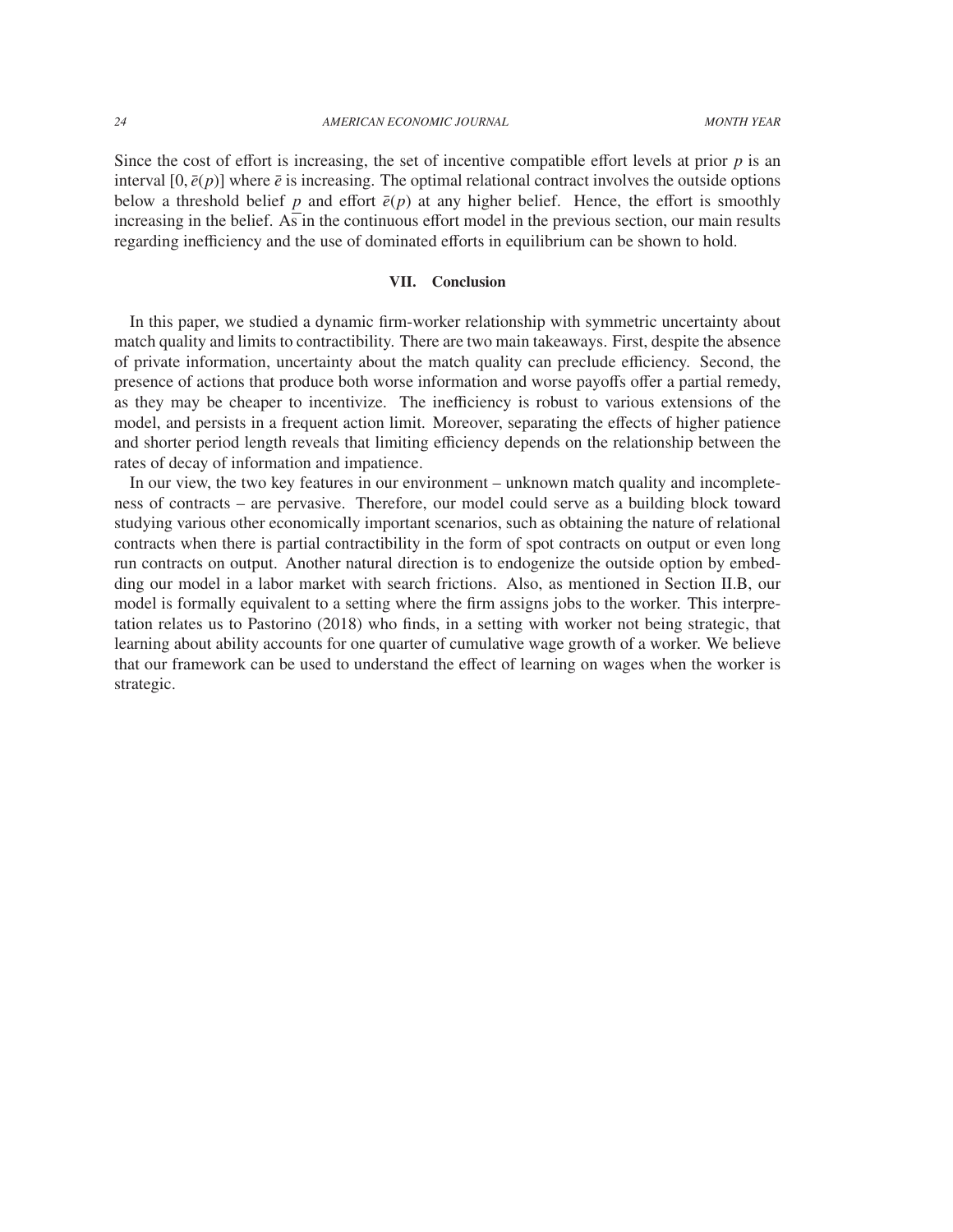Since the cost of effort is increasing, the set of incentive compatible effort levels at prior  $p$  is an interval  $[0, \bar{e}(p)]$  where  $\bar{e}$  is increasing. The optimal relational contract involves the outside options below a threshold belief *p* and effort  $\bar{e}(p)$  at any higher belief. Hence, the effort is smoothly increasing in the belief. As in the continuous effort model in the previous section, our main results regarding inefficiency and the use of dominated efforts in equilibrium can be shown to hold.

# VII. Conclusion

In this paper, we studied a dynamic firm-worker relationship with symmetric uncertainty about match quality and limits to contractibility. There are two main takeaways. First, despite the absence of private information, uncertainty about the match quality can preclude efficiency. Second, the presence of actions that produce both worse information and worse payoffs offer a partial remedy, as they may be cheaper to incentivize. The inefficiency is robust to various extensions of the model, and persists in a frequent action limit. Moreover, separating the effects of higher patience and shorter period length reveals that limiting efficiency depends on the relationship between the rates of decay of information and impatience.

In our view, the two key features in our environment – unknown match quality and incompleteness of contracts – are pervasive. Therefore, our model could serve as a building block toward studying various other economically important scenarios, such as obtaining the nature of relational contracts when there is partial contractibility in the form of spot contracts on output or even long run contracts on output. Another natural direction is to endogenize the outside option by embedding our model in a labor market with search frictions. Also, as mentioned in Section II.B, our model is formally equivalent to a setting where the firm assigns jobs to the worker. This interpretation relates us to Pastorino (2018) who finds, in a setting with worker not being strategic, that learning about ability accounts for one quarter of cumulative wage growth of a worker. We believe that our framework can be used to understand the effect of learning on wages when the worker is strategic.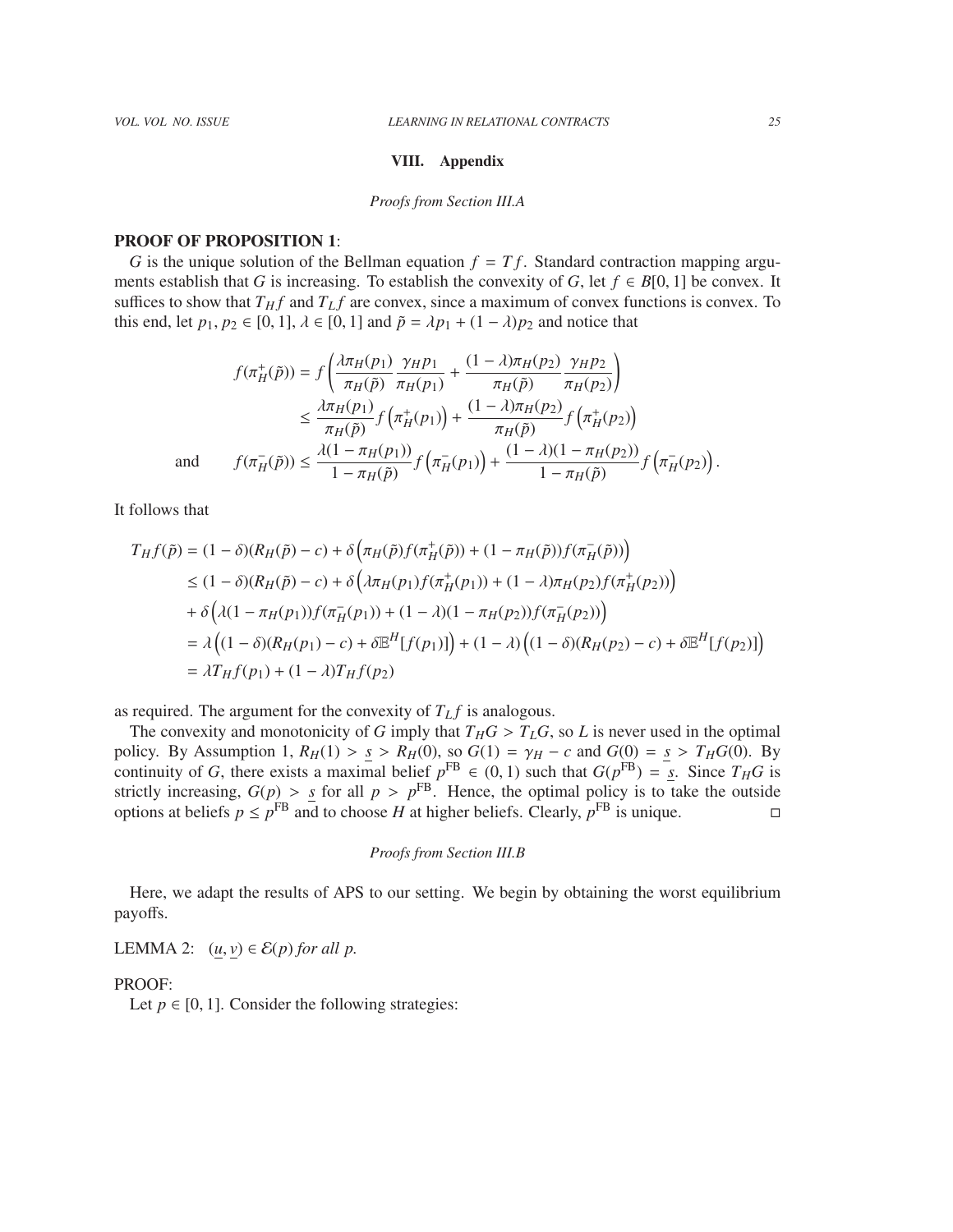#### VIII. Appendix

#### *Proofs from Section III.A*

## PROOF OF PROPOSITION 1:

*G* is the unique solution of the Bellman equation  $f = Tf$ . Standard contraction mapping arguments establish that *G* is increasing. To establish the convexity of *G*, let  $f \in B[0, 1]$  be convex. It suffices to show that  $T_H f$  and  $T_L f$  are convex, since a maximum of convex functions is convex. To this end, let  $p_1, p_2 \in [0, 1]$ ,  $\lambda \in [0, 1]$  and  $\tilde{p} = \lambda p_1 + (1 - \lambda)p_2$  and notice that

$$
f(\pi_H^+(\tilde{p})) = f\left(\frac{\lambda \pi_H(p_1)}{\pi_H(\tilde{p})} \frac{\gamma_H p_1}{\pi_H(p_1)} + \frac{(1 - \lambda)\pi_H(p_2)}{\pi_H(\tilde{p})} \frac{\gamma_H p_2}{\pi_H(p_2)}\right)
$$
  
\n
$$
\leq \frac{\lambda \pi_H(p_1)}{\pi_H(\tilde{p})} f\left(\pi_H^+(p_1)\right) + \frac{(1 - \lambda)\pi_H(p_2)}{\pi_H(\tilde{p})} f\left(\pi_H^+(p_2)\right)
$$
  
\nand 
$$
f(\pi_H^-(\tilde{p})) \leq \frac{\lambda(1 - \pi_H(p_1))}{1 - \pi_H(\tilde{p})} f\left(\pi_H^-(p_1)\right) + \frac{(1 - \lambda)(1 - \pi_H(p_2))}{1 - \pi_H(\tilde{p})} f\left(\pi_H^-(p_2)\right).
$$

It follows that

$$
T_H f(\tilde{p}) = (1 - \delta)(R_H(\tilde{p}) - c) + \delta \left(\pi_H(\tilde{p}) f(\pi_H^+(\tilde{p})) + (1 - \pi_H(\tilde{p})) f(\pi_H^-(\tilde{p}))\right)
$$
  
\n
$$
\leq (1 - \delta)(R_H(\tilde{p}) - c) + \delta \left(\lambda \pi_H(p_1) f(\pi_H^+(p_1)) + (1 - \lambda) \pi_H(p_2) f(\pi_H^+(p_2))\right)
$$
  
\n
$$
+ \delta \left(\lambda (1 - \pi_H(p_1)) f(\pi_H^-(p_1)) + (1 - \lambda)(1 - \pi_H(p_2)) f(\pi_H^-(p_2))\right)
$$
  
\n
$$
= \lambda \left((1 - \delta)(R_H(p_1) - c) + \delta \mathbb{E}^H[f(p_1)]\right) + (1 - \lambda) \left((1 - \delta)(R_H(p_2) - c) + \delta \mathbb{E}^H[f(p_2)]\right)
$$
  
\n
$$
= \lambda T_H f(p_1) + (1 - \lambda) T_H f(p_2)
$$

as required. The argument for the convexity of  $T_L f$  is analogous.<br>The convexity and monotonicity of *G* imply that  $T_H G > T_L G$ , so *L* is never used in the optimal The convexity and monotonicity of *G* imply that  $T_H G > T_L G$ , so *L* is never used in the optimal<br>licy By Assumption 1,  $R_U(1) > s > R_U(0)$ , so  $G(1) = \gamma_U - c$  and  $G(0) = s > T_U G(0)$ . By policy. By Assumption 1,  $R_H(1) > S \ge R_H(0)$ , so  $G(1) = \gamma_H - c$  and  $G(0) = S \ge T_HG(0)$ . By<br>continuity of G, there exists a maximal belief  $p^{FB} \in (0, 1)$  such that  $G(p^{FB}) = S$ . Since  $T_HG$  is<br>strictly increasing  $G(n) > S$  for all  $n >$ strictly increasing,  $G(p) > s$  for all  $p > p^{\text{FB}}$ . Hence, the optimal policy is to take the outside<br>options at heliefs  $n \leq p^{\text{FB}}$  and to choose *H* at higher heliefs. Clearly,  $p^{\text{FB}}$  is unique options at beliefs  $p \le p^{\text{FB}}$  and to choose *H* at higher beliefs. Clearly,  $p^{\text{FB}}$  is unique.

# *Proofs from Section III.B*

Here, we adapt the results of APS to our setting. We begin by obtaining the worst equilibrium payoffs.

LEMMA 2:  $(\underline{u}, \underline{v}) \in \mathcal{E}(p)$  *for all p*.

## PROOF:

Let  $p \in [0, 1]$ . Consider the following strategies: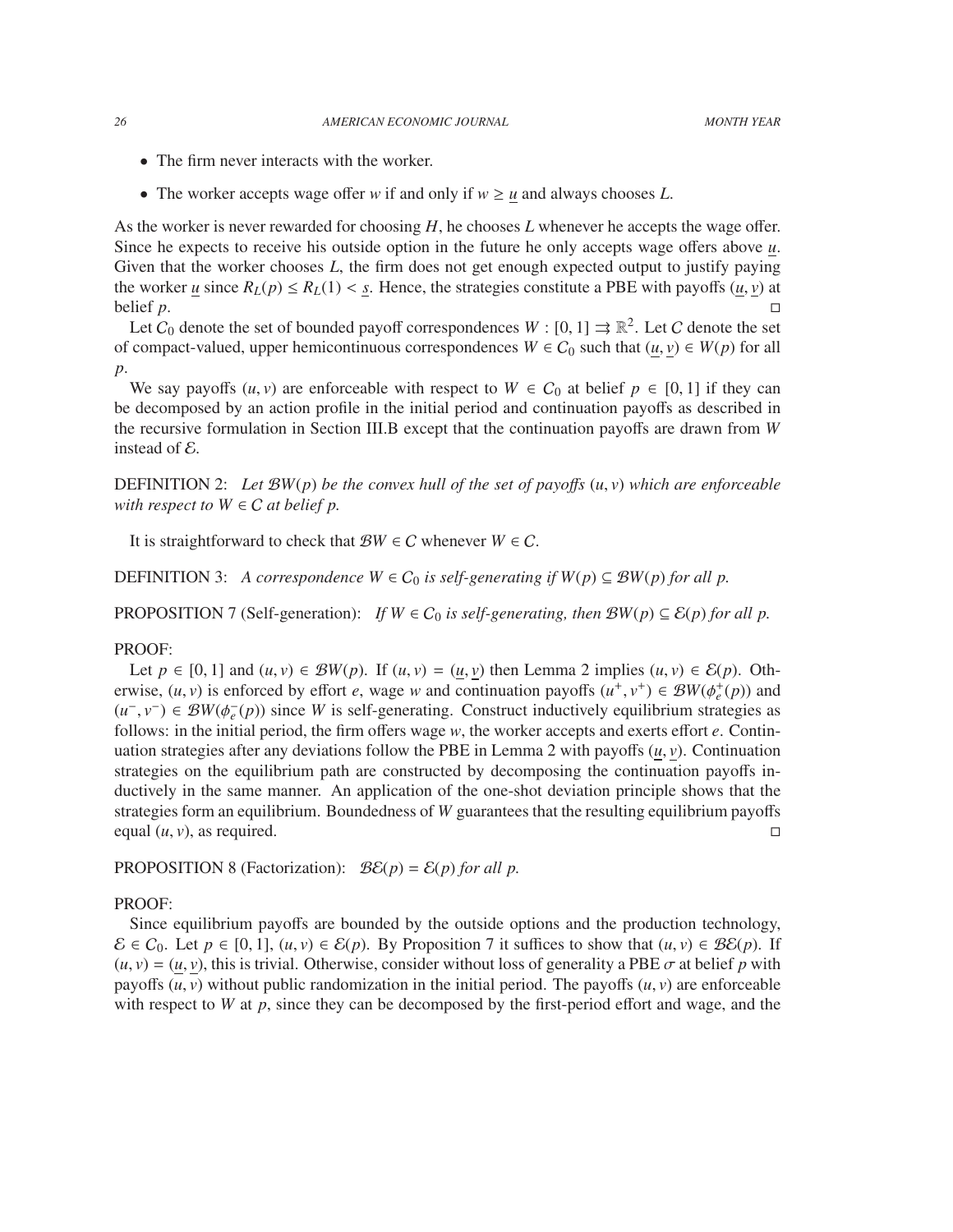- The firm never interacts with the worker.
- The worker accepts wage offer *w* if and only if  $w \ge u$  and always chooses *L*.

As the worker is never rewarded for choosing *H*, he chooses *L* whenever he accepts the wage offer. Since he expects to receive his outside option in the future he only accepts wage offers above *u*. Given that the worker chooses *L*, the firm does not get enough expected output to justify paying the worker <u>*u*</u> since  $R_L(p) \le R_L(1) < s$ . Hence, the strategies constitute a PBE with payoffs  $(u, v)$  at belief *p*. belief  $p$ .

Let  $C_0$  denote the set of bounded payoff correspondences  $W : [0, 1] \rightrightarrows \mathbb{R}^2$ . Let C denote the set compact-valued upper hemicontinuous correspondences  $W \in C_0$  such that  $(u, v) \in W(n)$  for all of compact-valued, upper hemicontinuous correspondences  $W \in C_0$  such that  $(u, v) \in W(p)$  for all *p*.

We say payoffs  $(u, v)$  are enforceable with respect to  $W \in C_0$  at belief  $p \in [0, 1]$  if they can be decomposed by an action profile in the initial period and continuation payoffs as described in the recursive formulation in Section III.B except that the continuation payoffs are drawn from *W* instead of E.

**DEFINITION** 2: Let  $\mathcal{B}W(p)$  be the convex hull of the set of payoffs  $(u, v)$  which are enforceable *with respect to*  $W \in C$  *at belief p.* 

It is straightforward to check that  $\mathcal{B}W \in \mathcal{C}$  whenever  $W \in \mathcal{C}$ .

DEFINITION 3: *A correspondence*  $W \in C_0$  *is self-generating if*  $W(p) \subseteq BW(p)$  *for all p.* 

PROPOSITION 7 (Self-generation): *If*  $W \in C_0$  *is self-generating, then*  $BW(p) \subseteq E(p)$  *for all p.* 

#### PROOF:

Let  $p \in [0, 1]$  and  $(u, v) \in BW(p)$ . If  $(u, v) = (u, v)$  then Lemma 2 implies  $(u, v) \in \mathcal{E}(p)$ . Otherwise,  $(u, v)$  is enforced by effort *e*, wage *w* and continuation payoffs  $(u^+, v^+) \in BW(\phi_e^+(p))$  and  $(u^- v^-) \in BW(A^-(p))$  since *W* is self-generating. Construct inductively equilibrium strategies as  $(u^-, v^-) \in BW(\phi_e^-(p))$  since *W* is self-generating. Construct inductively equilibrium strategies as follows: in the initial period, the firm offers wage w, the worker accents and exerts effort e. Continual follows: in the initial period, the firm offers wage *w*, the worker accepts and exerts effort *e*. Continuation strategies after any deviations follow the PBE in Lemma 2 with payoffs  $(u, v)$ . Continuation strategies on the equilibrium path are constructed by decomposing the continuation payoffs inductively in the same manner. An application of the one-shot deviation principle shows that the strategies form an equilibrium. Boundedness of *W* guarantees that the resulting equilibrium payoffs equal  $(u, v)$ , as required.

PROPOSITION 8 (Factorization):  $\mathcal{B}\mathcal{E}(p) = \mathcal{E}(p)$  *for all p.* 

#### PROOF:

Since equilibrium payoffs are bounded by the outside options and the production technology,  $\mathcal{E} \in C_0$ . Let  $p \in [0, 1]$ ,  $(u, v) \in \mathcal{E}(p)$ . By Proposition 7 it suffices to show that  $(u, v) \in \mathcal{B}\mathcal{E}(p)$ . If  $(u, v) = (u, v)$ , this is trivial. Otherwise, consider without loss of generality a PBE  $\sigma$  at belief p with payoffs  $(u, v)$  without public randomization in the initial period. The payoffs  $(u, v)$  are enforceable with respect to  $W$  at  $p$ , since they can be decomposed by the first-period effort and wage, and the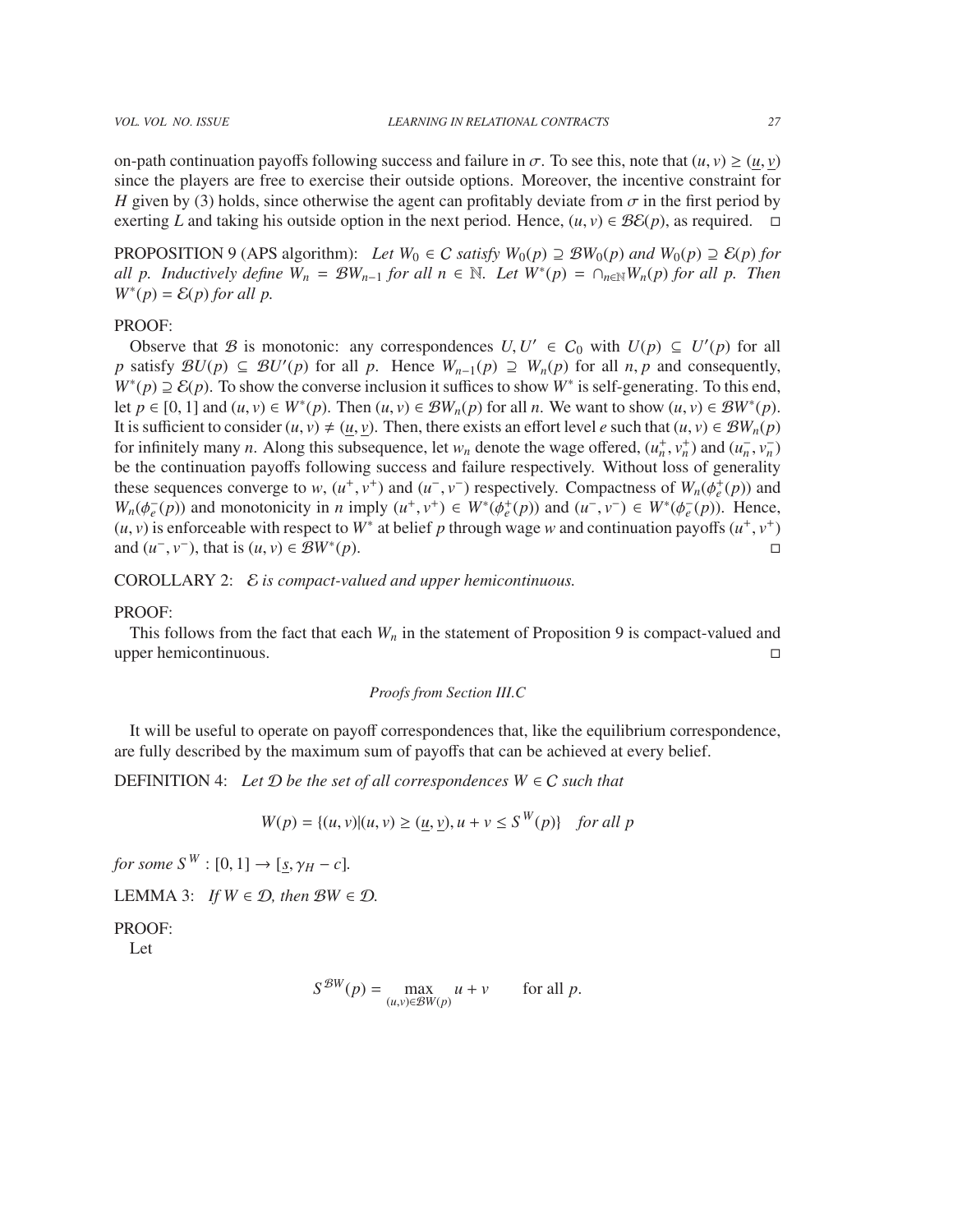on-path continuation payoffs following success and failure in  $\sigma$ . To see this, note that  $(u, v) \ge (u, v)$ since the players are free to exercise their outside options. Moreover, the incentive constraint for *H* given by (3) holds, since otherwise the agent can profitably deviate from  $\sigma$  in the first period by exerting *L* and taking his outside option in the next period. Hence,  $(u, v) \in \mathcal{B}\mathcal{E}(p)$ , as required.  $\Box$ 

PROPOSITION 9 (APS algorithm): *Let*  $W_0 \in C$  *satisfy*  $W_0(p) \supseteq B W_0(p)$  *and*  $W_0(p) \supseteq E(p)$  *for all p. Inductively define*  $W_n = \mathcal{B}W_{n-1}$  *for all n*  $\in \mathbb{N}$ *. Let*  $W^*(p) = \bigcap_{n \in \mathbb{N}} W_n(p)$  *for all p. Then*  $W^*(p) = \mathcal{E}(p)$  *for all p.* 

# PROOF:

Observe that B is monotonic: any correspondences  $U, U' \in C_0$  with  $U(p) \subseteq U'(p)$  for all gentless  $W$ ,  $U(p) \supset W(p)$  for all  $p$ ,  $p$  and consequently *p* satisfy  $BU(p) \subseteq BU'(p)$  for all *p*. Hence  $W_{n-1}(p) \supseteq W_n(p)$  for all *n*, *p* and consequently,  $W^*(p) \supseteq P_n(p)$ . To show the converse inclusion it suffices to show  $W^*$  is self-generating. To this end  $W^*(p) \supseteq \mathcal{E}(p)$ . To show the converse inclusion it suffices to show  $W^*$  is self-generating. To this end, let *p* ∈ [0, 1] and  $(u, v) \in W^*(p)$ . Then  $(u, v) \in BW_n(p)$  for all *n*. We want to show  $(u, v) \in BW^*(p)$ .<br>It is sufficient to consider  $(u, v) \neq (u, v)$ . Then, there exists an effort level e such that  $(u, v) \in BW(n)$ . It is sufficient to consider  $(u, v) \neq (u, v)$ . Then, there exists an effort level *e* such that  $(u, v) \in BW_n(p)$ for infinitely many *n*. Along this subsequence, let  $w_n$  denote the wage offered,  $(u_n^+, v_n^+)$  and  $(u_n^-, v_n^-)$ <br>be the continuation payoffs following success and failure respectively. Without loss of generality be the continuation payoffs following success and failure respectively. Without loss of generality these sequences converge to *w*,  $(u^+, v^+)$  and  $(u^-, v^-)$  respectively. Compactness of  $W_n(\phi_e^+(p))$  and  $W_n(\phi_e^+(p))$  and  $W_n(\phi_e^+(p))$  and monotonicity in *n* imply  $(u^+, v^+) \in W^*(\phi_e^+(p))$  and  $(u^-, v^-) \in W^*(\phi_e^-(p))$ . Hence *W<sub>n</sub>*( $\phi_e^{-}(p)$ ) and monotonicity in *n* imply (*u*<sup>+</sup>, *v*<sup>+</sup>) ∈ *W*<sup>∗</sup>( $\phi_e^{+}(p)$ ) and (*u*<sup>−</sup>, *v*<sup>−</sup>) ∈ *W*<sup>∗</sup>( $\phi_e^{-}(p)$ ). Hence,  $(\mu, \nu)$  is enforceable with respect to *W*<sup>\*</sup> at belief *n* through wage *w* and con (*u*, *v*) is enforceable with respect to  $W^*$  at belief *p* through wage *w* and continuation payoffs  $(u^+, v^+)$ <br>and  $(u^- v^-)$  that is  $(u, v) \in \mathcal{B}W^*(v)$ and  $(u^-, v^-)$ , that is  $(u, v) \in \mathcal{B}W^*$ (*p*).

COROLLARY 2: E *is compact-valued and upper hemicontinuous.*

#### PROOF:

This follows from the fact that each  $W_n$  in the statement of Proposition 9 is compact-valued and upper hemicontinuous.

# *Proofs from Section III.C*

It will be useful to operate on payoff correspondences that, like the equilibrium correspondence, are fully described by the maximum sum of payoffs that can be achieved at every belief.

DEFINITION 4: Let  $D$  be the set of all correspondences  $W \in C$  such that

$$
W(p) = \{(u, v) | (u, v) \ge (u, \underline{v}), u + v \le S^W(p) \} \quad \text{for all } p
$$

*for some*  $S^W$  :  $[0, 1] \rightarrow [s, \gamma_H - c]$ *.* 

LEMMA 3: *If*  $W \in \mathcal{D}$ *, then*  $\mathcal{B}W \in \mathcal{D}$ *.* 

PROOF:

Let

$$
S^{\mathcal{B}W}(p) = \max_{(u,v)\in \mathcal{B}W(p)} u + v \quad \text{for all } p.
$$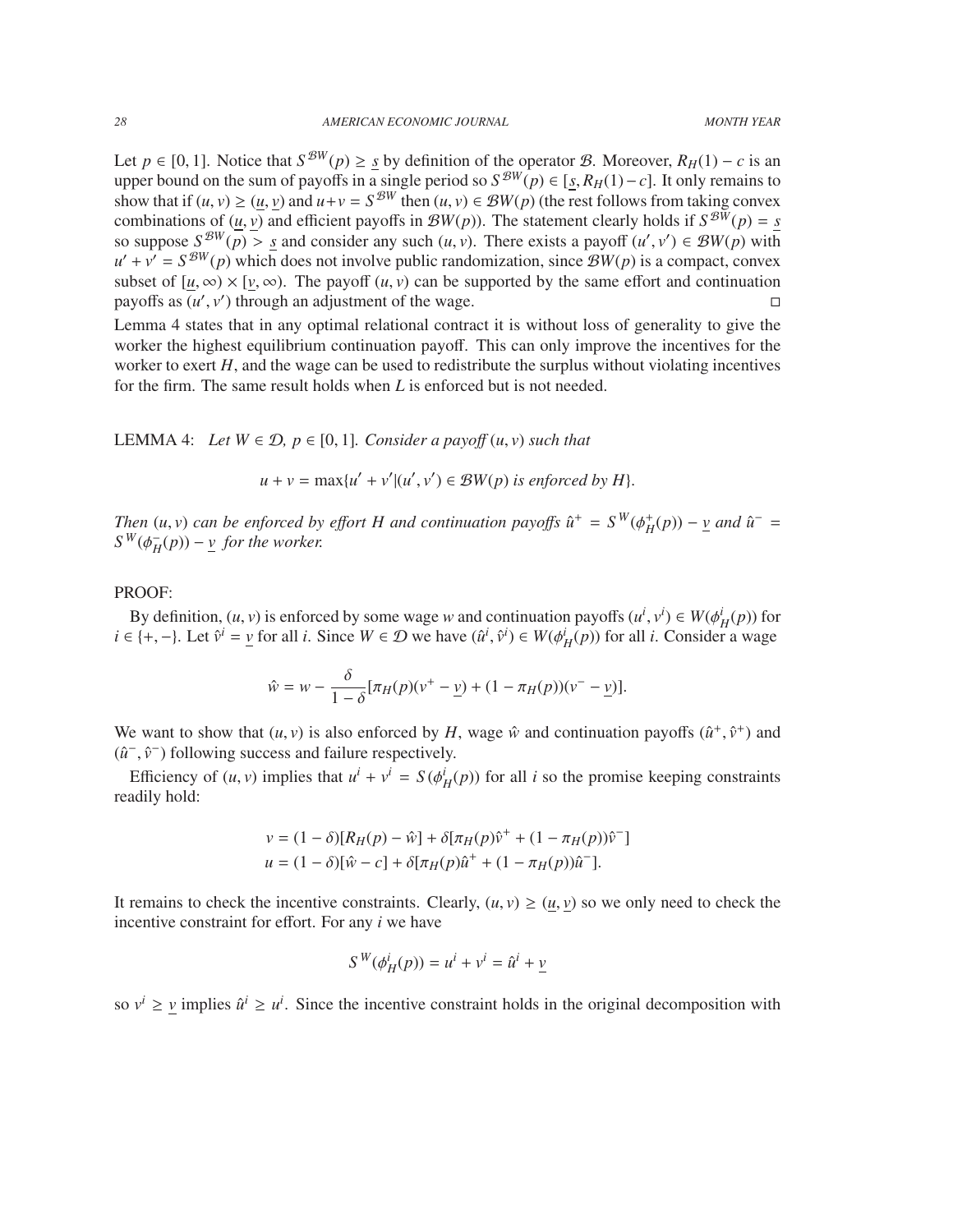Let  $p \in [0, 1]$ . Notice that  $S^{BW}(p) \geq \underline{s}$  by definition of the operator B. Moreover,  $R_H(1) - c$  is an upper bound on the sum of payoffs in a single period so  $S^{BW}(p) \in [s, R_H(1) - c]$ . It only remains to upper bound on the sum of payoffs in a single period so  $S^{BW}(p) \in [s, R_H(1) - c]$ . It only remains to show that if  $(\mu, y) > (\mu, y)$  and  $\mu + y = S^{BW}$  then  $(\mu, y) \in BW(n)$  (the rest follows from taking convex show that if  $(u, v) \ge (\underline{u}, \underline{v})$  and  $u+v = S^{\mathcal{B}W}$  then  $(u, v) \in \mathcal{B}W(p)$  (the rest follows from taking convex combinations of  $(u, v)$  and efficient payoffs in  $\mathcal{B}W(n)$ . The statement clearly holds if  $S^{\mathcal{B}W}(n) = s$ combinations of  $(\underline{u}, \underline{v})$  and efficient payoffs in  $\mathcal{B}W(p)$ ). The statement clearly holds if  $S^{\mathcal{B}W}(p) = S$ <br>so suppose  $S^{\mathcal{B}W}(p) > S$  and consider any such  $(u, v)$ . There exists a payoff  $(u', v') \in \mathcal{B}W(p)$  with so suppose  $S^{BW}(\overline{p}) > S$  and consider any such  $(u, v)$ . There exists a payoff  $(u', v') \in BW(p)$  with  $u' + v' = S^{BW}(p)$  which does not involve public randomization, since  $BW(p)$  is a compact convex  $u' + v' = S^{\mathcal{B}W}(p)$  which does not involve public randomization, since  $\mathcal{B}W(p)$  is a compact, convex subset of  $[\underline{u}, \infty) \times [\underline{v}, \infty)$ . The payoff  $(u, v)$  can be supported by the same effort and continuation payoffs as  $(u', v')$  through an adjustment of the wage. payoffs as  $(u', v')$  through an adjustment of the wage.

Lemma 4 states that in any optimal relational contract it is without loss of generality to give the worker the highest equilibrium continuation payoff. This can only improve the incentives for the worker to exert *H*, and the wage can be used to redistribute the surplus without violating incentives for the firm. The same result holds when *L* is enforced but is not needed.

LEMMA 4: *Let*  $W ∈ D$ ,  $p ∈ [0, 1]$ *. Consider a payoff*  $(u, v)$  *such that* 

$$
u + v = \max\{u' + v' | (u', v') \in \mathcal{B}W(p) \text{ is enforced by } H\}.
$$

*Then*  $(u, v)$  *can be enforced by effort H and continuation payoffs*  $\hat{u}^+ = S^W(\phi_H^+(p)) - \underline{v}$  *and*  $\hat{u}^- = S^W(\phi_H^-(p)) - \underline{v}$  *for the worker*  $S^W(\phi_H^-)$  $\frac{1}{H}(p)$ ) – *v for the worker.* 

# PROOF:

By definition,  $(u, v)$  is enforced by some wage w and continuation payoffs  $(u^i, v^i) \in W(\phi^i_H(p))$  for  $i \in \{+, -\}$ . Let  $\hat{v}^i = \underline{v}$  for all *i*. Since  $W \in \mathcal{D}$  we have  $(\hat{u}^i, \hat{v}^i) \in W(\phi^i_H(p))$  for all *i*. Consider  $i, v^i$ )  $\in W(\phi_H^i(p))$  for

$$
\hat{w} = w - \frac{\delta}{1 - \delta} [\pi_H(p)(v^+ - \underline{v}) + (1 - \pi_H(p))(v^- - \underline{v})].
$$

We want to show that  $(u, v)$  is also enforced by *H*, wage  $\hat{w}$  and continuation payoffs  $(\hat{u}^+, \hat{v}^+)$  and  $(\hat{u}^-, \hat{v}^-)$  following success and failure respectively  $(\hat{u}^-, \hat{v}^-)$  following success and failure respectively.

Efficiency of  $(u, v)$  implies that  $u^i + v^i = S(\phi^i_H(p))$  for all *i* so the promise keeping constraints adily hold. readily hold:

$$
v = (1 - \delta)[R_H(p) - \hat{w}] + \delta[\pi_H(p)\hat{v}^+ + (1 - \pi_H(p))\hat{v}^-]
$$
  

$$
u = (1 - \delta)[\hat{w} - c] + \delta[\pi_H(p)\hat{u}^+ + (1 - \pi_H(p))\hat{u}^-].
$$

It remains to check the incentive constraints. Clearly,  $(u, v) \ge (u, v)$  so we only need to check the incentive constraint for effort. For any *i* we have

$$
S^{W}(\phi_H^i(p)) = u^i + v^i = \hat{u}^i + \underline{v}
$$

so  $v^i \ge v$  implies  $\hat{u}^i \ge u^i$ . Since the incentive constraint holds in the original decomposition with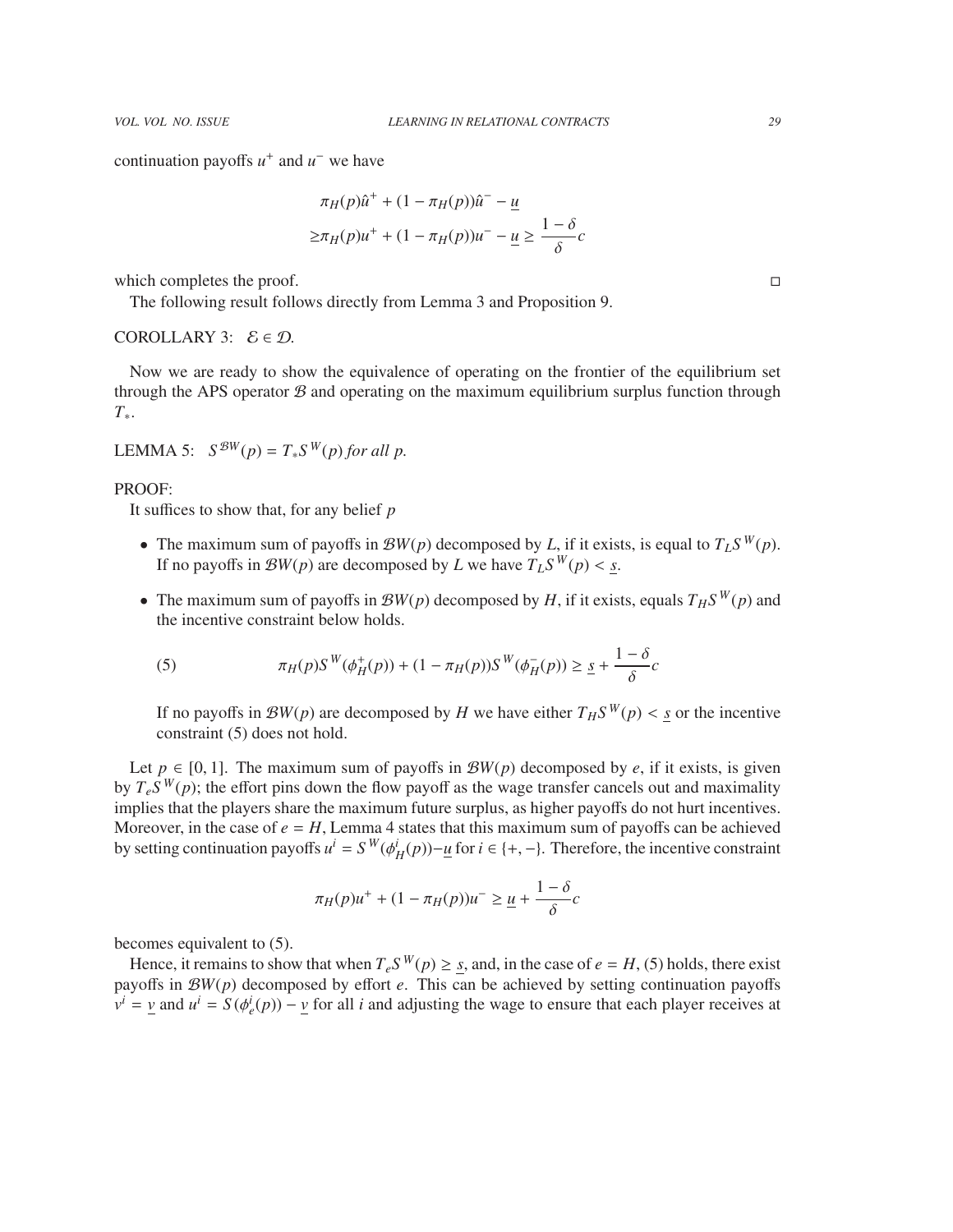continuation payoffs  $u^+$  and  $u^-$  we have

$$
\pi_H(p)\hat{u}^+ + (1 - \pi_H(p))\hat{u}^- - \underline{u}
$$
  

$$
\ge \pi_H(p)u^+ + (1 - \pi_H(p))u^- - \underline{u} \ge \frac{1 - \delta}{\delta}c
$$

which completes the proof.  $\Box$ 

The following result follows directly from Lemma 3 and Proposition 9.

# COROLLARY 3:  $\mathcal{E} \in \mathcal{D}$ .

Now we are ready to show the equivalence of operating on the frontier of the equilibrium set through the APS operator  $\mathcal B$  and operating on the maximum equilibrium surplus function through *T*∗.

LEMMA 5:  $S^{BW}(p) = T_{*}S^{W}(p)$  *for all p.* 

## PROOF:

It suffices to show that, for any belief *p*

- The maximum sum of payoffs in  $\mathcal{B}W(p)$  decomposed by *L*, if it exists, is equal to  $T_L S^W(p)$ . If no payoffs in  $\mathcal{B}W(p)$  are decomposed by *L* we have  $T_L S^W(p) < \underline{s}$ .
- The maximum sum of payoffs in  $\mathcal{B}W(p)$  decomposed by *H*, if it exists, equals  $T_H S^W(p)$  and the incentive constraint below holds.

(5) 
$$
\pi_H(p)S^W(\phi_H^+(p)) + (1 - \pi_H(p))S^W(\phi_H^-(p)) \ge \underline{s} + \frac{1 - \delta}{\delta}c
$$

If no payoffs in  $\mathcal{B}W(p)$  are decomposed by *H* we have either  $T_H S^W(p) < \underline{s}$  or the incentive constraint (5) does not hold constraint (5) does not hold.

Let  $p \in [0, 1]$ . The maximum sum of payoffs in  $\mathcal{B}W(p)$  decomposed by *e*, if it exists, is given by  $T_e S^W(p)$ ; the effort pins down the flow payoff as the wage transfer cancels out and maximality implies that the players share the maximum future surplus, as higher payoffs do not hurt incentives. Moreover, in the case of  $e = H$ , Lemma 4 states that this maximum sum of payoffs can be achieved by setting continuation payoffs  $u^i = S^W(\phi^i_H(p)) - \underline{u}$  for  $i \in \{+, -\}$ . Therefore, the incentive constraint

$$
\pi_H(p)u^+ + (1 - \pi_H(p))u^- \ge \underline{u} + \frac{1 - \delta}{\delta}c
$$

becomes equivalent to (5).

Hence, it remains to show that when  $T_eS^W(p) \geq \underline{s}$ , and, in the case of  $e = H$ , (5) holds, there exist payoffs in B*W*(*p*) decomposed by effort *e*. This can be achieved by setting continuation payoffs  $v^i = v$  and  $u^i = S(\phi_e^i(p)) - v$  for all *i* and adjusting the wage to ensure that each player receives at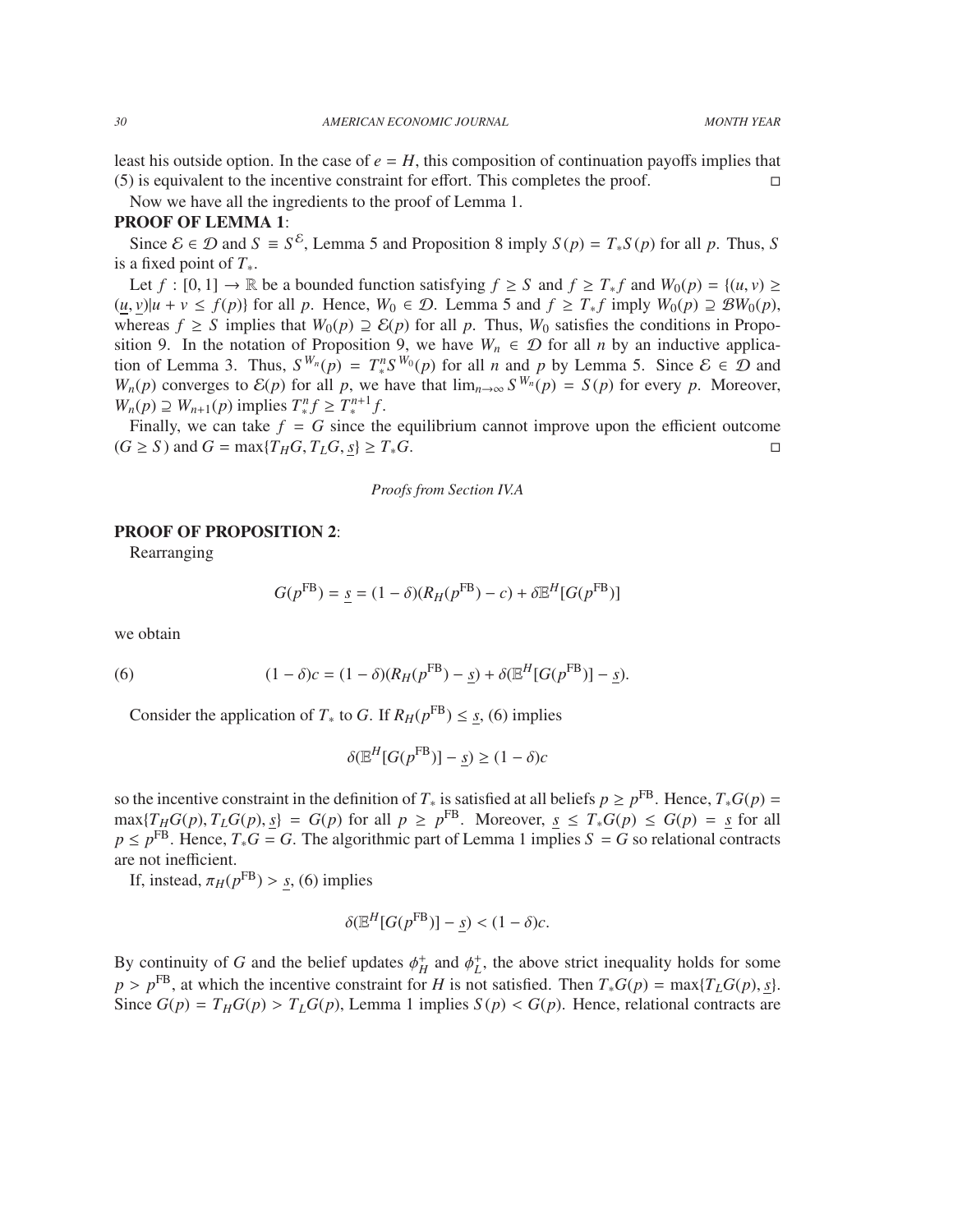least his outside option. In the case of  $e = H$ , this composition of continuation payoffs implies that  $(5)$  is equivalent to the incentive constraint for effort. This completes the proof.

Now we have all the ingredients to the proof of Lemma 1.

# PROOF OF LEMMA 1:

Since  $\mathcal{E} \in \mathcal{D}$  and  $S \equiv S^{\mathcal{E}}$ , Lemma 5 and Proposition 8 imply  $S(p) = T_*S(p)$  for all p. Thus, S is a fixed point of *T*∗.

Let  $f : [0, 1] \to \mathbb{R}$  be a bounded function satisfying  $f \geq S$  and  $f \geq T_* f$  and  $W_0(p) = \{(u, v) \geq$  $(u, v)|u + v \le f(p)$  for all p. Hence,  $W_0 \in \mathcal{D}$ . Lemma 5 and  $f \ge T_* f$  imply  $W_0(p) \supseteq \mathcal{B}W_0(p)$ , whereas  $f \geq S$  implies that  $W_0(p) \supseteq \mathcal{E}(p)$  for all p. Thus,  $W_0$  satisfies the conditions in Proposition 9. In the notation of Proposition 9, we have  $W_n \in \mathcal{D}$  for all *n* by an inductive application of Lemma 3. Thus,  $S^{W_n}(p) = T_*^n S^{W_0}(p)$  for all *n* and *p* by Lemma 5. Since  $\mathcal{E} \in \mathcal{D}$  and *W<sub>n</sub>*(*p*) converges to  $\mathcal{E}(p)$  for all *p*, we have that  $\lim_{n\to\infty} S^{W_n}(p) = S(p)$  for every *p*. Moreover,  $W_n(p) \supseteq W_{n+1}(p)$  implies  $T_*^n f \geq T_*^{n+1} f$ .

Finally, we can take  $f = G$  since the equilibrium cannot improve upon the efficient outcome  $(G \ge S)$  and  $G = \max\{T_H G, T_L G, s\} \ge T_* G$ .

*Proofs from Section IV.A*

# PROOF OF PROPOSITION 2:

Rearranging

$$
G(p^{FB}) = \underline{s} = (1 - \delta)(R_H(p^{FB}) - c) + \delta \mathbb{E}^H[G(p^{FB})]
$$

we obtain

(6) 
$$
(1 - \delta)c = (1 - \delta)(R_H(p^{FB}) - \underline{s}) + \delta(\mathbb{E}^H[G(p^{FB})] - \underline{s}).
$$

Consider the application of  $T_*$  to *G*. If  $R_H(p^{FB}) \leq \underline{s}$ , (6) implies

$$
\delta(\mathbb{E}^H[G(p^{\text{FB}})] - \underline{s}) \ge (1 - \delta)c
$$

so the incentive constraint in the definition of  $T_*$  is satisfied at all beliefs  $p \ge p^{\text{FB}}$ . Hence,  $T_*G(p)$  =  $\max\{T_HG(p), T_LG(p), \underline{s}\} = G(p)$  for all  $p \ge p^{FB}$ . Moreover,  $\underline{s} \le T_*G(p) \le G(p) = \underline{s}$  for all  $p \le p^{FB}$ . Hence  $T G - G$ . The algorithmic part of Lemma 1 implies  $S - G$  so relational contracts  $p \le p^{\text{FB}}$ . Hence,  $T_*G = G$ . The algorithmic part of Lemma 1 implies  $S = G$  so relational contracts are not inefficient.

If, instead,  $\pi_H(p^{\text{FB}}) > \underline{s}$ , (6) implies

$$
\delta(\mathbb{E}^H[G(p^{\text{FB}})] - \underline{s}) < (1 - \delta)c.
$$

By continuity of *G* and the belief updates  $\phi_H^+$  and  $\phi_L^+$ , the above strict inequality holds for some  $n > n^{FB}$ , at which the incentive constraint for *H* is not satisfied. Then *T*  $G(n) = \max\{T, G(n)\}$  at  $p > p^{\text{FB}}$ , at which the incentive constraint for *H* is not satisfied. Then  $T_*G(p) = \max\{T_LG(p), s\}$ .<br>Since  $G(p) = T_{\text{tr}}G(p) \ge T_{\text{tr}}G(p)$ , Lemma 1 implies  $S(p) \le G(p)$ . Hence relational contracts are Since  $G(p) = T_H G(p) > T_L G(p)$ , Lemma 1 implies  $S(p) < G(p)$ . Hence, relational contracts are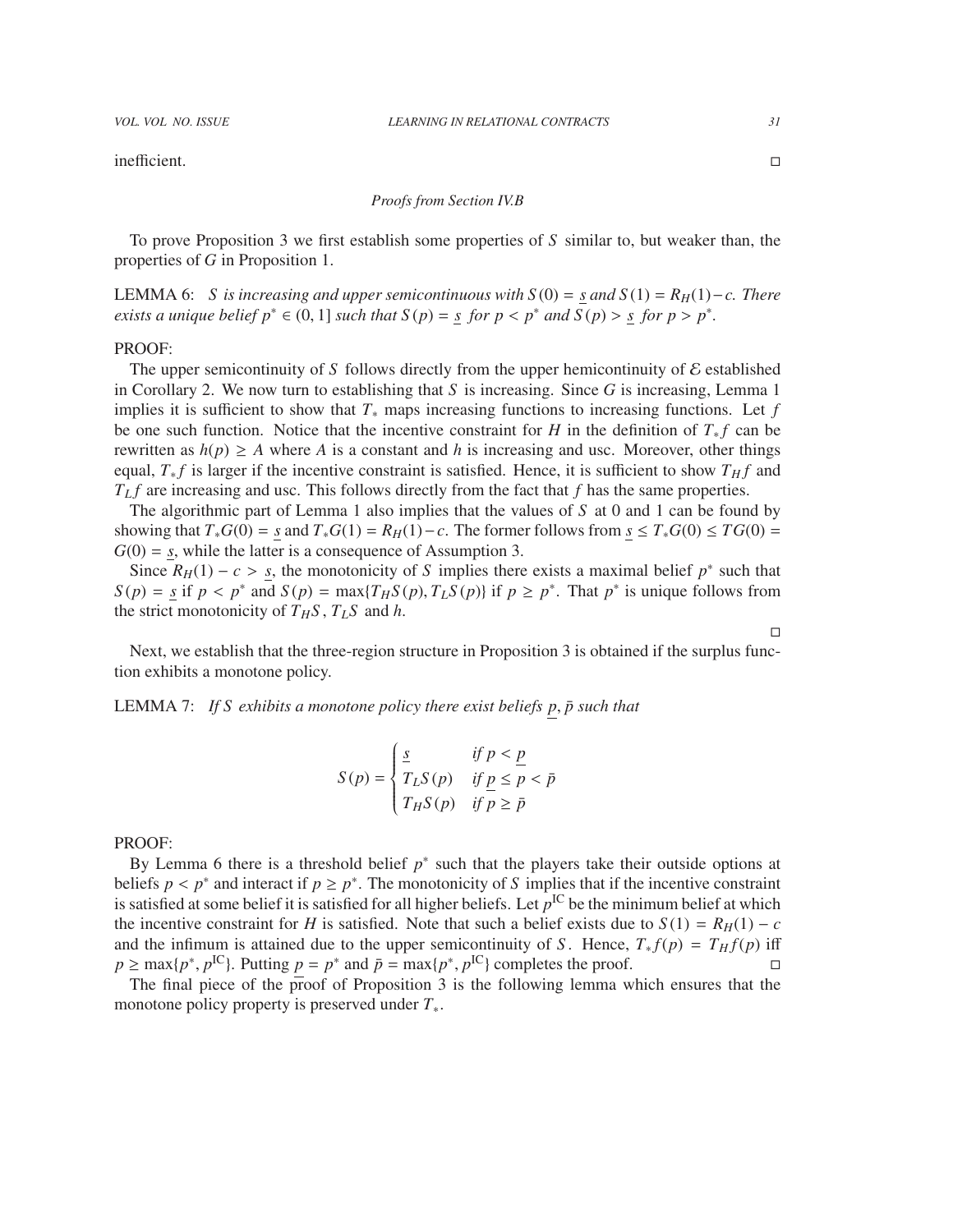inefficient.

#### *Proofs from Section IV.B*

To prove Proposition 3 we first establish some properties of *S* similar to, but weaker than, the properties of *G* in Proposition 1.

LEMMA 6: *S* is increasing and upper semicontinuous with  $S(0) = s$  and  $S(1) = R$ <sup>H</sup>H $(H) − c$ . There *exists a unique belief*  $p^* \in (0, 1]$  *such that*  $S(p) = \underline{s}$  *for*  $p < p^*$  *and*  $\overline{S}(p) > \underline{s}$  *for*  $p > p^*$ *.* 

#### PROOF:

The upper semicontinuity of S follows directly from the upper hemicontinuity of  $\mathcal E$  established in Corollary 2. We now turn to establishing that *S* is increasing. Since *G* is increasing, Lemma 1 implies it is sufficient to show that *T*<sup>∗</sup> maps increasing functions to increasing functions. Let *f* be one such function. Notice that the incentive constraint for *H* in the definition of  $T_* f$  can be rewritten as  $h(p) \ge A$  where A is a constant and h is increasing and usc. Moreover, other things equal,  $T_* f$  is larger if the incentive constraint is satisfied. Hence, it is sufficient to show  $T_H f$  and *T<sup>L</sup> f* are increasing and usc. This follows directly from the fact that *f* has the same properties.

The algorithmic part of Lemma 1 also implies that the values of *S* at 0 and 1 can be found by showing that  $T_*G(0) = s$  and  $T_*G(1) = R_H(1) - c$ . The former follows from  $s \leq T_*G(0) \leq T G(0) =$  $G(0) = s$ , while the latter is a consequence of Assumption 3.

Since  $R_H(1) - c > s$ , the monotonicity of *S* implies there exists a maximal belief  $p^*$  such that  $n > s$  if  $n < p^*$  and  $S(n) = \max\{TxS(n), TxS(n)\}$  if  $n > p^*$ . That  $p^*$  is unique follows from  $S(p) = \underline{s}$  if  $p < p^*$  and  $S(p) = \max\{T_H S(p), T_L S(p)\}\$  if  $p \ge p^*$ . That  $p^*$  is unique follows from the strict monotonicity of  $T_T S$ ,  $T_T S$  and  $h$ the strict monotonicity of  $T_H S$ ,  $T_L S$  and *h*.

Next, we establish that the three-region structure in Proposition 3 is obtained if the surplus function exhibits a monotone policy.

LEMMA 7: *If S exhibits a monotone policy there exist beliefs p*, *p such that* ¯

$$
S(p) = \begin{cases} \frac{s}{T_L S(p)} & \text{if } p < p \\ T_L S(p) & \text{if } p \le p < \bar{p} \\ T_H S(p) & \text{if } p \ge \bar{p} \end{cases}
$$

#### PROOF:

By Lemma 6 there is a threshold belief  $p^*$  such that the players take their outside options at beliefs  $p < p^*$  and interact if  $p \ge p^*$ . The monotonicity of S implies that if the incentive constraint is satisfied at some belief it is satisfied for all higher beliefs. Let  $p^{\text{IC}}$  be the minimum belief at which \* and interact if  $p \geq p^*$ . The monotonicity of *S* implies that if the incentive constraint the incentive constraint for *H* is satisfied. Note that such a belief exists due to  $S(1) = R_H(1) - c$ and the infimum is attained due to the upper semicontinuity of *S*. Hence,  $T_* f(p) = T_H f(p)$  iff  $p \ge \max\{p^*, p^{\text{IC}}\}$ . Putting  $p = p^*$  and  $\bar{p} = \max\{p^*, p^{\text{IC}}\}$  completes the proof.  $\Box$ 

The final piece of the proof of Proposition 3 is the following lemma which ensures that the monotone policy property is preserved under *T*∗.

 $\Box$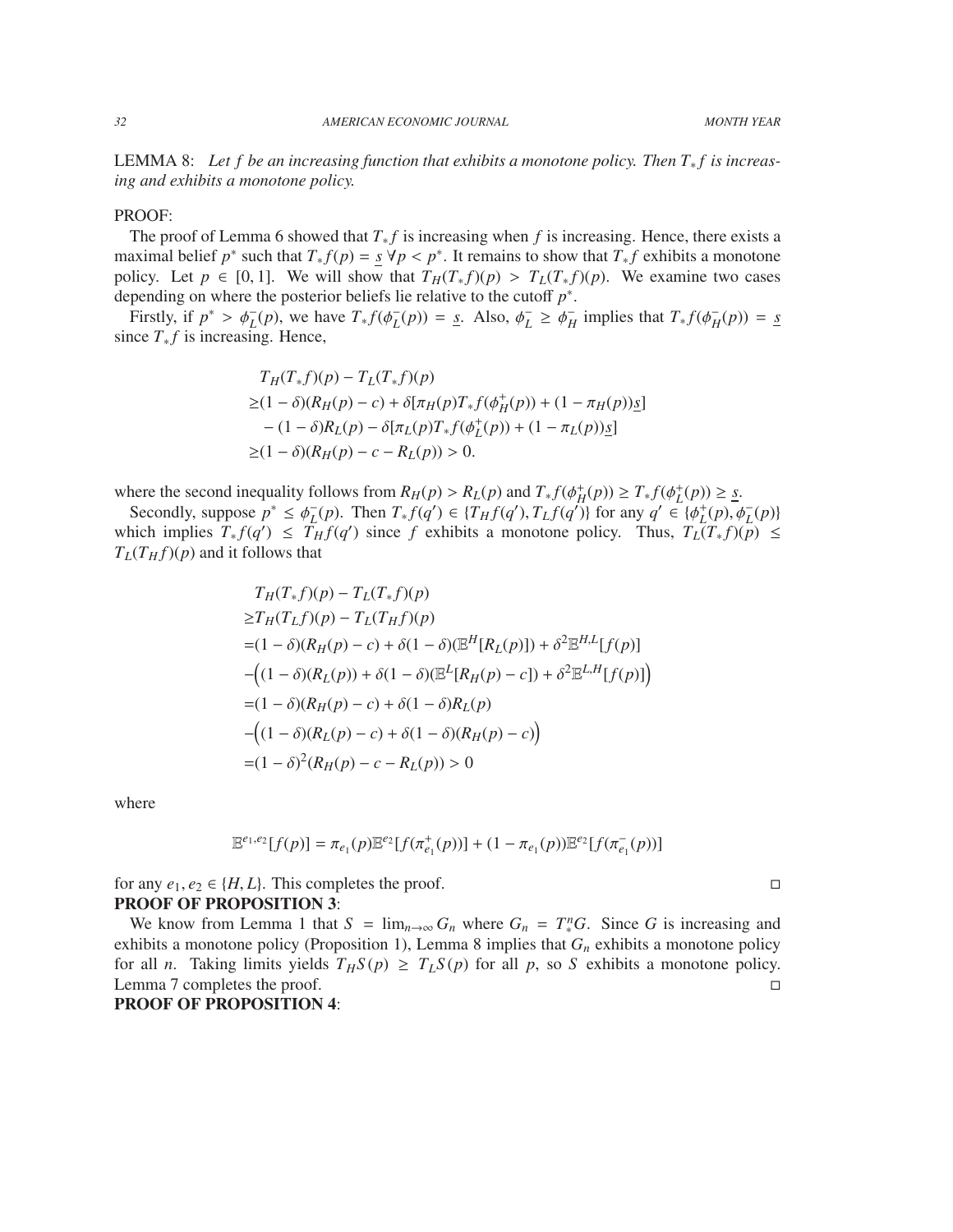LEMMA 8: Let f be an increasing function that exhibits a monotone policy. Then T<sub>∗</sub>f is increas*ing and exhibits a monotone policy.*

# PROOF:

The proof of Lemma 6 showed that  $T_* f$  is increasing when f is increasing. Hence, there exists a maximal belief *p*<sup>\*</sup> such that  $T_* f(p) = \frac{s}{p} \forall p < p^*$ . It remains to show that  $T_* f$  exhibits a monotone policy. Let  $p \in [0, 1]$ . We will show that  $T_{*}(T, f)(p) \geq T_{*}(T, f)(p)$ . We examine two cases policy. Let  $p \in [0, 1]$ . We will show that  $T_H(T_* f)(p) > T_L(T_* f)(p)$ . We examine two cases depending on where the posterior beliefs lie relative to the cutoff *p* ∗ .

Firstly, if  $p^* > \phi_L^-(p)$ , we have  $T_* f(\phi_L^-)$  $L<sup>L</sup>(p)$ ) = <u>s</u>. Also,  $\phi<sup>L</sup>$  $\bar{L} \geq \phi_H^ \bar{H}$  implies that  $T_* f(\phi_H^-)$  $_{H}^{-}(p)$ ) = <u>*s*</u> since  $T_* f$  is increasing. Hence,

$$
T_H(T_*f)(p) - T_L(T_*f)(p)
$$
  
\n
$$
\geq (1 - \delta)(R_H(p) - c) + \delta[\pi_H(p)T_*f(\phi_H^+(p)) + (1 - \pi_H(p))g]
$$
  
\n
$$
- (1 - \delta)R_L(p) - \delta[\pi_L(p)T_*f(\phi_L^+(p)) + (1 - \pi_L(p))g]
$$
  
\n
$$
\geq (1 - \delta)(R_H(p) - c - R_L(p)) > 0.
$$

where the second inequality follows from  $R_H(p) > R_L(p)$  and  $T_* f(\phi_H^+(p)) \geq T_* f(\phi_L^+(p)) \geq \underline{s}$ .<br>Secondly suppose  $p^* \leq \phi_-(p)$ . Then  $T_* f(g') \in \{T_*, f(g')\}$  for any  $g' \in \{g_+(p) \}$ 

Secondly, suppose  $p^* \leq \phi_L^-$ <br>
pich implies  $T_f(q') \leq T$  $L(P)$ . Then  $T_* f(q') \in \{T_H f(q'), T_L f(q'')\}$  for any  $q' \in \{\phi_L^+(p), \phi_L^-(p)\}$ <br> $L_{H} f(q')$  since *f* exhibits a monotone policy. Thus  $T_*(T, f)(p) \leq$ which implies  $T_* f(q') \leq T_H f(q')$  since f exhibits a monotone policy. Thus,  $T_L(T_* f)(p) \leq$  $T_L(T_H f)(p)$  and it follows that

$$
T_H(T_*f)(p) - T_L(T_*f)(p)
$$
  
\n
$$
\geq T_H(T_Lf)(p) - T_L(T_Hf)(p)
$$
  
\n
$$
= (1 - \delta)(R_H(p) - c) + \delta(1 - \delta)(\mathbb{E}^H[R_L(p)]) + \delta^2 \mathbb{E}^{H,L}[f(p)]
$$
  
\n
$$
-((1 - \delta)(R_L(p)) + \delta(1 - \delta)(\mathbb{E}^L[R_H(p) - c]) + \delta^2 \mathbb{E}^{L,H}[f(p)])
$$
  
\n
$$
= (1 - \delta)(R_H(p) - c) + \delta(1 - \delta)(R_H(p) - c)
$$
  
\n
$$
= (1 - \delta)^2 (R_H(p) - c - R_L(p)) > 0
$$

where

$$
\mathbb{E}^{e_1,e_2}[f(p)] = \pi_{e_1}(p)\mathbb{E}^{e_2}[f(\pi_{e_1}^+(p))] + (1 - \pi_{e_1}(p))\mathbb{E}^{e_2}[f(\pi_{e_1}^-(p))]
$$

for any  $e_1, e_2 \in \{H, L\}$ . This completes the proof.

#### PROOF OF PROPOSITION 3:

We know from Lemma 1 that  $S = \lim_{n \to \infty} G_n$  where  $G_n = T_*^n G$ . Since G is increasing and exhibits a monotone policy (Proposition 1), Lemma 8 implies that *G<sup>n</sup>* exhibits a monotone policy for all *n*. Taking limits yields  $T_HS(p) \geq T_LS(p)$  for all *p*, so *S* exhibits a monotone policy. Lemma 7 completes the proof. PROOF OF PROPOSITION 4: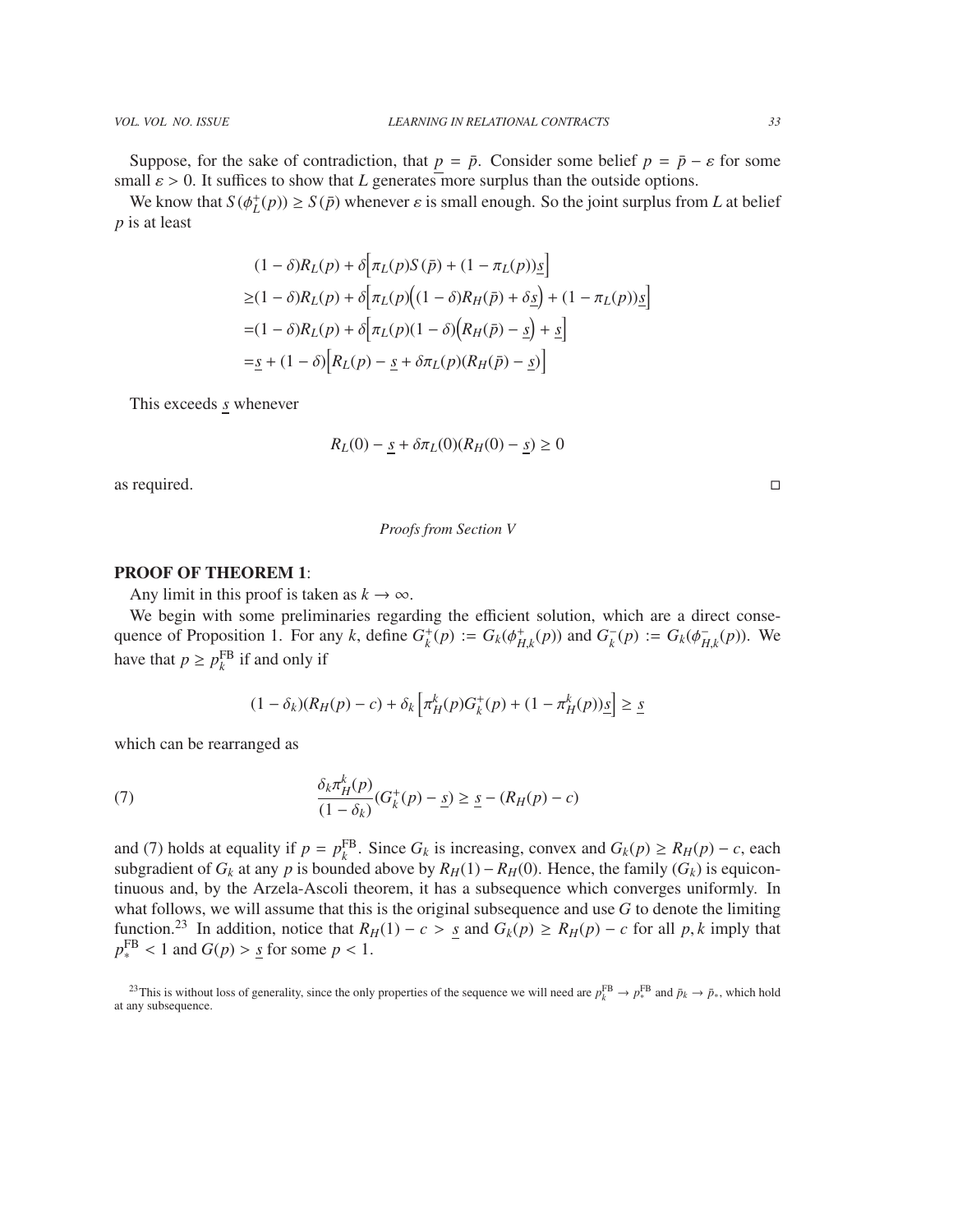Suppose, for the sake of contradiction, that  $p = \bar{p}$ . Consider some belief  $p = \bar{p} - \varepsilon$  for some small  $\varepsilon > 0$ . It suffices to show that *L* generates more surplus than the outside options.

We know that  $S(\phi_L^+(p)) \ge S(\bar{p})$  whenever  $\varepsilon$  is small enough. So the joint surplus from *L* at belief is at least *p* is at least

$$
(1 - \delta)R_L(p) + \delta \Big[ \pi_L(p)S(\bar{p}) + (1 - \pi_L(p))\underline{s} \Big]
$$
  
\n
$$
\geq (1 - \delta)R_L(p) + \delta \Big[ \pi_L(p)\Big((1 - \delta)R_H(\bar{p}) + \delta \underline{s}\Big) + (1 - \pi_L(p))\underline{s} \Big]
$$
  
\n
$$
= (1 - \delta)R_L(p) + \delta \Big[ \pi_L(p)(1 - \delta) \Big(R_H(\bar{p}) - \underline{s}\Big) + \underline{s} \Big]
$$
  
\n
$$
= \underline{s} + (1 - \delta) \Big[R_L(p) - \underline{s} + \delta \pi_L(p)(R_H(\bar{p}) - \underline{s})\Big]
$$

This exceeds *s* whenever

$$
R_L(0) - \underline{s} + \delta \pi_L(0)(R_H(0) - \underline{s}) \ge 0
$$

as required.  $\Box$ 

#### *Proofs from Section V*

# PROOF OF THEOREM 1:

Any limit in this proof is taken as  $k \to \infty$ .

We begin with some preliminaries regarding the efficient solution, which are a direct consequence of Proposition 1. For any *k*, define  $G_k^+(p) := G_k(\phi_{H,k}^+(p))$  and  $G_k^-$ <br>have that  $p > n^{FB}$  if and only if  $K_{k}(p) := G_{k}(\phi_{H}^{-})$  $_{H,k}^{-}(p)$ ). We have that  $p \ge p_k^{\text{FB}}$  if and only if

$$
(1 - \delta_k)(R_H(p) - c) + \delta_k \left[ \pi_H^k(p) G_k^+(p) + (1 - \pi_H^k(p)) \underline{s} \right] \ge \underline{s}
$$

which can be rearranged as

(7) 
$$
\frac{\delta_k \pi_H^k(p)}{(1 - \delta_k)} (G_k^+(p) - \underline{s}) \geq \underline{s} - (R_H(p) - c)
$$

and (7) holds at equality if  $p = p_k^{\text{FB}}$ . Since  $G_k$  is increasing, convex and  $G_k(p) \ge R_H(p) - c$ , each subgradient of  $G_k$  at any  $p$  is bounded above by  $R_H(1) - R_H(0)$ . Hence, the family  $(G_k)$  is equicontinuous and, by the Arzela-Ascoli theorem, it has a subsequence which converges uniformly. In what follows, we will assume that this is the original subsequence and use *G* to denote the limiting function.<sup>23</sup> In addition, notice that  $R_H(1) - c > s$  and  $G_k(p) \ge R_H(p) - c$  for all p, k imply that  $p_*^{\text{FB}}$  < 1 and  $G(p)$  > <u>s</u> for some  $p < 1$ .

<sup>&</sup>lt;sup>23</sup>This is without loss of generality, since the only properties of the sequence we will need are  $p_k^{\text{FB}} \to p_*^{\text{FB}}$  and  $\bar{p}_k \to \bar{p}_*$ , which hold at any subsequence.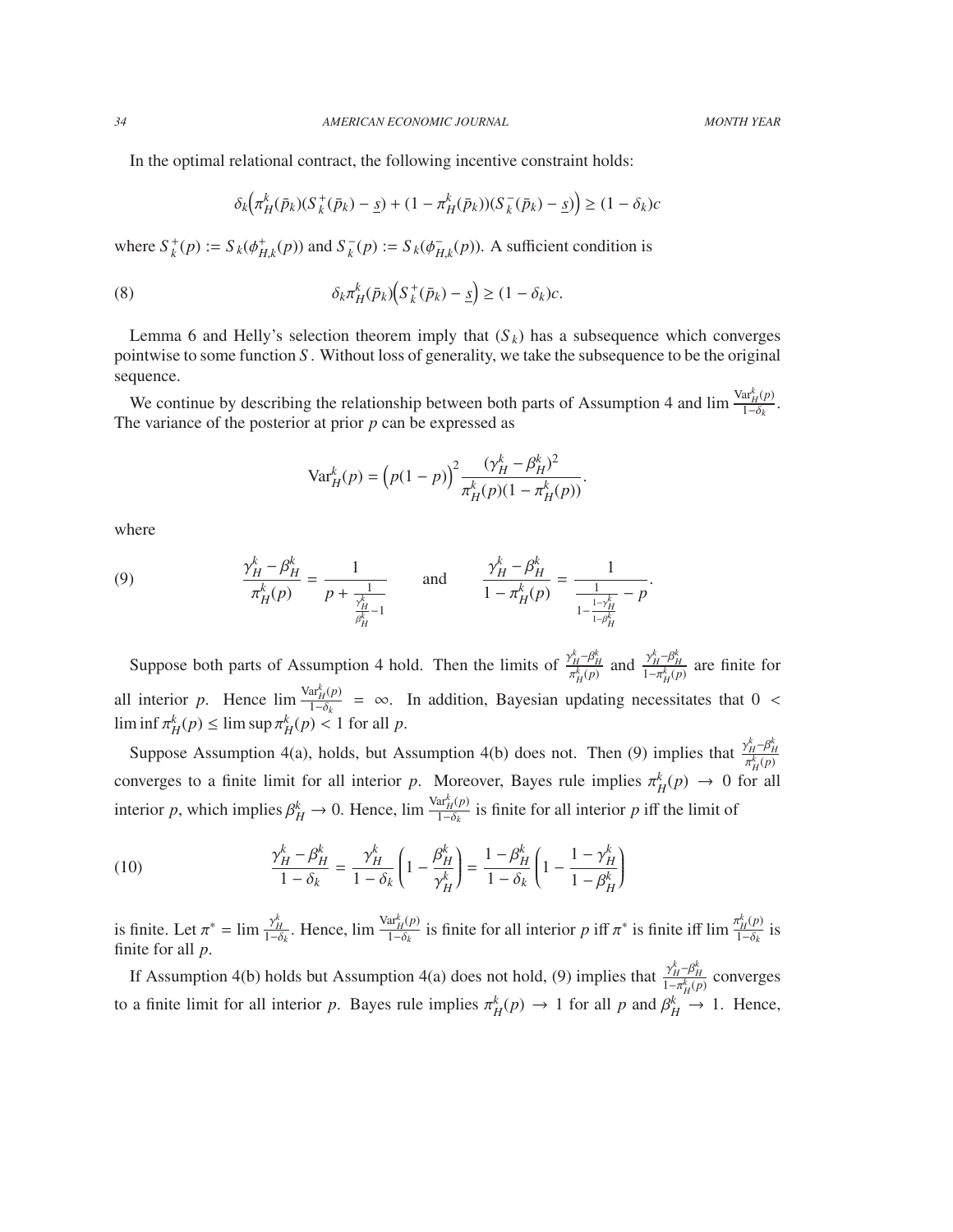In the optimal relational contract, the following incentive constraint holds:

$$
\delta_k(\pi_H^k(\bar{p}_k)(S_k^+(\bar{p}_k)-\underline{s}) + (1-\pi_H^k(\bar{p}_k))(S_k^-(\bar{p}_k)-\underline{s}) \ge (1-\delta_k)c
$$

where  $S_k^+(p) := S_k(\phi_{H,k}^+(p))$  and  $S_k^$  $k^-(p) := S_k(\phi_H^-)$  $H_{H,k}(p)$ ). A sufficient condition is

(8) 
$$
\delta_k \pi_H^k(\bar{p}_k) \Big( S_k^+(\bar{p}_k) - \underline{s} \Big) \geq (1 - \delta_k) c.
$$

Lemma 6 and Helly's selection theorem imply that  $(S_k)$  has a subsequence which converges pointwise to some function *S* . Without loss of generality, we take the subsequence to be the original sequence.

We continue by describing the relationship between both parts of Assumption 4 and  $\lim_{t \to \delta_t} \frac{\text{Var}_H^k(p)}{1 - \delta_t}$  $\frac{\mathbf{a} \cdot H(\mathbf{p})}{1-\delta_k}$ . The variance of the posterior at prior *p* can be expressed as

$$
\text{Var}_{H}^{k}(p) = (p(1-p))^{2} \frac{(\gamma_{H}^{k} - \beta_{H}^{k})^{2}}{\pi_{H}^{k}(p)(1 - \pi_{H}^{k}(p))}.
$$

where

(9) 
$$
\frac{\gamma_H^k - \beta_H^k}{\pi_H^k(p)} = \frac{1}{p + \frac{1}{\frac{\gamma_H^k}{\beta_H^k - 1}}} \quad \text{and} \quad \frac{\gamma_H^k - \beta_H^k}{1 - \pi_H^k(p)} = \frac{1}{\frac{1}{1 - \frac{1 - \gamma_H^k}{1 - \beta_H^k}} - p}.
$$

Suppose both parts of Assumption 4 hold. Then the limits of  $\frac{\gamma_H^k - \beta_H^k}{\pi_H^k(p)}$  and  $\frac{\gamma_H^k - \beta_H^k}{1 - \pi_H^k(p)}$  are finite for all interior *p*. Hence  $\lim_{n \to \infty} \frac{\text{Var}_{H}^{k}(p)}{1 - \delta_{k}} = \infty$ . In addition, Bayesian updating neces  $\frac{dH(\mu)}{1-\delta k}$  = ∞. In addition, Bayesian updating necessitates that 0 <  $\liminf \pi_H^k(p) \leq \limsup \pi_H^k(p) < 1$  for all *p*.

Suppose Assumption 4(a), holds, but Assumption 4(b) does not. Then (9) implies that  $\frac{\gamma_H^k - \beta_H^k}{\pi_H^k(p)}$ converges to a finite limit for all interior *p*. Moreover, Bayes rule implies  $\pi_H^k(p) \to 0$  for all interior *p*, which implies  $\beta_H^k \to 0$ . Hence,  $\lim \frac{\text{Var}_H^k(p)}{1-\delta_k}$  $\frac{dH(P)}{1-\delta_k}$  is finite for all interior *p* iff the limit of

(10) 
$$
\frac{\gamma_H^k - \beta_H^k}{1 - \delta_k} = \frac{\gamma_H^k}{1 - \delta_k} \left( 1 - \frac{\beta_H^k}{\gamma_H^k} \right) = \frac{1 - \beta_H^k}{1 - \delta_k} \left( 1 - \frac{1 - \gamma_H^k}{1 - \beta_H^k} \right)
$$

is finite. Let  $\pi^* = \lim_{\substack{\to \infty \\ 1-\delta_k}} \frac{\gamma_H^k}{\Gamma(k)}$ . Hence,  $\lim \frac{\text{Var}_{H}^{k}(p)}{1-\delta_{k}}$  $\frac{\partial a_H^k(p)}{1-\delta_k}$  is finite for all interior *p* iff  $\pi^*$  is finite iff lim  $\frac{\pi_H^k(p)}{1-\delta_k}$  $\frac{\mu(\mathbf{P})}{1-\delta_k}$  is finite for all *p*.

If Assumption 4(b) holds but Assumption 4(a) does not hold, (9) implies that  $\frac{\gamma_H^k - \beta_H^k}{1 - \pi_H^k(p)}$  converges to a finite limit for all interior *p*. Bayes rule implies  $\pi_H^k(p) \to 1$  for all *p* and  $\beta_H^k \to 1$ . Hence,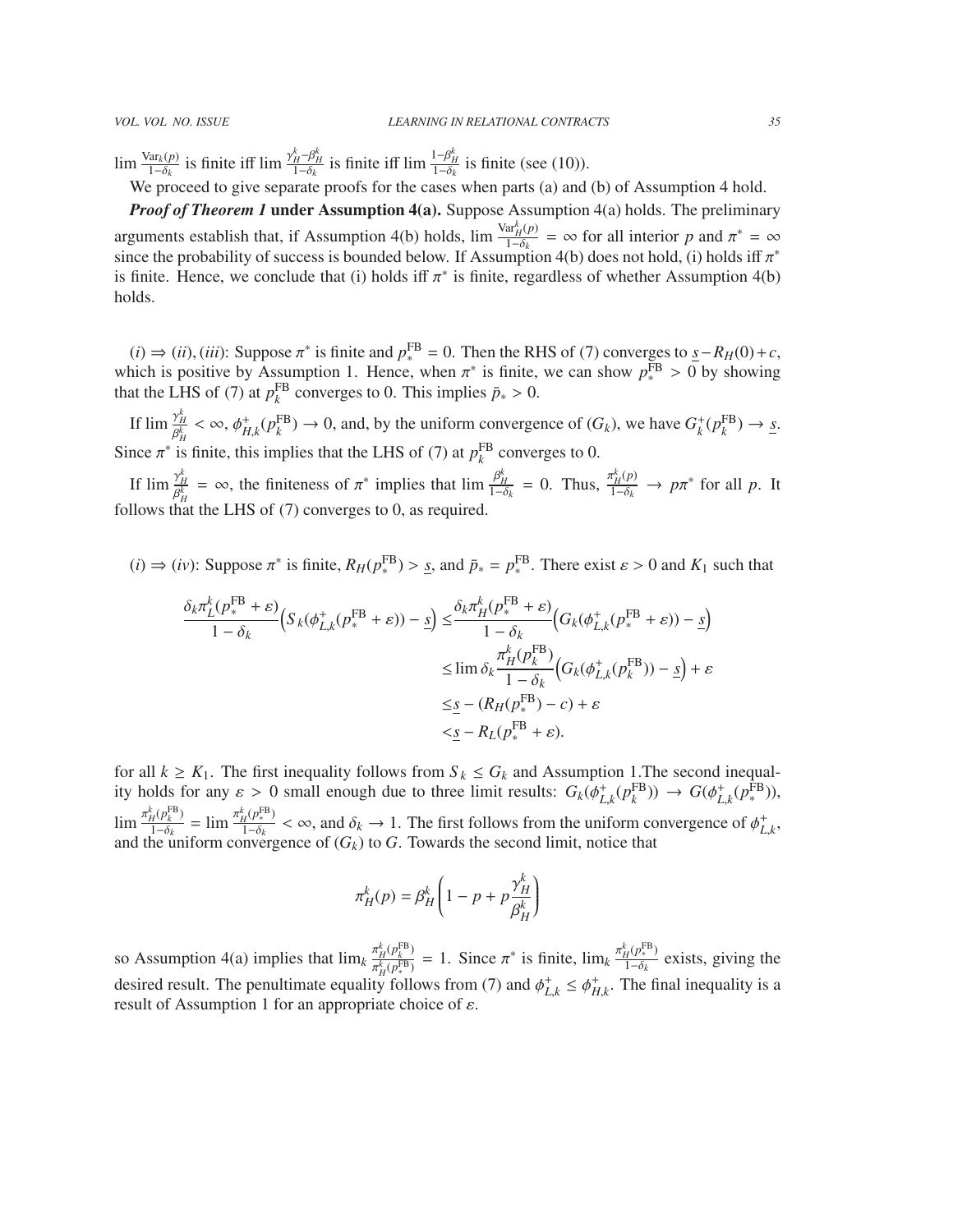$\lim \frac{\text{Var}_k(p)}{1-\delta_k}$  $\frac{\gamma_{\text{dr}_k}(p)}{1-\delta_k}$  is finite iff  $\lim_{t \to \delta_k} \frac{\gamma_H^k - \beta_H^k}{1-\delta_k}$ is finite iff  $\lim_{t \to \delta_k} \frac{1-\beta_H^k}{1-\delta_k}$  is finite (see (10)).

We proceed to give separate proofs for the cases when parts (a) and (b) of Assumption 4 hold.

*Proof of Theorem 1* under Assumption 4(a). Suppose Assumption 4(a) holds. The preliminary arguments establish that, if Assumption 4(b) holds,  $\lim \frac{\text{Var}_H^k(p)}{1-\delta}$  $\frac{d\hat{r}_H(p)}{1-\delta_k} = \infty$  for all interior *p* and  $\pi^* = \infty$ <br>mption 4(b) does not hold (i) holds iff  $\pi^*$ since the probability of success is bounded below. If Assumption 4(b) does not hold, (i) holds iff  $\pi^*$ <br>is finite. Hence, we conclude that (i) holds iff  $\pi^*$  is finite, regardless of whether Assumption 4(b) is finite. Hence, we conclude that (i) holds iff  $\pi^*$  is finite, regardless of whether Assumption 4(b) holds holds.

(*i*) ⇒ (*ii*), (*iii*): Suppose  $\pi^*$  is finite and  $p_*^{\text{FB}} = 0$ . Then the RHS of (7) converges to  $\frac{s}{\pi} - R_H(0) + c$ , and is positive by Assumption 1. Hence when  $\pi^*$  is finite we can show  $p^{\text{FB}} > 0$  by showing which is positive by Assumption 1. Hence, when  $\pi^*$  is finite, we can show  $p^{\text{FB}}_* > 0$  by showing that the LHS of (7) at  $p^{\text{FB}}$  converges to 0. This implies  $\bar{p} > 0$ that the LHS of (7) at  $p_k^{\text{FB}}$  converges to 0. This implies  $\bar{p}_* > 0$ .

If  $\lim_{k \to \infty} \frac{\gamma_H^k}{\rho_k^k}$  $\frac{\gamma_H}{\beta_H^k} < \infty$ ,  $\phi_{H,k}^+(p_k^{\text{FB}}) \to 0$ , and, by the uniform convergence of  $(G_k)$ , we have  $G_k^+(p_k^{\text{FB}}) \to \underline{s}$ . Since  $\pi^*$  is finite, this implies that the LHS of (7) at  $p_k^{\text{FB}}$  converges to 0.

If  $\lim_{k \to \infty} \frac{\gamma_H^k}{\rho_k^k}$  $\frac{\gamma_H^k}{\beta_H^k} = \infty$ , the finiteness of  $\pi^*$  implies that  $\lim_{t \to \delta_k} \frac{\beta_H^k}{1 - \delta_k} = 0$ . Thus,  $\frac{\pi_H^k(p)}{1 - \delta_k} \to p\pi^*$  for all *p*. It follows that the LHS of (7) converges to 0, as required.

 $(i) \Rightarrow (iv)$ : Suppose  $\pi^*$  is finite,  $R_H(p_*^{\text{FB}}) > \underline{s}$ , and  $\bar{p}_* = p_*^{\text{FB}}$ . There exist  $\varepsilon > 0$  and  $K_1$  such that

$$
\frac{\delta_k \pi_L^k(p_*^{\text{FB}} + \varepsilon)}{1 - \delta_k} \Big( S_k(\phi_{L,k}^+(p_*^{\text{FB}} + \varepsilon)) - \underline{s} \Big) \leq \frac{\delta_k \pi_H^k(p_*^{\text{FB}} + \varepsilon)}{1 - \delta_k} \Big( G_k(\phi_{L,k}^+(p_*^{\text{FB}} + \varepsilon)) - \underline{s} \Big)
$$
  

$$
\leq \lim_{h \to 0} \delta_k \frac{\pi_H^k(p_k^{\text{FB}})}{1 - \delta_k} \Big( G_k(\phi_{L,k}^+(p_k^{\text{FB}})) - \underline{s} \Big) + \varepsilon
$$
  

$$
\leq \underline{s} - (R_H(p_*^{\text{FB}}) - c) + \varepsilon
$$
  

$$
< \underline{s} - R_L(p_*^{\text{FB}} + \varepsilon).
$$

for all  $k \geq K_1$ . The first inequality follows from  $S_k \leq G_k$  and Assumption 1. The second inequality holds for any  $\varepsilon > 0$  small enough due to three limit results:  $G_k(\phi_{L,k}^+(p_k^{\text{FB}})) \to G(\phi_{L,k}^+(p_k^{\text{FB}})),$ <br>  $\pi^k(e_k^{\text{FB}})$  $L, k \vee P_k$  )  $\vee$   $\cup \vee_{k,k}$  $\lim \frac{\pi_H^k(p_k^{\text{FB}})}{1-\delta_k}$  $\frac{d_H^k(p_k^{\text{FB}})}{1-\delta_k} = \lim \frac{\pi_H^k(p_k^{\text{FB}})}{1-\delta_k}$  $\frac{\partial f}{\partial t}(\mathcal{F}_{k}^{T}) < \infty$ , and  $\delta_k \to 1$ . The first follows from the uniform convergence of  $\phi_{L,k}^+$ , invergence of  $(G_k)$  to G. Towards the second limit notice that and the uniform convergence of  $(G_k)$  to  $G$ . Towards the second limit, notice that

$$
\pi_H^k(p) = \beta_H^k \left(1-p + p\frac{\gamma_H^k}{\beta_H^k}\right)
$$

so Assumption 4(a) implies that  $\lim_{k} \frac{\pi_H^k(\rho_k^{\text{FB}})}{\pi^k(\rho_k^{\text{FB}})}$ desired result. The penultimate equality follows from (7) and  $\phi_{L,k}^+ \leq \phi_{H,k}^+$ . The final inequality is a result of Assumption 1 for an appropriate choice of  $\varepsilon$  $\frac{H(P_k^{\text{FB}})}{H(P_{\text{s}}^{\text{FB}})} = 1$ . Since  $\pi^*$  is finite,  $\lim_k \frac{\pi_H^k(P_k^{\text{FB}})}{1-\delta_k}$  $\frac{q(\mathcal{V}^*)}{1-\delta_k}$  exists, giving the result of Assumption 1 for an appropriate choice of  $\varepsilon$ .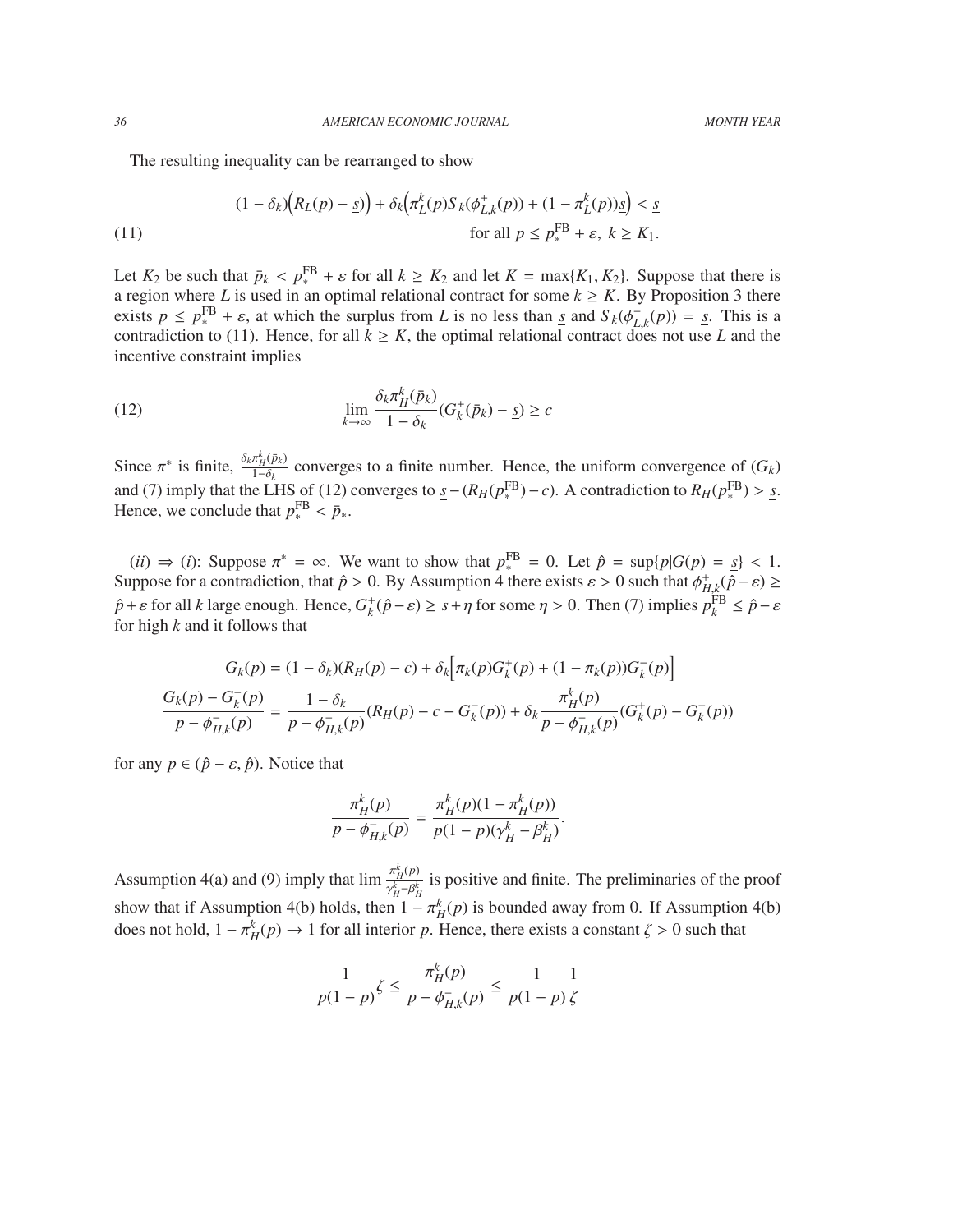The resulting inequality can be rearranged to show

(11)  
\n
$$
(1 - \delta_k) \Big( R_L(p) - \underline{s} \Big) + \delta_k \Big( \pi_L^k(p) S_k(\phi_{L,k}^+(p)) + (1 - \pi_L^k(p)) \underline{s} \Big) < \underline{s}
$$
\n
$$
\text{for all } p \le p_*^{\text{FB}} + \varepsilon, \ k \ge K_1.
$$

Let  $K_2$  be such that  $\bar{p}_k < p_k^{\text{FB}} + \varepsilon$  for all  $k \geq K_2$  and let  $K = \max\{K_1, K_2\}$ . Suppose that there is a region where *L* is used in an optimal relational contract for some  $k \ge K$ . By Proposition 3 there exists  $p \leq p_*^{\text{FB}} + \varepsilon$ , at which the surplus from *L* is no less than <u>*s*</u> and  $S_k(\phi_{L,k}^-(p)) = s$ . This is a contradiction to (11). Hence for all  $k > K$  the optimal relational contract does not use *L* and the contradiction to (11). Hence, for all  $k \ge K$ , the optimal relational contract does not use *L* and the contradiction to (11). Hence, for all  $k \ge K$ , the optimal relational contract does not use *L* and the incentive constraint implies

(12) 
$$
\lim_{k \to \infty} \frac{\delta_k \pi_H^k(\bar{p}_k)}{1 - \delta_k} (G_k^+(\bar{p}_k) - \underline{s}) \ge c
$$

Since  $\pi^*$  is finite,  $\frac{\delta_k \pi_H^k(\bar{p}_k)}{1-\delta_k}$  converges to a finite number. Hence, the uniform convergence of  $(G_k)$ and (7) imply that the LHS of (12) converges to  $\underline{s} - (R_H(p_*^{\text{FB}}) - c)$ . A contradiction to  $R_H(p_*^{\text{FB}}) > \underline{s}$ .<br>Hence we conclude that  $p_{\text{FB}} \le \overline{p}$ Hence, we conclude that  $p_*^{\text{FB}} < \bar{p}_*.$ 

(*ii*)  $\Rightarrow$  (*i*): Suppose  $\pi^* = \infty$ . We want to show that  $p_*^{FB} = 0$ . Let  $\hat{p} = \sup\{p|G(p) = s\} < 1$ . Suppose for a contradiction, that  $\hat{p} > 0$ . By Assumption 4 there exists  $\varepsilon > 0$  such that  $\phi_{H,k}^{+}(\hat{p}-\varepsilon) \ge$  $H, k$ <sub>n</sub> $F$ <sub>*x*</sub>  $\hat{p} + \varepsilon$  for all *k* large enough. Hence,  $G_k^+(\hat{p} - \varepsilon) \ge \underline{s} + \eta$  for some  $\eta > 0$ . Then (7) implies  $p_k^{\text{FB}} \le \hat{p} - \varepsilon$  for high *k* and it follows that for high *k* and it follows that

$$
G_k(p) = (1 - \delta_k)(R_H(p) - c) + \delta_k \Big[ \pi_k(p) G_k^+(p) + (1 - \pi_k(p)) G_k^-(p) \Big]
$$
  

$$
\frac{G_k(p) - G_k^-(p)}{p - \phi_{H,k}^-(p)} = \frac{1 - \delta_k}{p - \phi_{H,k}^-(p)} (R_H(p) - c - G_k^-(p)) + \delta_k \frac{\pi_H^k(p)}{p - \phi_{H,k}^-(p)} (G_k^+(p) - G_k^-(p))
$$

for any  $p \in (\hat{p} - \varepsilon, \hat{p})$ . Notice that

$$
\frac{\pi_H^k(p)}{p - \phi_{H,k}^-(p)} = \frac{\pi_H^k(p)(1 - \pi_H^k(p))}{p(1 - p)(\gamma_H^k - \beta_H^k)}.
$$

Assumption 4(a) and (9) imply that  $\lim_{x \to k} \frac{\pi_H^k(p)}{e^k}$ show that if Assumption 4(b) holds, then  $1 - \pi_H^k(p)$  is bounded away from 0. If Assumption 4(b) does not hold  $1 - \pi_K^k(p) \to 1$  for all interior n. Hones, there exists a constant  $\zeta > 0$  such that  $h_H^{(HVP)}$  is positive and finite. The preliminaries of the proof does not hold,  $1 - \pi_H^k(p) \to 1$  for all interior *p*. Hence, there exists a constant  $\zeta > 0$  such that

$$
\frac{1}{p(1-p)}\zeta \le \frac{\pi_H^k(p)}{p - \phi_{H,k}^-(p)} \le \frac{1}{p(1-p)}\frac{1}{\zeta}
$$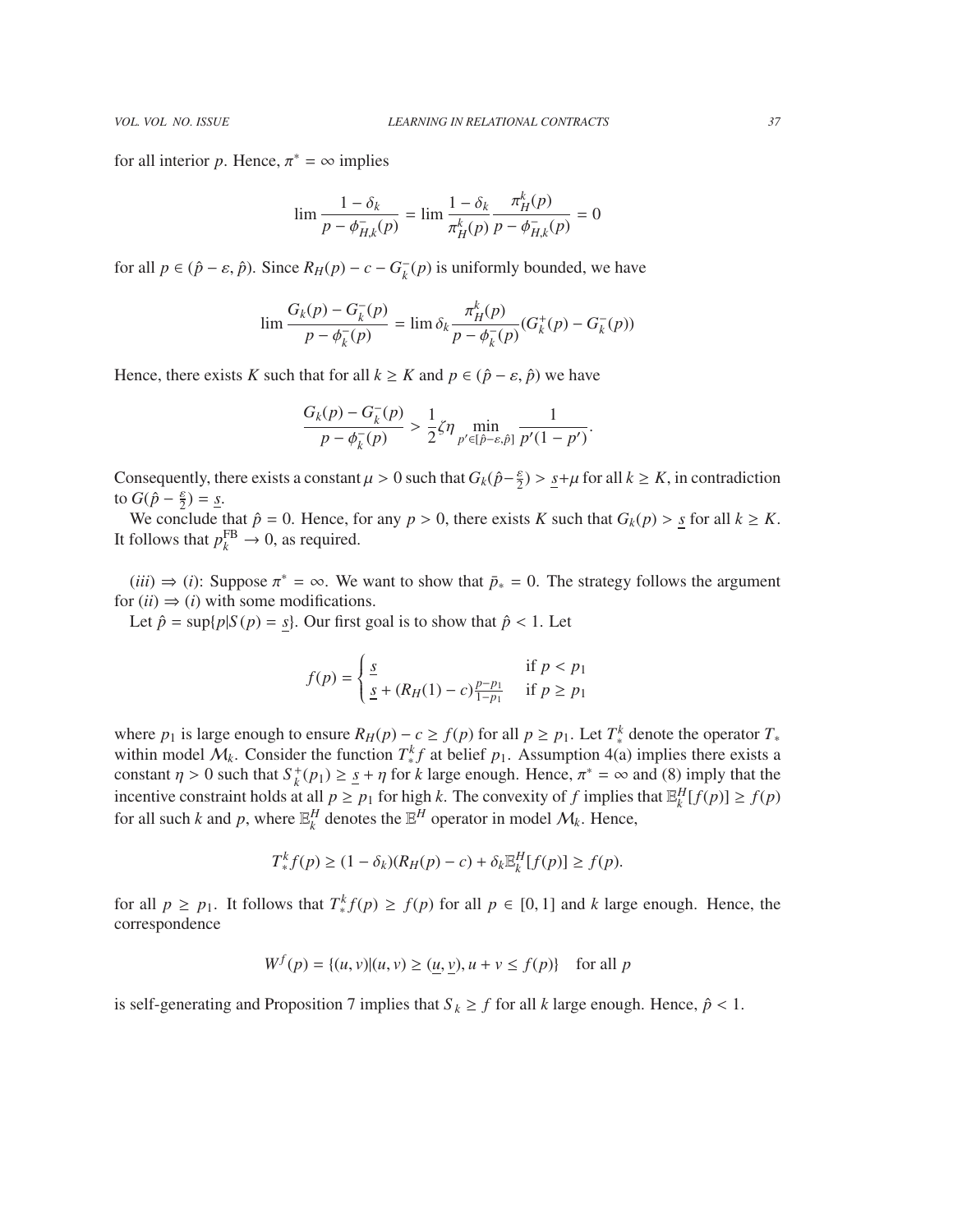for all interior *p*. Hence,  $\pi^* = \infty$  implies

$$
\lim \frac{1 - \delta_k}{p - \phi_{H,k}^-(p)} = \lim \frac{1 - \delta_k}{\pi_H^k(p)} \frac{\pi_H^k(p)}{p - \phi_{H,k}^-(p)} = 0
$$

for all  $p \in (\hat{p} - \varepsilon, \hat{p})$ . Since  $R_H(p) - c - G_k^$  $k<sub>k</sub>$  (*p*) is uniformly bounded, we have

$$
\lim \frac{G_k(p) - G_k^-(p)}{p - \phi_k^-(p)} = \lim \delta_k \frac{\pi_H^k(p)}{p - \phi_k^-(p)} (G_k^+(p) - G_k^-(p))
$$

Hence, there exists *K* such that for all  $k \geq K$  and  $p \in (\hat{p} - \varepsilon, \hat{p})$  we have

$$
\frac{G_k(p) - G_k^-(p)}{p - \phi_k^-(p)} > \frac{1}{2}\zeta\eta \min_{p' \in [\hat{p} - \varepsilon, \hat{p}]} \frac{1}{p'(1 - p')}.
$$

Consequently, there exists a constant  $\mu > 0$  such that  $G_k(\hat{p} - \frac{\varepsilon}{2}) > \underline{s} + \mu$  for all  $k \ge K$ , in contradiction to  $G(\hat{p} - \frac{\varepsilon}{2}) - s$ to  $G(\hat{p} - \frac{\varepsilon}{2}) = \underline{s}$ .

We conclude that  $\hat{p} = 0$ . Hence, for any  $p > 0$ , there exists *K* such that  $G_k(p) > s$  for all  $k \geq K$ . It follows that  $p_k^{\text{FB}} \to 0$ , as required.

(*iii*)  $\Rightarrow$  (*i*): Suppose  $\pi^* = \infty$ . We want to show that  $\bar{p}_* = 0$ . The strategy follows the argument  $\pi(i) \rightarrow (i)$  with some modifications for  $(ii) \Rightarrow (i)$  with some modifications.

Let  $\hat{p} = \sup\{p|S(p) = s\}$ . Our first goal is to show that  $\hat{p} < 1$ . Let

$$
f(p) = \begin{cases} \frac{s}{2} & \text{if } p < p_1 \\ \frac{s}{2} + (R_H(1) - c) \frac{p - p_1}{1 - p_1} & \text{if } p \ge p_1 \end{cases}
$$

where  $p_1$  is large enough to ensure  $R_H(p) - c \ge f(p)$  for all  $p \ge p_1$ . Let  $T_*^k$  denote the operator  $T_*$ within model  $M_k$ . Consider the function  $T^k$  at belief  $p_1$ . Assumption 4(a) implies there exists a constant  $\eta > 0$  such that  $S_k^+(p_1) \geq \underline{s} + \eta$  for *k* large enough. Hence,  $\pi^* = \infty$  and (8) imply that the incontinuous constraint holds at all  $p > p_k$  for high *k*. The convexity of *f* implies that  $\mathbb{E}^H[f(n)] > f(n)$ incentive constraint holds at all  $p \ge p_1$  for high k. The convexity of f implies that  $\mathbb{E}_k^H[f(p)] \ge f(p)$ for all such *k* and *p*, where  $\mathbb{E}_k^H$  denotes the  $\mathbb{E}^H$  operator in model  $\mathcal{M}_k$ . Hence,

$$
T_*^k f(p) \ge (1 - \delta_k)(R_H(p) - c) + \delta_k \mathbb{E}_k^H[f(p)] \ge f(p).
$$

for all  $p \ge p_1$ . It follows that  $T^k_* f(p) \ge f(p)$  for all  $p \in [0, 1]$  and *k* large enough. Hence, the correspondence correspondence

$$
W^{f}(p) = \{(u, v) | (u, v) \ge (u, v), u + v \le f(p) \} \text{ for all } p
$$

is self-generating and Proposition 7 implies that  $S_k \geq f$  for all *k* large enough. Hence,  $\hat{p} < 1$ .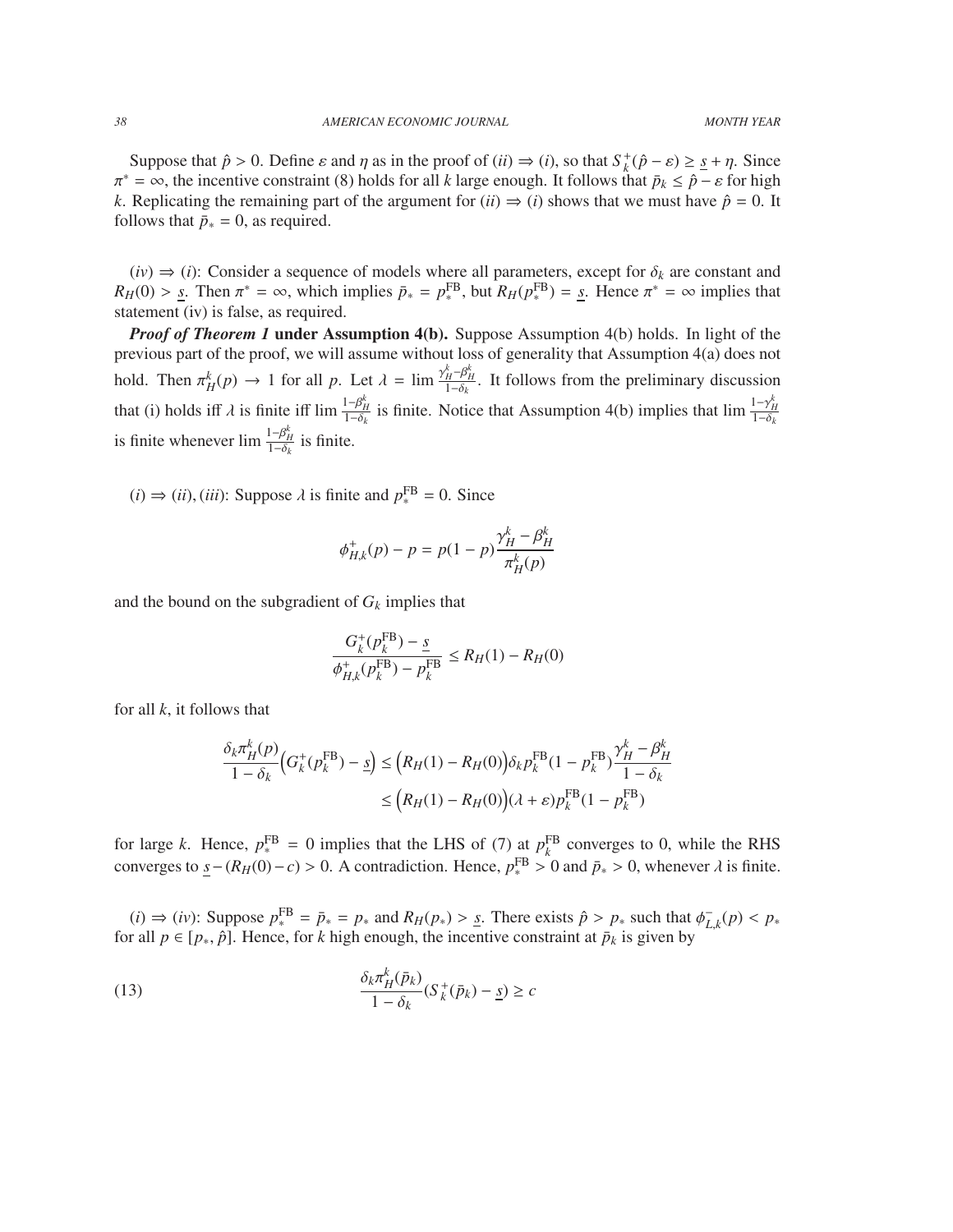Suppose that  $\hat{p} > 0$ . Define  $\varepsilon$  and  $\eta$  as in the proof of (*ii*)  $\Rightarrow$  (*i*), so that  $S_k^+(\hat{p} - \varepsilon) \geq \underline{s} + \eta$ . Since  $-\infty$  the incentive constraint (8) holds for all *k* large enough. It follows that  $\bar{p}_k < \hat{$ *k*. Replicating the remaining part of the argument for (*ii*)  $\Rightarrow$  (*i*) shows that we must have  $\hat{p} = 0$ . It  $\pi^* = \infty$ , the incentive constraint (8) holds for all *k* large enough. It follows that  $\bar{p}_k \leq \hat{p} - \varepsilon$  for high follows that  $\bar{p}_* = 0$ , as required.

 $(iv) \Rightarrow (i)$ : Consider a sequence of models where all parameters, except for  $\delta_k$  are constant and  $R_H(0) > s$ . Then  $\pi^* = \infty$ , which implies  $\bar{p}_* = p_*^{\text{FB}}$ , but  $R_H(p_*^{\text{FB}}) = s$ . Hence  $\pi^* = \infty$  implies that statement (iv) is false, as required statement (iv) is false, as required.

*Proof of Theorem 1* under Assumption 4(b). Suppose Assumption 4(b) holds. In light of the previous part of the proof, we will assume without loss of generality that Assumption 4(a) does not hold. Then  $\pi_H^k(p) \to 1$  for all *p*. Let  $\lambda = \lim_{\substack{\lambda \to 0^k \\ 1-\delta_k}} \frac{\gamma_H^k - \beta_H^k}{\lambda}$ . It follows from the preliminary discussion that (i) holds iff  $\lambda$  is finite iff  $\lim_{1-\delta_k} \frac{1-\beta_H^k}{1-\delta_R}$ is finite. Notice that Assumption 4(b) implies that  $\lim_{t \to \delta_k} \frac{1 - \gamma_H^k}{1 - \delta_k}$ is finite whenever  $\lim_{\epsilon \to 0} \frac{1-\beta_H^k}{1-\delta_k}$  is finite.

 $(i) \Rightarrow (ii)$ ,  $(iii)$ : Suppose  $\lambda$  is finite and  $p_*^{\text{FB}} = 0$ . Since

$$
\phi_{H,k}^+(p) - p = p(1-p)\frac{\gamma_H^k - \beta_H^k}{\pi_H^k(p)}
$$

and the bound on the subgradient of  $G_k$  implies that

$$
\frac{G_k^+(p_k^{\text{FB}}) - \underline{s}}{\phi_{H,k}^+(p_k^{\text{FB}}) - p_k^{\text{FB}}} \le R_H(1) - R_H(0)
$$

for all *k*, it follows that

$$
\frac{\delta_k \pi_H^k(p)}{1 - \delta_k} \Big( G_k^+(p_k^{FB}) - \underline{s} \Big) \le \Big( R_H(1) - R_H(0) \Big) \delta_k p_k^{FB} (1 - p_k^{FB}) \frac{\gamma_H^k - \beta_H^k}{1 - \delta_k} \n\le \Big( R_H(1) - R_H(0) \Big) (\lambda + \varepsilon) p_k^{FB} (1 - p_k^{FB})
$$

for large *k*. Hence,  $p_*^{\text{FB}} = 0$  implies that the LHS of (7) at  $p_k^{\text{FB}}$  converges to 0, while the RHS converges to  $\underline{s}-(R_H(0)-c) > 0$ . A contradiction. Hence,  $p_*^{\text{FB}} > 0$  and  $\bar{p}_* > 0$ , whenever  $\lambda$  is finite.

(*i*) ⇒ (*iv*): Suppose  $p_*^{\text{FB}} = \bar{p}_* = p_*$  and  $R_H(p_*) > \underline{s}$ . There exists  $\hat{p} > p_*$  such that  $\phi_L^-$  rall  $p \in [p_*, \hat{p}_*]$ . Hence for *k* high enough the incentive constraint at  $\bar{p}_k$  is given by  $L_{\lambda,k}^{-}(p) < p_*$ for all  $p \in [p_*, \hat{p}]$ . Hence, for *k* high enough, the incentive constraint at  $\bar{p}_k$  is given by

(13) 
$$
\frac{\delta_k \pi_H^k(\bar{p}_k)}{1 - \delta_k} (S_k^+(\bar{p}_k) - \underline{s}) \ge c
$$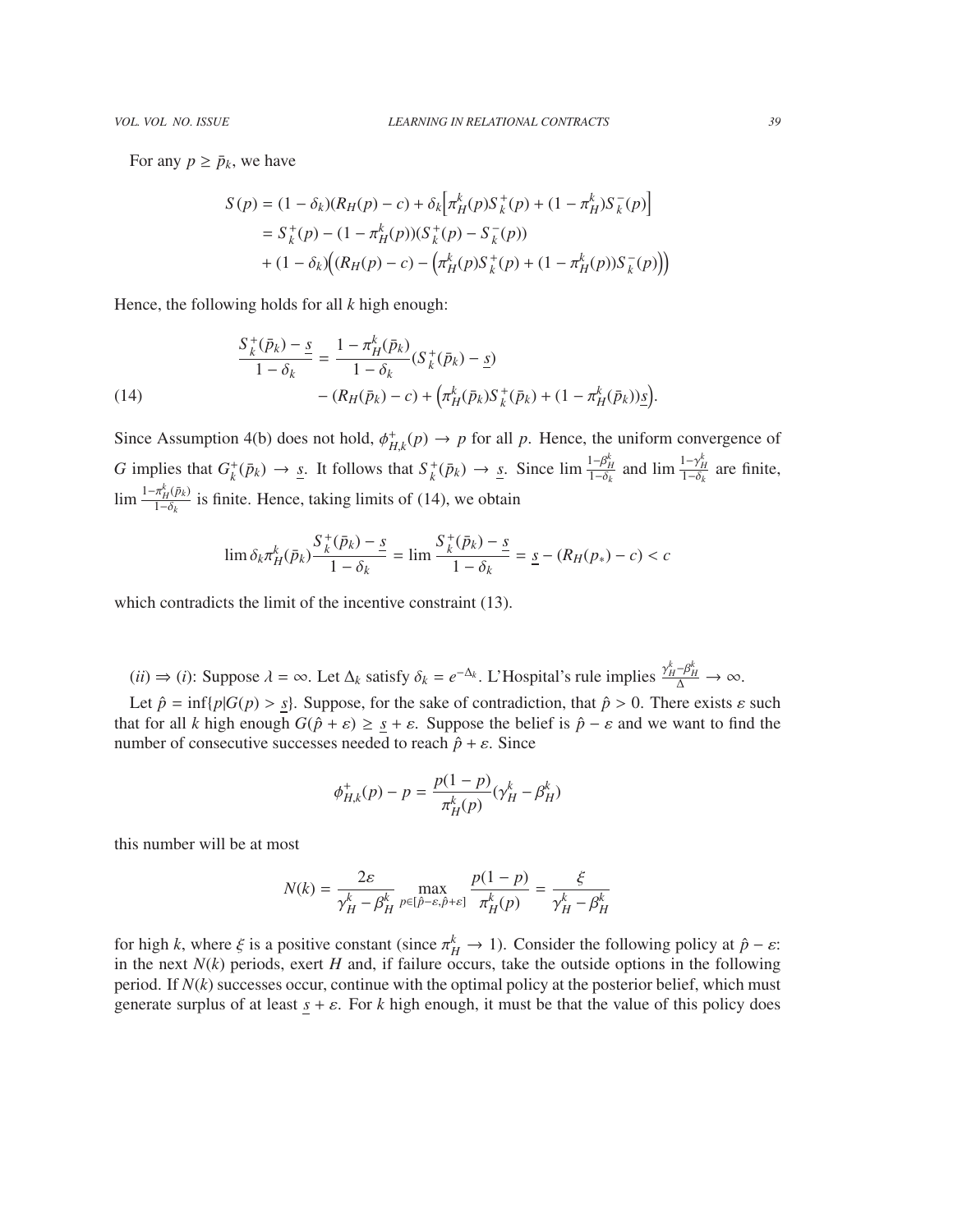For any  $p \geq \bar{p}_k$ , we have

$$
S(p) = (1 - \delta_k)(R_H(p) - c) + \delta_k \Big[ \pi_H^k(p) S_k^+(p) + (1 - \pi_H^k) S_k^-(p) \Big]
$$
  
=  $S_k^+(p) - (1 - \pi_H^k(p))(S_k^+(p) - S_k^-(p))$   
+  $(1 - \delta_k) \Big( (R_H(p) - c) - \Big( \pi_H^k(p) S_k^+(p) + (1 - \pi_H^k(p)) S_k^-(p) \Big) \Big)$ 

Hence, the following holds for all *k* high enough:

(14)  
\n
$$
\frac{S_k^+(\bar{p}_k) - s}{1 - \delta_k} = \frac{1 - \pi_H^k(\bar{p}_k)}{1 - \delta_k} (S_k^+(\bar{p}_k) - s)
$$
\n
$$
- (R_H(\bar{p}_k) - c) + \left(\pi_H^k(\bar{p}_k) S_k^+(\bar{p}_k) + (1 - \pi_H^k(\bar{p}_k))s\right).
$$

Since Assumption 4(b) does not hold,  $\phi_{H,k}^+(p) \to p$  for all *p*. Hence, the uniform convergence of *H*,*k G* implies that  $G_k^+(\bar{p}_k) \to \underline{s}$ . It follows that  $S_k^+(\bar{p}_k) \to \underline{s}$ . Since  $\lim_{t \to \delta_k} \frac{1 - \beta_H^k}{1 - \delta_k}$ and  $\lim_{h \to 0} \frac{1 - \gamma_H^k}{1 - \delta_k}$  are finite,  $\lim \frac{1-\pi_H^k(\bar{p}_k)}{1-\delta_k}$  $\frac{n_H(\mu_K)}{1-\delta_k}$  is finite. Hence, taking limits of (14), we obtain

$$
\lim \delta_k \pi_H^k(\bar{p}_k) \frac{S_k^+(\bar{p}_k) - s}{1 - \delta_k} = \lim \frac{S_k^+(\bar{p}_k) - s}{1 - \delta_k} = s - (R_H(p_*) - c) < c
$$

which contradicts the limit of the incentive constraint (13).

 $(ii) \Rightarrow (i):$  Suppose  $\lambda = \infty$ . Let  $\Delta_k$  satisfy  $\delta_k = e^{-\Delta_k}$ . L'Hospital's rule implies  $\frac{\gamma_H^k - \beta_H^k}{\Delta} \to \infty$ .

Let  $\hat{p} = \inf\{p|G(p) > s\}$ . Suppose, for the sake of contradiction, that  $\hat{p} > 0$ . There exists  $\varepsilon$  such that for all *k* high enough  $G(\hat{p} + \varepsilon) \geq \underline{s} + \varepsilon$ . Suppose the belief is  $\hat{p} - \varepsilon$  and we want to find the number of consecutive successes needed to reach  $\hat{p} + \varepsilon$ . Since

$$
\phi_{H,k}^+(p) - p = \frac{p(1-p)}{\pi_H^k(p)} (\gamma_H^k - \beta_H^k)
$$

this number will be at most

$$
N(k) = \frac{2\varepsilon}{\gamma_H^k - \beta_H^k} \max_{p \in [\hat{p} - \varepsilon, \hat{p} + \varepsilon]} \frac{p(1 - p)}{\pi_H^k(p)} = \frac{\xi}{\gamma_H^k - \beta_H^k}
$$

for high *k*, where  $\xi$  is a positive constant (since  $\pi_H^k \to 1$ ). Consider the following policy at  $\hat{p} - \varepsilon$ :<br>in the next  $N(k)$  periods, exert H and, if failure occurs, take the outside options in the following in the next  $N(k)$  periods, exert  $H$  and, if failure occurs, take the outside options in the following period. If  $N(k)$  successes occur, continue with the optimal policy at the posterior belief, which must generate surplus of at least  $s + \varepsilon$ . For *k* high enough, it must be that the value of this policy does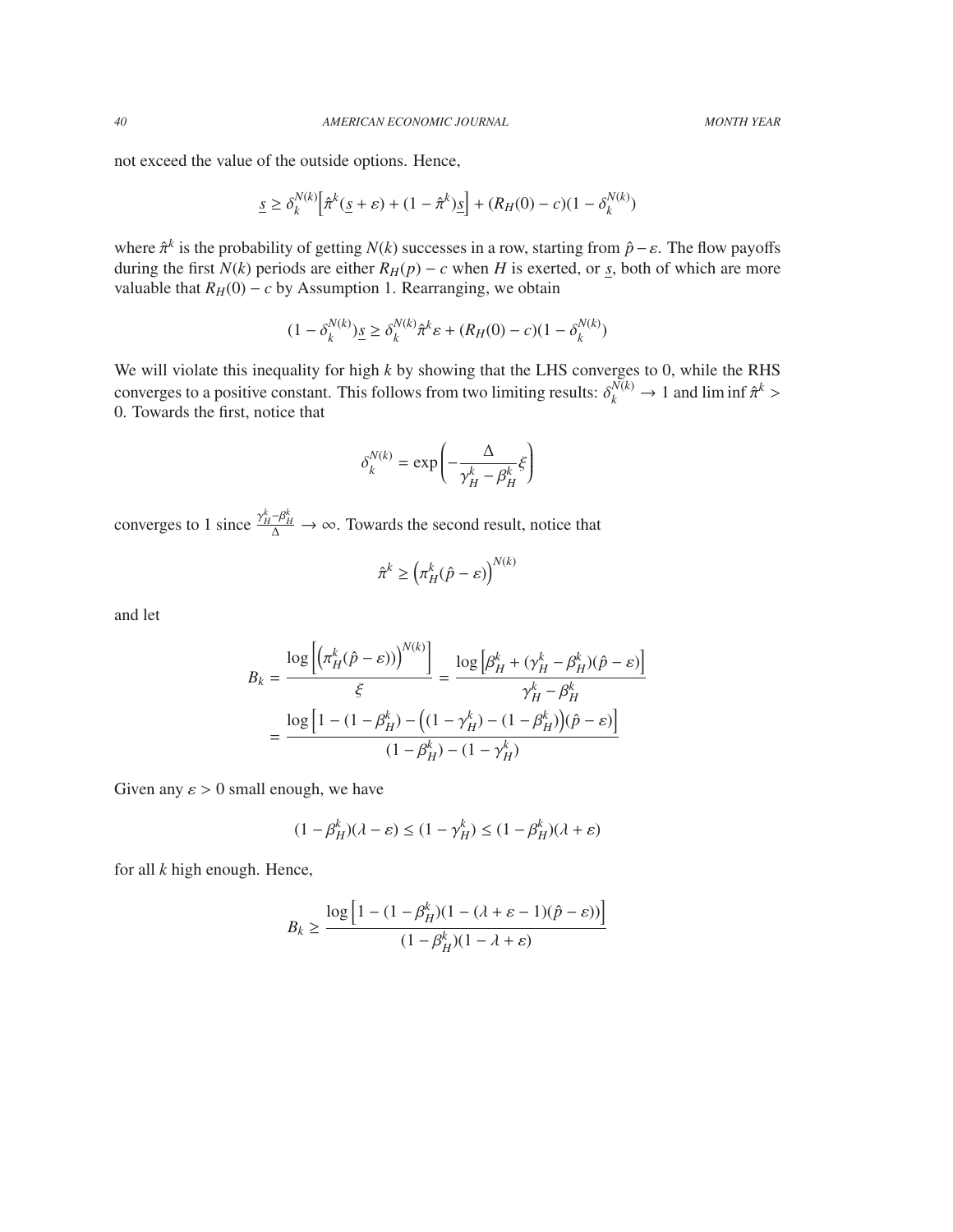not exceed the value of the outside options. Hence,

$$
\underline{s} \ge \delta_k^{N(k)} \Big[ \hat{\pi}^k(\underline{s} + \varepsilon) + (1 - \hat{\pi}^k) \underline{s} \Big] + (R_H(0) - c)(1 - \delta_k^{N(k)})
$$

where  $\hat{\pi}^k$  is the probability of getting *N*(*k*) successes in a row, starting from  $\hat{p} - \varepsilon$ . The flow payoffs during the first *N*(*k*) periods are either *R*<sub>*x*</sub>(*n*) – *c* when *H* is everted or s both of whi during the first  $N(k)$  periods are either  $R_H(p) - c$  when *H* is exerted, or *s*, both of which are more valuable that  $R$ <sup>*H*</sup>(0) − *c* by Assumption 1. Rearranging, we obtain

$$
(1 - \delta_k^{N(k)}) \underline{s} \ge \delta_k^{N(k)} \hat{\pi}^k \varepsilon + (R_H(0) - c)(1 - \delta_k^{N(k)})
$$

We will violate this inequality for high *k* by showing that the LHS converges to 0, while the RHS converges to a positive constant. This follows from two limiting results:  $\delta_k^{N(k)} \to 1$  and lim inf  $\hat{\pi}^k$ <br>0. Towards the first notice that 0. Towards the first, notice that

$$
\delta_k^{N(k)} = \exp\left(-\frac{\Delta}{\gamma_H^k - \beta_H^k} \xi\right)
$$

converges to 1 since  $\frac{\gamma_H^k - \beta_H^k}{\Delta} \to \infty$ . Towards the second result, notice that

$$
\hat{\pi}^k \ge \left(\pi_H^k(\hat{p}-\varepsilon)\right)^{N(k)}
$$

and let

$$
B_k = \frac{\log \left[ \left( \pi_H^k (\hat{p} - \varepsilon) \right)^{N(k)} \right]}{\xi} = \frac{\log \left[ \beta_H^k + (\gamma_H^k - \beta_H^k)(\hat{p} - \varepsilon) \right]}{\gamma_H^k - \beta_H^k}
$$

$$
= \frac{\log \left[ 1 - (1 - \beta_H^k) - \left( (1 - \gamma_H^k) - (1 - \beta_H^k) \right)(\hat{p} - \varepsilon) \right]}{(1 - \beta_H^k) - (1 - \gamma_H^k)}
$$

Given any  $\varepsilon > 0$  small enough, we have

$$
(1 - \beta_H^k)(\lambda - \varepsilon) \le (1 - \gamma_H^k) \le (1 - \beta_H^k)(\lambda + \varepsilon)
$$

for all *k* high enough. Hence,

$$
B_k \ge \frac{\log\left[1-(1-\beta_H^k)(1-(\lambda+\varepsilon-1)(\hat{p}-\varepsilon))\right]}{(1-\beta_H^k)(1-\lambda+\varepsilon)}
$$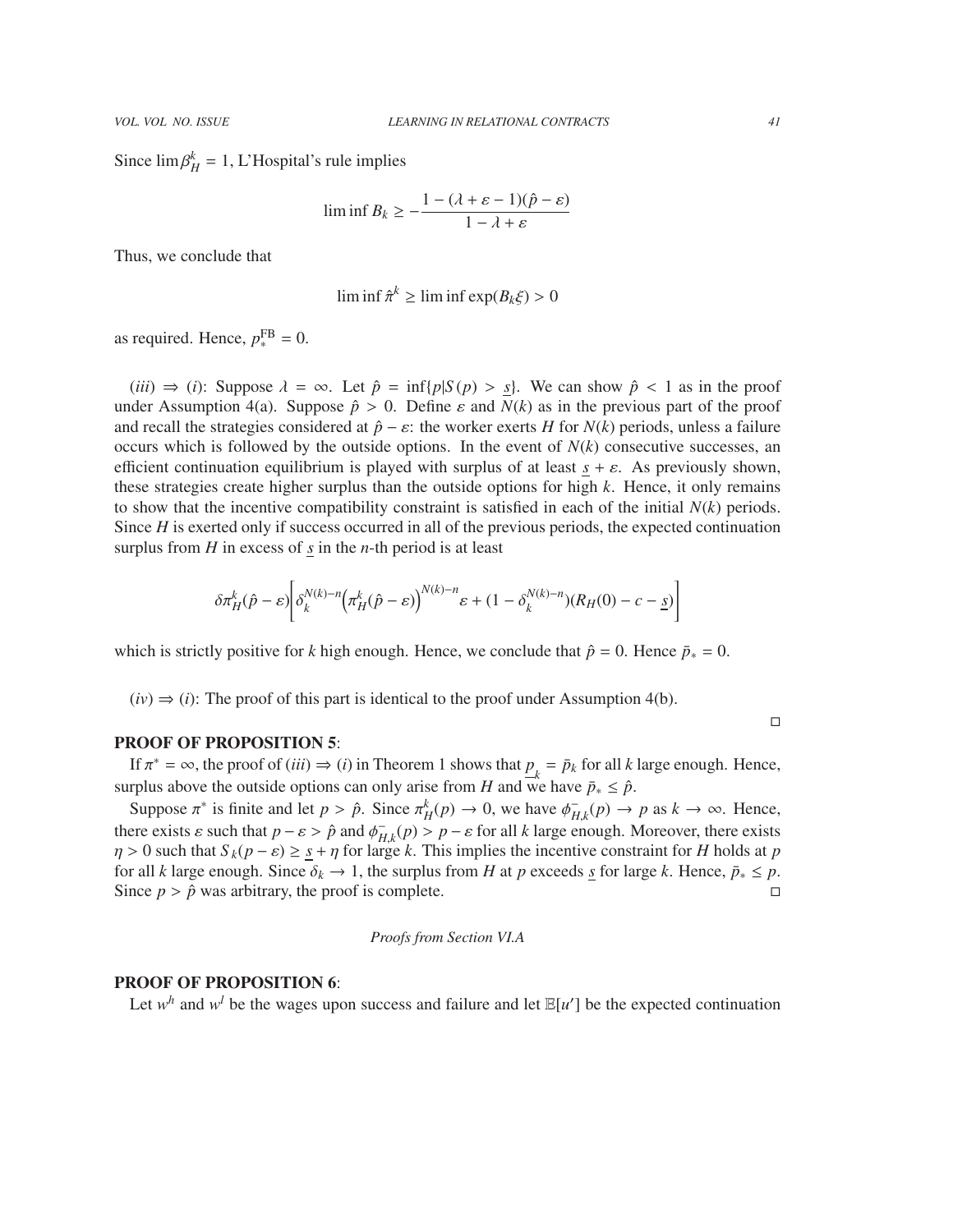Since  $\lim \beta_H^k = 1$ , L'Hospital's rule implies

$$
\liminf B_k \ge -\frac{1 - (\lambda + \varepsilon - 1)(\hat{p} - \varepsilon)}{1 - \lambda + \varepsilon}
$$

Thus, we conclude that

$$
\liminf \hat{\pi}^k \ge \liminf \exp(B_k \xi) > 0
$$

as required. Hence,  $p_*^{\text{FB}} = 0$ .

 $(iii) \Rightarrow (i)$ : Suppose  $\lambda = \infty$ . Let  $\hat{p} = \inf\{p | S(p) > s\}$ . We can show  $\hat{p} < 1$  as in the proof under Assumption 4(a). Suppose  $\hat{p} > 0$ . Define  $\varepsilon$  and  $N(k)$  as in the previous part of the proof and recall the strategies considered at  $\hat{p}$  −  $\varepsilon$ : the worker exerts *H* for *N*(*k*) periods, unless a failure occurs which is followed by the outside options. In the event of  $N(k)$  consecutive successes, an efficient continuation equilibrium is played with surplus of at least  $s + \varepsilon$ . As previously shown, these strategies create higher surplus than the outside options for high *k*. Hence, it only remains to show that the incentive compatibility constraint is satisfied in each of the initial  $N(k)$  periods. Since *H* is exerted only if success occurred in all of the previous periods, the expected continuation surplus from  $H$  in excess of  $\frac{s}{s}$  in the *n*-th period is at least

$$
\delta \pi_H^k(\hat{p} - \varepsilon) \bigg[ \delta_k^{N(k)-n} \big( \pi_H^k(\hat{p} - \varepsilon) \big)^{N(k)-n} \varepsilon + (1 - \delta_k^{N(k)-n}) (R_H(0) - c - s) \bigg]
$$

which is strictly positive for *k* high enough. Hence, we conclude that  $\hat{p} = 0$ . Hence  $\bar{p}_* = 0$ .

 $(iv) \Rightarrow (i)$ : The proof of this part is identical to the proof under Assumption 4(b).

# PROOF OF PROPOSITION 5:

If  $\pi^* = \infty$ , the proof of (*iii*)  $\Rightarrow$  (*i*) in Theorem 1 shows that  $p_k = \bar{p}_k$  for all *k* large enough. Hence, surplus above the outside options can only arise from *H* and we have  $\bar{p}_* \leq \hat{p}$ .

Suppose  $\pi^*$  is finite and let  $p > \hat{p}$ . Since  $\pi_H^k(p) \to 0$ , we have  $\phi_H^+$  $H_{H,k}(p) \to p$  as  $k \to \infty$ . Hence,<br>enough Moreover there exists there exists  $\varepsilon$  such that  $p - \varepsilon > \hat{p}$  and  $\phi_{H,k}^-(p) > p - \varepsilon$  for all *k* large enough. Moreover, there exists  $p > 0$  such that  $S_L(p - \varepsilon) > s + p$  for large *k*. This implies the incentive constraint for *H* holds at  $\eta > 0$  such that  $S_k(p - \varepsilon) \geq \frac{s}{2} + \eta$  for large *k*. This implies the incentive constraint for *H* holds at *p* for all *k* large enough. Since  $\delta_i \to 1$  the surplus from *H* at *n* exceeds s for large *k*. Hence  $\bar{$ for all *k* large enough. Since  $\delta_k \to 1$ , the surplus from *H* at *p* exceeds <u>*s*</u> for large *k*. Hence,  $\bar{p}_* \leq p$ . Since  $p > \hat{p}$  was arbitrary, the proof is complete.

*Proofs from Section VI.A*

# PROOF OF PROPOSITION 6:

Let  $w^h$  and  $w^l$  be the wages upon success and failure and let  $\mathbb{E}[u']$  be the expected continuation

 $\Box$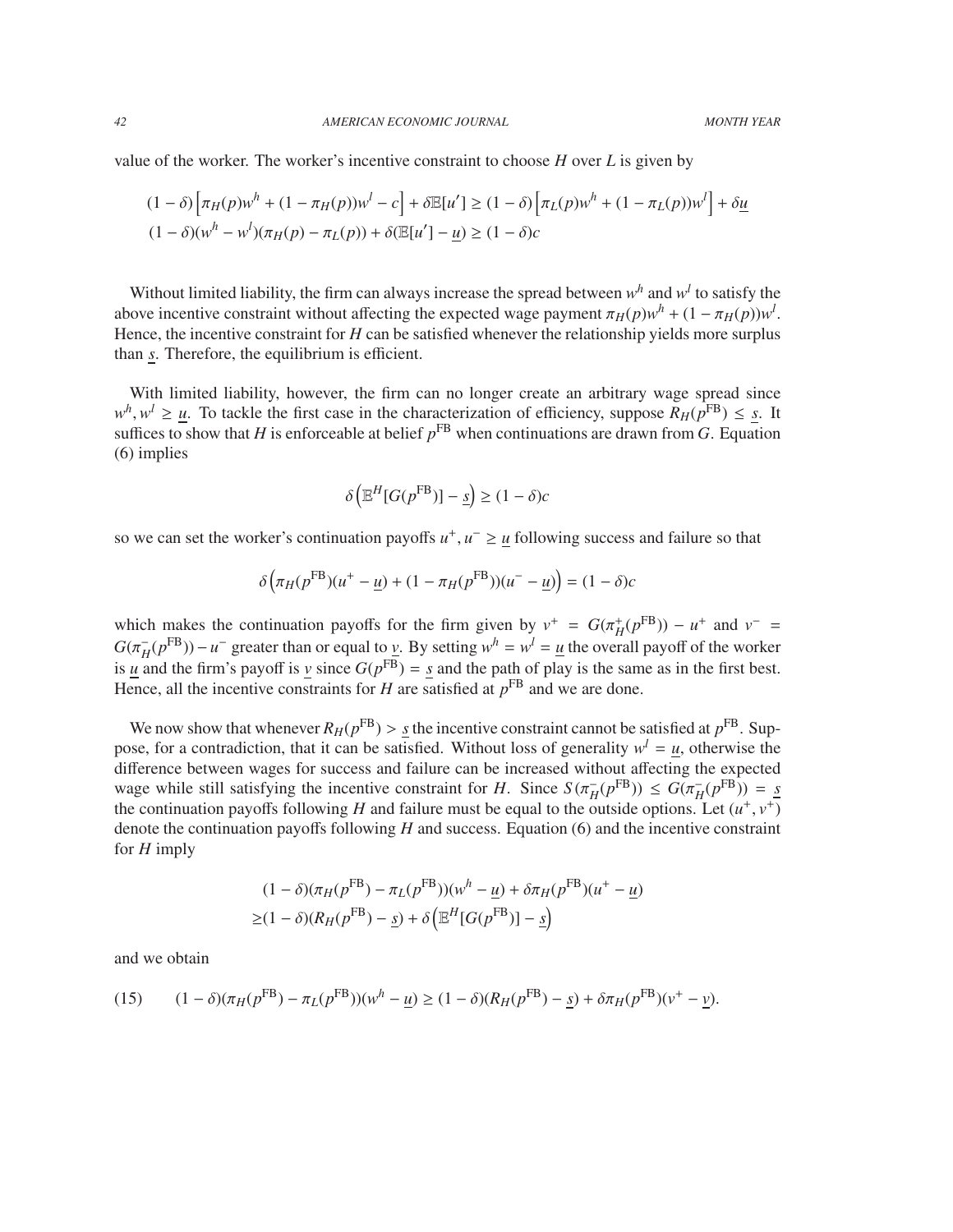value of the worker. The worker's incentive constraint to choose *H* over *L* is given by

$$
(1 - \delta) \left[ \pi_H(p) w^h + (1 - \pi_H(p)) w^l - c \right] + \delta \mathbb{E}[u'] \ge (1 - \delta) \left[ \pi_L(p) w^h + (1 - \pi_L(p)) w^l \right] + \delta \underline{u}
$$

$$
(1 - \delta) (w^h - w^l) (\pi_H(p) - \pi_L(p)) + \delta (\mathbb{E}[u'] - \underline{u}) \ge (1 - \delta) c
$$

Without limited liability, the firm can always increase the spread between  $w^h$  and  $w^l$  to satisfy the above incentive constraint without affecting the expected wage payment  $\pi_H(p)w^h + (1 - \pi_H(p))w^l$ .<br>Hence the incentive constraint for *H* can be satisfied whenever the relationship vields more surplus Hence, the incentive constraint for *H* can be satisfied whenever the relationship yields more surplus than *s*. Therefore, the equilibrium is efficient.

With limited liability, however, the firm can no longer create an arbitrary wage spread since  $w^h$ ,  $w^l \geq u$ . To tackle the first case in the characterization of efficiency, suppose  $R_H(p^{\text{FB}}) \leq s$ . It  $w^h$ ,  $w^l \ge \underline{u}$ . To tackle the first case in the characterization of efficiency, suppose  $R_H(p^{FB}) \le \underline{s}$ . It suffices to show that *H* is enforceable at belief  $p^{FB}$  when continuations are drawn from *G*. Equation (6) implies

$$
\delta\left(\mathbb{E}^H[G(p^{\text{FB}})] - \underline{s}\right) \ge (1 - \delta)c
$$

so we can set the worker's continuation payoffs  $u^+$ ,  $u^- \ge u$  following success and failure so that

$$
\delta \left( \pi_H(p^{\text{FB}})(u^+ - \underline{u}) + (1 - \pi_H(p^{\text{FB}}))(u^- - \underline{u}) \right) = (1 - \delta)c
$$

which makes the continuation payoffs for the firm given by  $v^+ = G(\pi_H^+(\rho^{FB})) - u^+$  and  $v^- = G(\pi^-(\rho^{FB})) - u^-$  greater than or equal to *y*. By setting  $w^h = w^l - u$  the overall payoff of the worker  $G(\pi_H^-)$  $H(p^{\text{FB}})$ )−*u*<sup>−</sup> greater than or equal to *v*. By setting  $w^h = w^l = \underline{u}$  the overall payoff of the worker is *u* and the firm's payoff is *v* since  $G(p^{FB}) = s$  and the path of play is the same as in the first best. Hence, all the incentive constraints for  $H$  are satisfied at  $p<sup>FB</sup>$  and we are done.

We now show that whenever  $R_H(p^{FB}) > \underline{s}$  the incentive constraint cannot be satisfied at  $p^{FB}$ . Sup-<br>see for a contradiction, that it can be satisfied. Without loss of generality  $w^l = u$ , otherwise the pose, for a contradiction, that it can be satisfied. Without loss of generality  $w^l = u$ , otherwise the difference between wages for success and failure can be increased without affecting the expected wage while still satisfying the incentive constraint for *H*. Since  $S(\pi_H^{-1})$ <br>the continuation payoffs following *H* and failure must be equal to the o  $\overline{H}(p^{\text{FB}})) \leq G(\pi_H)$ <br>outside options  $_{H}^{-}(p^{\text{FB}})) = s$ the continuation payoffs following *H* and failure must be equal to the outside options. Let  $(u^+, v^+)$ <br>denote the continuation payoffs following *H* and success. Equation (6) and the incentive constraint denote the continuation payoffs following *H* and success. Equation (6) and the incentive constraint for *H* imply

$$
(1 - \delta)(\pi_H(p^{\text{FB}}) - \pi_L(p^{\text{FB}}))(w^h - \underline{u}) + \delta \pi_H(p^{\text{FB}})(u^+ - \underline{u})
$$
  
 
$$
\geq (1 - \delta)(R_H(p^{\text{FB}}) - \underline{s}) + \delta \left( \mathbb{E}^H[G(p^{\text{FB}})] - \underline{s} \right)
$$

and we obtain

(15) 
$$
(1 - \delta)(\pi_H(p^{\text{FB}}) - \pi_L(p^{\text{FB}}))(w^h - \underline{u}) \ge (1 - \delta)(R_H(p^{\text{FB}}) - \underline{s}) + \delta \pi_H(p^{\text{FB}})(v^+ - \underline{v}).
$$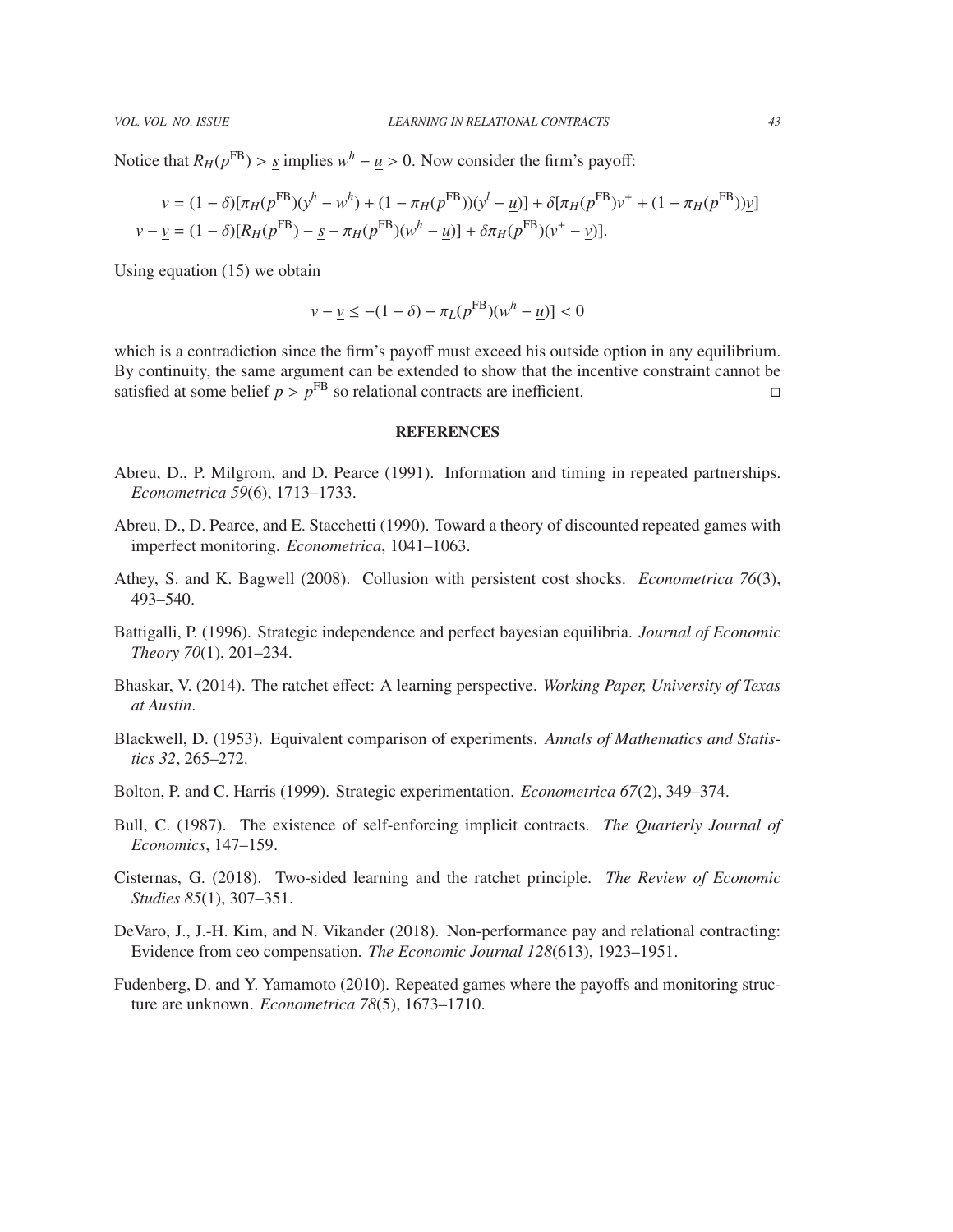Notice that  $R_H(p^{FB}) > \underline{s}$  implies  $w^h - \underline{u} > 0$ . Now consider the firm's payoff:

$$
v = (1 - \delta)[\pi_H(p^{FB})(y^h - w^h) + (1 - \pi_H(p^{FB}))(y^l - \underline{u})] + \delta[\pi_H(p^{FB})v^+ + (1 - \pi_H(p^{FB}))\underline{v}]
$$
  

$$
v - \underline{v} = (1 - \delta)[R_H(p^{FB}) - \underline{s} - \pi_H(p^{FB})(w^h - \underline{u})] + \delta\pi_H(p^{FB})(v^+ - \underline{v})].
$$

Using equation (15) we obtain

$$
v - \underline{v} \le -(1 - \delta) - \pi_L(p^{\text{FB}})(w^h - \underline{u}) < 0
$$

which is a contradiction since the firm's payoff must exceed his outside option in any equilibrium. By continuity, the same argument can be extended to show that the incentive constraint cannot be satisfied at some belief  $p > p^{\text{FB}}$  so relational contracts are inefficient.

## **REFERENCES**

- Abreu, D., P. Milgrom, and D. Pearce (1991). Information and timing in repeated partnerships. *Econometrica 59*(6), 1713–1733.
- Abreu, D., D. Pearce, and E. Stacchetti (1990). Toward a theory of discounted repeated games with imperfect monitoring. *Econometrica*, 1041–1063.
- Athey, S. and K. Bagwell (2008). Collusion with persistent cost shocks. *Econometrica 76*(3), 493–540.
- Battigalli, P. (1996). Strategic independence and perfect bayesian equilibria. *Journal of Economic Theory 70*(1), 201–234.
- Bhaskar, V. (2014). The ratchet effect: A learning perspective. *Working Paper, University of Texas at Austin*.
- Blackwell, D. (1953). Equivalent comparison of experiments. *Annals of Mathematics and Statistics 32*, 265–272.
- Bolton, P. and C. Harris (1999). Strategic experimentation. *Econometrica 67*(2), 349–374.
- Bull, C. (1987). The existence of self-enforcing implicit contracts. *The Quarterly Journal of Economics*, 147–159.
- Cisternas, G. (2018). Two-sided learning and the ratchet principle. *The Review of Economic Studies 85*(1), 307–351.
- DeVaro, J., J.-H. Kim, and N. Vikander (2018). Non-performance pay and relational contracting: Evidence from ceo compensation. *The Economic Journal 128*(613), 1923–1951.
- Fudenberg, D. and Y. Yamamoto (2010). Repeated games where the payoffs and monitoring structure are unknown. *Econometrica 78*(5), 1673–1710.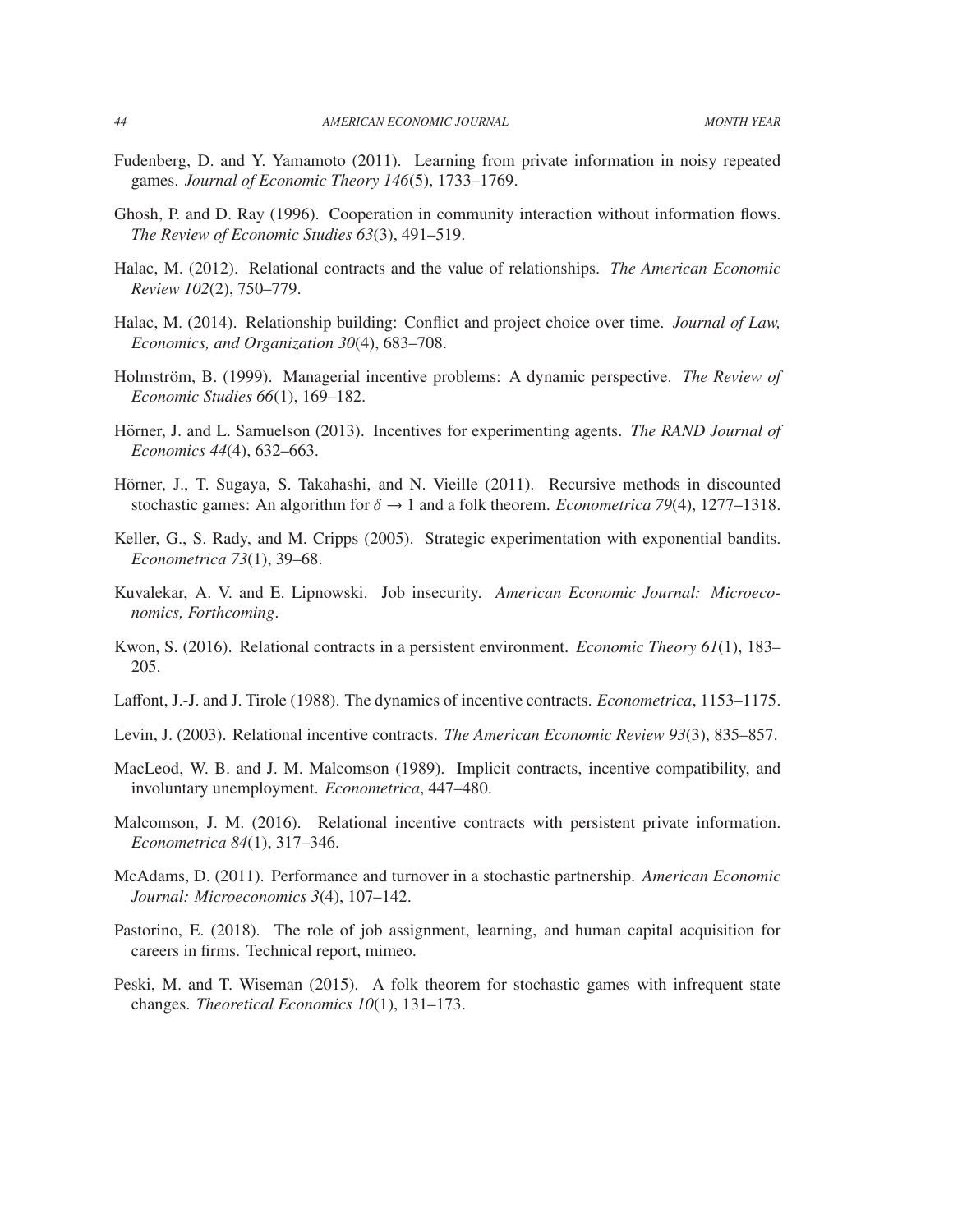- Fudenberg, D. and Y. Yamamoto (2011). Learning from private information in noisy repeated games. *Journal of Economic Theory 146*(5), 1733–1769.
- Ghosh, P. and D. Ray (1996). Cooperation in community interaction without information flows. *The Review of Economic Studies 63*(3), 491–519.
- Halac, M. (2012). Relational contracts and the value of relationships. *The American Economic Review 102*(2), 750–779.
- Halac, M. (2014). Relationship building: Conflict and project choice over time. *Journal of Law, Economics, and Organization 30*(4), 683–708.
- Holmström, B. (1999). Managerial incentive problems: A dynamic perspective. *The Review of Economic Studies 66*(1), 169–182.
- Hörner, J. and L. Samuelson (2013). Incentives for experimenting agents. *The RAND Journal of Economics 44*(4), 632–663.
- Hörner, J., T. Sugaya, S. Takahashi, and N. Vieille (2011). Recursive methods in discounted stochastic games: An algorithm for  $\delta \rightarrow 1$  and a folk theorem. *Econometrica* 79(4), 1277–1318.
- Keller, G., S. Rady, and M. Cripps (2005). Strategic experimentation with exponential bandits. *Econometrica 73*(1), 39–68.
- Kuvalekar, A. V. and E. Lipnowski. Job insecurity. *American Economic Journal: Microeconomics, Forthcoming*.
- Kwon, S. (2016). Relational contracts in a persistent environment. *Economic Theory 61*(1), 183– 205.
- Laffont, J.-J. and J. Tirole (1988). The dynamics of incentive contracts. *Econometrica*, 1153–1175.
- Levin, J. (2003). Relational incentive contracts. *The American Economic Review 93*(3), 835–857.
- MacLeod, W. B. and J. M. Malcomson (1989). Implicit contracts, incentive compatibility, and involuntary unemployment. *Econometrica*, 447–480.
- Malcomson, J. M. (2016). Relational incentive contracts with persistent private information. *Econometrica 84*(1), 317–346.
- McAdams, D. (2011). Performance and turnover in a stochastic partnership. *American Economic Journal: Microeconomics 3*(4), 107–142.
- Pastorino, E. (2018). The role of job assignment, learning, and human capital acquisition for careers in firms. Technical report, mimeo.
- Peski, M. and T. Wiseman (2015). A folk theorem for stochastic games with infrequent state changes. *Theoretical Economics 10*(1), 131–173.